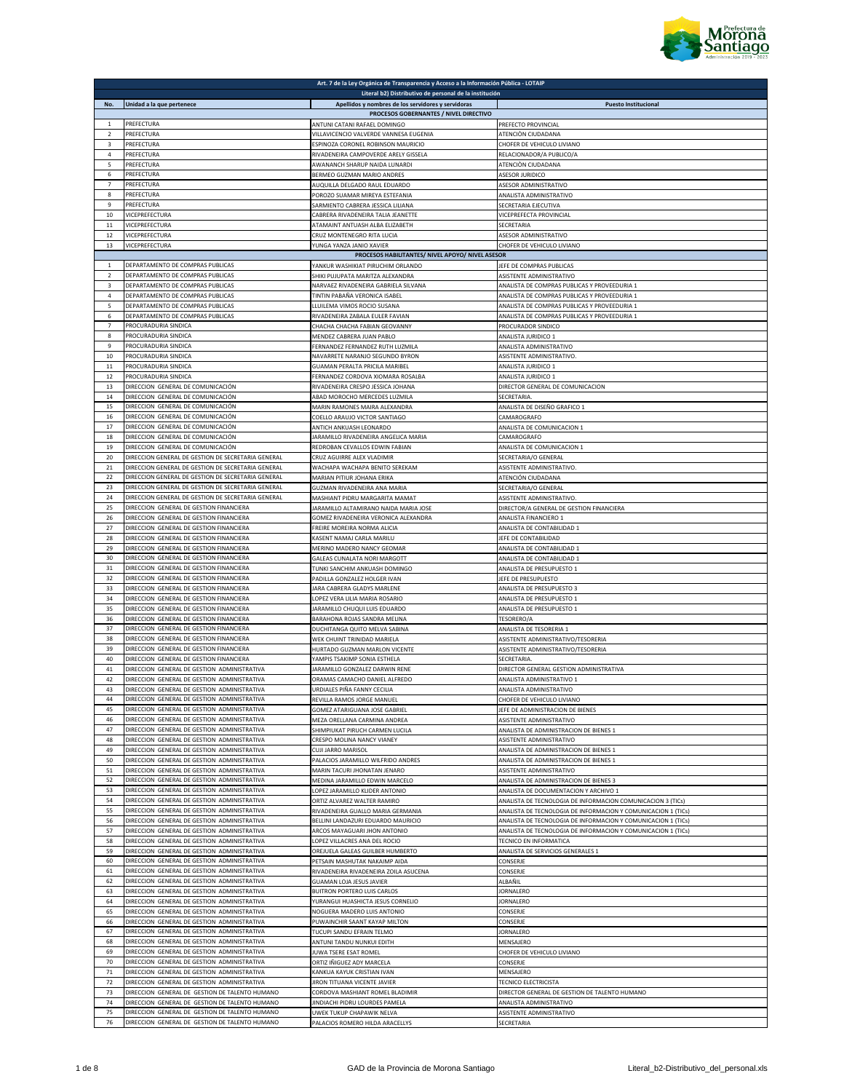

|                     |                                                                                               | Art. 7 de la Ley Orgánica de Transparencia y Acceso a la Información Pública - LOTAIP        |                                                                                                                              |
|---------------------|-----------------------------------------------------------------------------------------------|----------------------------------------------------------------------------------------------|------------------------------------------------------------------------------------------------------------------------------|
|                     |                                                                                               | Literal b2) Distributivo de personal de la institución                                       |                                                                                                                              |
| No.                 | Unidad a la que pertenece                                                                     | Apellidos y nombres de los servidores y servidoras<br>PROCESOS GOBERNANTES / NIVEL DIRECTIVO | <b>Puesto Institucional</b>                                                                                                  |
| $\mathbf{1}$        | PREFECTURA                                                                                    | ANTUNI CATANI RAFAEL DOMINGO                                                                 | PREFECTO PROVINCIAL                                                                                                          |
| $\overline{2}$      | PREFECTURA                                                                                    | VILLAVICENCIO VALVERDE VANNESA EUGENIA                                                       | ATENCIÒN CIUDADANA                                                                                                           |
| 3                   | PREFECTURA                                                                                    | ESPINOZA CORONEL ROBINSON MAURICIO                                                           | CHOFER DE VEHICULO LIVIANO                                                                                                   |
| $\Delta$            | PREFECTURA                                                                                    | RIVADENEIRA CAMPOVERDE ARELY GISSELA                                                         | RELACIONADOR/A PUBLICO/A                                                                                                     |
| 5                   | PREFECTURA                                                                                    | AWANANCH SHARUP NAIDA LUNARDI                                                                | ATENCIÒN CIUDADANA                                                                                                           |
| 6<br>$\overline{7}$ | PREFECTURA                                                                                    | BERMEO GUZMAN MARIO ANDRES                                                                   | <b>ASESOR JURIDICO</b>                                                                                                       |
| 8                   | PREFECTURA<br>PREFECTURA                                                                      | AUQUILLA DELGADO RAUL EDUARDO<br>POROZO SUAMAR MIREYA ESTEFANIA                              | ASESOR ADMINISTRATIVO<br>ANALISTA ADMINISTRATIVO                                                                             |
| 9                   | PREFECTURA                                                                                    | SARMIENTO CABRERA JESSICA LILIANA                                                            | SECRETARIA EJECUTIVA                                                                                                         |
| 10                  | VICEPREFECTURA                                                                                | CABRERA RIVADENEIRA TALIA JEANETTE                                                           | VICEPREFECTA PROVINCIAL                                                                                                      |
| 11                  | VICEPREFECTURA                                                                                | ATAMAINT ANTUASH ALBA ELIZABETH                                                              | SECRETARIA                                                                                                                   |
| 12                  | VICEPREFECTURA                                                                                | CRUZ MONTENEGRO RITA LUCIA                                                                   | ASESOR ADMINISTRATIVO                                                                                                        |
| $13\,$              | VICEPREFECTURA                                                                                | YUNGA YANZA JANIO XAVIER                                                                     | CHOFER DE VEHICULO LIVIANO                                                                                                   |
| $\mathbf{1}$        | DEPARTAMENTO DE COMPRAS PUBLICAS                                                              | PROCESOS HABILITANTES/ NIVEL APOYO/ NIVEL ASESOR<br>YANKUR WASHIKIAT PIRUCHIM ORLANDO        | JEFE DE COMPRAS PUBLICAS                                                                                                     |
| $\overline{2}$      | DEPARTAMENTO DE COMPRAS PUBLICAS                                                              | SHIKI PUJUPATA MARITZA ALEXANDRA                                                             | ASISTENTE ADMINISTRATIVO                                                                                                     |
| 3                   | DEPARTAMENTO DE COMPRAS PUBLICAS                                                              | NARVAEZ RIVADENEIRA GABRIELA SILVANA                                                         | ANALISTA DE COMPRAS PUBLICAS Y PROVEEDURIA 1                                                                                 |
| 4                   | DEPARTAMENTO DE COMPRAS PUBLICAS                                                              | TINTIN PABAÑA VERONICA ISABEL                                                                | ANALISTA DE COMPRAS PUBLICAS Y PROVEEDURIA 1                                                                                 |
| 5                   | DEPARTAMENTO DE COMPRAS PUBLICAS                                                              | LLUILEMA VIMOS ROCIO SUSANA                                                                  | ANALISTA DE COMPRAS PUBLICAS Y PROVEEDURIA 1                                                                                 |
| 6                   | DEPARTAMENTO DE COMPRAS PUBLICAS                                                              | RIVADENEIRA ZABALA EULER FAVIAN                                                              | ANALISTA DE COMPRAS PUBLICAS Y PROVEEDURIA 1                                                                                 |
| $\overline{7}$      | PROCURADURIA SINDICA                                                                          | CHACHA CHACHA FABIAN GEOVANNY                                                                | PROCURADOR SINDICO                                                                                                           |
| $\mathbf{R}$<br>9   | PROCURADURIA SINDICA<br>PROCURADURIA SINDICA                                                  | MENDEZ CABRERA JUAN PABLO<br>FERNANDEZ FERNANDEZ RUTH LUZMILA                                | ANALISTA JURIDICO 1<br>ANALISTA ADMINISTRATIVO                                                                               |
| 10                  | PROCURADURIA SINDICA                                                                          | NAVARRETE NARANJO SEGUNDO BYRON                                                              | ASISTENTE ADMINISTRATIVO.                                                                                                    |
| $11\,$              | PROCURADURIA SINDICA                                                                          | GUAMAN PERALTA PRICILA MARIBEL                                                               | ANALISTA JURIDICO 1                                                                                                          |
| 12                  | PROCURADURIA SINDICA                                                                          | FERNANDEZ CORDOVA XIOMARA ROSALBA                                                            | ANALISTA JURIDICO 1                                                                                                          |
| 13                  | DIRECCION GENERAL DE COMUNICACIÓN                                                             | RIVADENEIRA CRESPO JESSICA JOHANA                                                            | DIRECTOR GENERAL DE COMUNICACION                                                                                             |
| 14                  | DIRECCION GENERAL DE COMUNICACIÓN                                                             | ABAD MOROCHO MERCEDES LUZMILA                                                                | SECRETARIA                                                                                                                   |
| 15                  | DIRECCION GENERAL DE COMUNICACIÓN                                                             | <b>MARIN RAMONES MAIRA ALEXANDRA</b>                                                         | ANALISTA DE DISEÑO GRAFICO 1                                                                                                 |
| 16<br>17            | DIRECCION GENERAL DE COMUNICACIÓN<br>DIRECCION GENERAL DE COMUNICACIÓN                        | COELLO ARAUJO VICTOR SANTIAGO                                                                | CAMAROGRAFO                                                                                                                  |
| 18                  | DIRECCION GENERAL DE COMUNICACIÓN                                                             | ANTICH ANKUASH LEONARDO<br>JARAMILLO RIVADENEIRA ANGELICA MARIA                              | ANALISTA DE COMUNICACION 1<br>CAMAROGRAFO                                                                                    |
| 19                  | DIRECCION GENERAL DE COMUNICACIÓN                                                             | REDROBAN CEVALLOS EDWIN FABIAN                                                               | ANALISTA DE COMUNICACION 1                                                                                                   |
| 20                  | DIRECCION GENERAL DE GESTION DE SECRETARIA GENERAL                                            | CRUZ AGUIRRE ALEX VLADIMIR                                                                   | SECRETARIA/O GENERAL                                                                                                         |
| 21                  | DIRECCION GENERAL DE GESTION DE SECRETARIA GENERAL                                            | WACHAPA WACHAPA BENITO SEREKAM                                                               | ASISTENTE ADMINISTRATIVO.                                                                                                    |
| 22                  | DIRECCION GENERAL DE GESTION DE SECRETARIA GENERAL                                            | MARIAN PITIUR JOHANA ERIKA                                                                   | ATENCIÓN CIUDADANA                                                                                                           |
| 23                  | DIRECCION GENERAL DE GESTION DE SECRETARIA GENERAL                                            | GUZMAN RIVADENEIRA ANA MARIA                                                                 | SECRETARIA/O GENERAL                                                                                                         |
| 24<br>25            | DIRECCION GENERAL DE GESTION DE SECRETARIA GENERAL<br>DIRECCION GENERAL DE GESTION FINANCIERA | MASHIANT PIDRU MARGARITA MAMAT<br>JARAMILLO ALTAMIRANO NAIDA MARIA JOSE                      | ASISTENTE ADMINISTRATIVO.<br>DIRECTOR/A GENERAL DE GESTION FINANCIERA                                                        |
| 26                  | DIRECCION GENERAL DE GESTION FINANCIERA                                                       | GOMEZ RIVADENEIRA VERONICA ALEXANDRA                                                         | ANALISTA FINANCIERO 1                                                                                                        |
| 27                  | DIRECCION GENERAL DE GESTION FINANCIERA                                                       | FREIRE MOREIRA NORMA ALICIA                                                                  | ANALISTA DE CONTABILIDAD 1                                                                                                   |
| 28                  | DIRECCION GENERAL DE GESTION FINANCIERA                                                       | KASENT NAMAJ CARLA MARILU                                                                    | JEFE DE CONTABILIDAD                                                                                                         |
| 29                  | DIRECCION GENERAL DE GESTION FINANCIERA                                                       | MERINO MADERO NANCY GEOMAR                                                                   | ANALISTA DE CONTABILIDAD 1                                                                                                   |
| 30                  | DIRECCION GENERAL DE GESTION FINANCIERA                                                       | <b>GALEAS CUNALATA NORI MARGOTT</b>                                                          | ANALISTA DE CONTABILIDAD 1                                                                                                   |
| 31                  | DIRECCION GENERAL DE GESTION FINANCIERA                                                       | TUNKI SANCHIM ANKUASH DOMINGO                                                                | ANALISTA DE PRESUPUESTO 1                                                                                                    |
| 32<br>33            | DIRECCION GENERAL DE GESTION FINANCIERA<br>DIRECCION GENERAL DE GESTION FINANCIERA            | PADILLA GONZALEZ HOLGER IVAN<br>JARA CABRERA GLADYS MARLENE                                  | JEFE DE PRESUPUESTO<br>ANALISTA DE PRESUPUESTO 3                                                                             |
| 34                  | DIRECCION GENERAL DE GESTION FINANCIERA                                                       | OPEZ VERA LILIA MARIA ROSARIO                                                                | ANALISTA DE PRESUPUESTO 1                                                                                                    |
| 35                  | DIRECCION GENERAL DE GESTION FINANCIERA                                                       | JARAMILLO CHUQUI LUIS EDUARDO                                                                | ANALISTA DE PRESUPUESTO 1                                                                                                    |
| 36                  | DIRECCION GENERAL DE GESTION FINANCIERA                                                       | BARAHONA ROJAS SANDRA MELINA                                                                 | TESORERO/A                                                                                                                   |
| 37                  | DIRECCION GENERAL DE GESTION FINANCIERA                                                       | DUCHITANGA QUITO MELVA SABINA                                                                | ANALISTA DE TESORERIA 1                                                                                                      |
| 38                  | DIRECCION GENERAL DE GESTION FINANCIERA                                                       | WEK CHUINT TRINIDAD MARIELA                                                                  | ASISTENTE ADMINISTRATIVO/TESORERIA                                                                                           |
| 39<br>40            | DIRECCION GENERAL DE GESTION FINANCIERA<br>DIRECCION GENERAL DE GESTION FINANCIERA            | HURTADO GUZMAN MARLON VICENTE<br>YAMPIS TSAKIMP SONIA ESTHELA                                | ASISTENTE ADMINISTRATIVO/TESORERIA<br>SECRETARIA                                                                             |
| 41                  | DIRECCION GENERAL DE GESTION ADMINISTRATIVA                                                   | JARAMILLO GONZALEZ DARWIN RENE                                                               | DIRECTOR GENERAL GESTION ADMINISTRATIVA                                                                                      |
| 42                  | DIRECCION GENERAL DE GESTION ADMINISTRATIVA                                                   | ORAMAS CAMACHO DANIEL ALFREDO                                                                | ANALISTA ADMINISTRATIVO 1                                                                                                    |
| 43                  | DIRECCION GENERAL DE GESTION ADMINISTRATIVA                                                   | URDIALES PIÑA FANNY CECILIA                                                                  | ANALISTA ADMINISTRATIVO                                                                                                      |
| 44                  | DIRECCION GENERAL DE GESTION ADMINISTRATIVA                                                   | REVILLA RAMOS JORGE MANUEL                                                                   | CHOFER DE VEHICULO LIVIANO                                                                                                   |
| 45                  | DIRECCION GENERAL DE GESTION ADMINISTRATIVA                                                   | GOMEZ ATARIGUANA JOSE GABRIEL                                                                | JEFE DE ADMINISTRACION DE BIENES                                                                                             |
| 46<br>47            | DIRECCION GENERAL DE GESTION ADMINISTRATIVA<br>DIRECCION GENERAL DE GESTION ADMINISTRATIVA    | MEZA ORELLANA CARMINA ANDREA                                                                 | ASISTENTE ADMINISTRATIVO<br>ANALISTA DE ADMINISTRACION DE BIENES 1                                                           |
| 48                  | DIRECCION GENERAL DE GESTION ADMINISTRATIVA                                                   | SHIMPIUKAT PIRUCH CARMEN LUCILA<br>CRESPO MOLINA NANCY VIANEY                                | ASISTENTE ADMINISTRATIVO                                                                                                     |
| 49                  | DIRECCION GENERAL DE GESTION ADMINISTRATIVA                                                   | CUJI JARRO MARISOL                                                                           | ANALISTA DE ADMINISTRACION DE BIENES 1                                                                                       |
| 50                  | DIRECCION GENERAL DE GESTION ADMINISTRATIVA                                                   | PALACIOS JARAMILLO WILFRIDO ANDRES                                                           | ANALISTA DE ADMINISTRACION DE BIENES 1                                                                                       |
| 51                  | DIRECCION GENERAL DE GESTION ADMINISTRATIVA                                                   | MARIN TACURI JHONATAN JENARO                                                                 | <b>ASISTENTE ADMINISTRATIVO</b>                                                                                              |
| 52                  | DIRECCION GENERAL DE GESTION ADMINISTRATIVA                                                   | MEDINA JARAMILLO EDWIN MARCELO                                                               | ANALISTA DE ADMINISTRACION DE BIENES 3                                                                                       |
| 53                  | DIRECCION GENERAL DE GESTION ADMINISTRATIVA<br>DIRECCION GENERAL DE GESTION ADMINISTRATIVA    | LOPEZ JARAMILLO KLIDER ANTONIO                                                               | ANALISTA DE DOCUMENTACION Y ARCHIVO 1                                                                                        |
| 54<br>55            | DIRECCION GENERAL DE GESTION ADMINISTRATIVA                                                   | ORTIZ ALVAREZ WALTER RAMIRO<br>RIVADENEIRA GUALLO MARIA GERMANIA                             | ANALISTA DE TECNOLOGIA DE INFORMACION COMUNICACION 3 (TICs)<br>ANALISTA DE TECNOLOGIA DE INFORMACION Y COMUNICACION 1 (TICs) |
| 56                  | DIRECCION GENERAL DE GESTION ADMINISTRATIVA                                                   | BELLINI LANDAZURI EDUARDO MAURICIO                                                           | ANALISTA DE TECNOLOGIA DE INFORMACION Y COMUNICACION 1 (TICs)                                                                |
| 57                  | DIRECCION GENERAL DE GESTION ADMINISTRATIVA                                                   | ARCOS MAYAGUARI JHON ANTONIO                                                                 | ANALISTA DE TECNOLOGIA DE INFORMACION Y COMUNICACION 1 (TICs)                                                                |
| 58                  | DIRECCION GENERAL DE GESTION ADMINISTRATIVA                                                   | LOPEZ VILLACRES ANA DEL ROCIO                                                                | TECNICO EN INFORMATICA                                                                                                       |
| 59                  | DIRECCION GENERAL DE GESTION ADMINISTRATIVA                                                   | OREJUELA GALEAS GUILBER HUMBERTO                                                             | ANALISTA DE SERVICIOS GENERALES 1                                                                                            |
| 60                  | DIRECCION GENERAL DE GESTION ADMINISTRATIVA<br>DIRECCION GENERAL DE GESTION ADMINISTRATIVA    | PETSAIN MASHUTAK NAKAIMP AIDA                                                                | CONSERJE                                                                                                                     |
| 61<br>62            | DIRECCION GENERAL DE GESTION ADMINISTRATIVA                                                   | RIVADENEIRA RIVADENEIRA ZOILA ASUCENA<br><b>GUAMAN LOJA JESUS JAVIER</b>                     | CONSERJE<br>ALBAÑIL                                                                                                          |
| 63                  | DIRECCION GENERAL DE GESTION ADMINISTRATIVA                                                   | <b>BUITRON PORTERO LUIS CARLOS</b>                                                           | <b>JORNALERO</b>                                                                                                             |
| 64                  | DIRECCION GENERAL DE GESTION ADMINISTRATIVA                                                   | YURANGUI HUASHICTA JESUS CORNELIO                                                            | <b>JORNALERO</b>                                                                                                             |
| 65                  | DIRECCION GENERAL DE GESTION ADMINISTRATIVA                                                   | NOGUERA MADERO LUIS ANTONIO                                                                  | CONSERJE                                                                                                                     |
| 66                  | DIRECCION GENERAL DE GESTION ADMINISTRATIVA                                                   | PUWAINCHIR SAANT KAYAP MILTON                                                                | CONSERJE                                                                                                                     |
| 67                  | DIRECCION GENERAL DE GESTION ADMINISTRATIVA                                                   | TUCUPI SANDU EFRAIN TELMO                                                                    | <b>JORNALERO</b>                                                                                                             |
| 68                  | DIRECCION GENERAL DE GESTION ADMINISTRATIVA                                                   | ANTUNI TANDU NUNKUI EDITH                                                                    | MENSAJERO                                                                                                                    |
| 69<br>70            | DIRECCION GENERAL DE GESTION ADMINISTRATIVA<br>DIRECCION GENERAL DE GESTION ADMINISTRATIVA    | JUWA TSERE ESAT ROMEL                                                                        | CHOFER DE VEHICULO LIVIANO                                                                                                   |
| 71                  | DIRECCION GENERAL DE GESTION ADMINISTRATIVA                                                   | ORTIZ IÑIGUEZ ADY MARCELA<br>KANKUA KAYUK CRISTIAN IVAN                                      | CONSERJE<br>MENSAJERO                                                                                                        |
| 72                  | DIRECCION GENERAL DE GESTION ADMINISTRATIVA                                                   | IRON TITUANA VICENTE JAVIER                                                                  | <b>TECNICO ELECTRICISTA</b>                                                                                                  |
| 73                  | DIRECCION GENERAL DE GESTION DE TALENTO HUMANO                                                | CORDOVA MASHIANT ROMEL BLADIMIR                                                              | DIRECTOR GENERAL DE GESTION DE TALENTO HUMANO                                                                                |
| 74                  | DIRECCION GENERAL DE GESTION DE TALENTO HUMANO                                                | INDIACHI PIDRU LOURDES PAMELA                                                                | ANALISTA ADMINISTRATIVO                                                                                                      |
| 75                  | DIRECCION GENERAL DE GESTION DE TALENTO HUMANO                                                | UWEK TUKUP CHAPAWIK NELVA                                                                    | ASISTENTE ADMINISTRATIVO                                                                                                     |
| 76                  | DIRECCION GENERAL DE GESTION DE TALENTO HUMANO                                                | PALACIOS ROMERO HILDA ARACELLYS                                                              | SECRETARIA                                                                                                                   |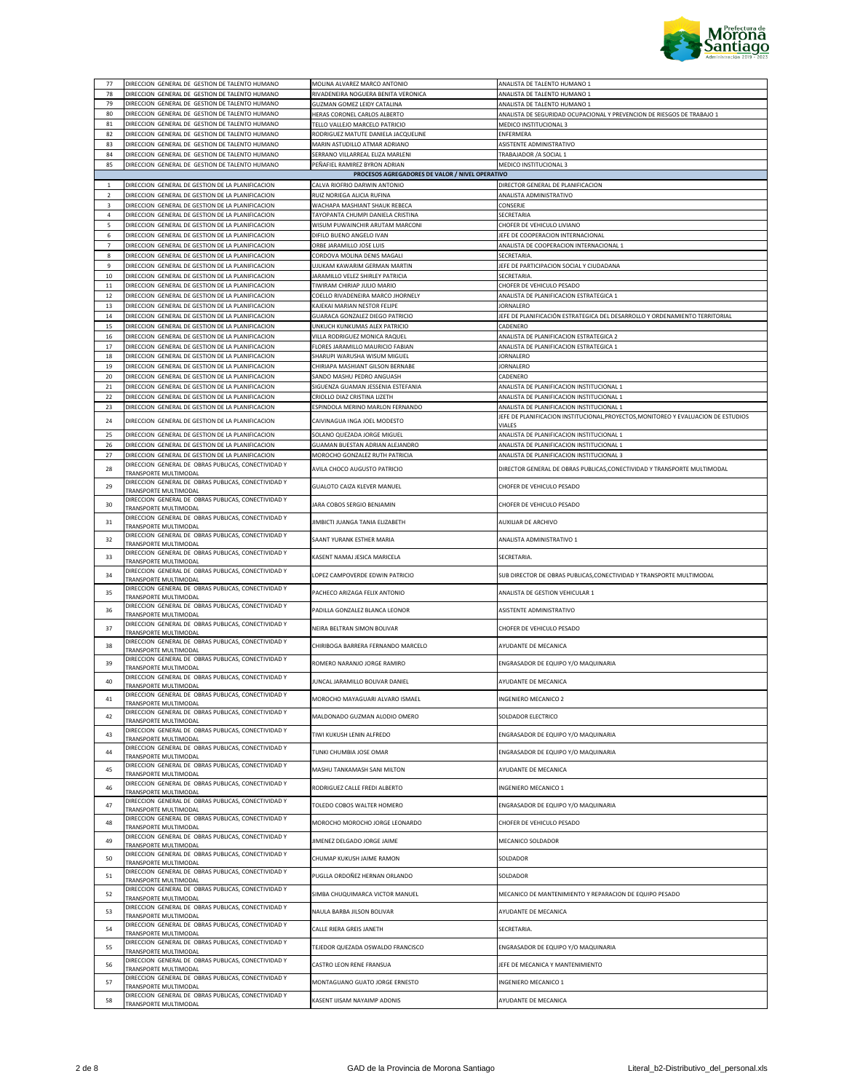

| 78<br>DIRECCION GENERAL DE GESTION DE TALENTO HUMANO<br>RIVADENEIRA NOGUERA BENITA VERONICA<br>ANALISTA DE TALENTO HUMANO 1<br>79<br>DIRECCION GENERAL DE GESTION DE TALENTO HUMANO<br>GUZMAN GOMEZ LEIDY CATALINA<br>ANALISTA DE TALENTO HUMANO 1<br>80<br>DIRECCION GENERAL DE GESTION DE TALENTO HUMANO<br>HERAS CORONEL CARLOS ALBERTO<br>ANALISTA DE SEGURIDAD OCUPACIONAL Y PREVENCION DE RIESGOS DE TRABAJO 1<br>81<br>DIRECCION GENERAL DE GESTION DE TALENTO HUMANO<br>TELLO VALLEJO MARCELO PATRICIO<br>MEDICO INSTITUCIONAL 3<br>DIRECCION GENERAL DE GESTION DE TALENTO HUMANO<br>82<br>RODRIGUEZ MATUTE DANIELA JACQUELINE<br>ENFERMERA<br>83<br>DIRECCION GENERAL DE GESTION DE TALENTO HUMANO<br>MARIN ASTUDILLO ATMAR ADRIANO<br>ASISTENTE ADMINISTRATIVO<br>84<br>DIRECCION GENERAL DE GESTION DE TALENTO HUMANO<br>SERRANO VILLARREAL ELIZA MARLENI<br>TRABAJADOR / A SOCIAL 1<br>85<br>DIRECCION GENERAL DE GESTION DE TALENTO HUMANO<br>PEÑAFIEL RAMIREZ BYRON ADRIAN<br>MEDICO INSTITUCIONAL 3<br>PROCESOS AGREGADORES DE VALOR / NIVEL OPERATIVO<br>DIRECCION GENERAL DE GESTION DE LA PLANIFICACION<br>$\mathbf{1}$<br>CALVA RIOFRIO DARWIN ANTONIO<br>DIRECTOR GENERAL DE PLANIFICACION<br>$\overline{\mathbf{2}}$<br>DIRECCION GENERAL DE GESTION DE LA PLANIFICACION<br>RUIZ NORIEGA ALICIA RUFINA<br>ANALISTA ADMINISTRATIVO<br>3<br>DIRECCION GENERAL DE GESTION DE LA PLANIFICACION<br>WACHAPA MASHIANT SHAUK REBECA<br>CONSERJE<br>4<br>DIRECCION GENERAL DE GESTION DE LA PLANIFICACION<br>TAYOPANTA CHUMPI DANIELA CRISTINA<br>SECRETARIA<br>DIRECCION GENERAL DE GESTION DE LA PLANIFICACION<br>WISUM PUWAINCHIR ARUTAM MARCONI<br>CHOFER DE VEHICULO LIVIANO<br>5<br>6<br>DIRECCION GENERAL DE GESTION DE LA PLANIFICACION<br>DIFILO BUENO ANGELO IVAN<br>JEFE DE COOPERACION INTERNACIONAL<br>DIRECCION GENERAL DE GESTION DE LA PLANIFICACION<br>ORBE JARAMILLO JOSE LUIS<br>ANALISTA DE COOPERACION INTERNACIONAL 1<br>$\overline{7}$<br>8<br>DIRECCION GENERAL DE GESTION DE LA PLANIFICACION<br>CORDOVA MOLINA DENIS MAGALI<br>SECRETARIA<br>DIRECCION GENERAL DE GESTION DE LA PLANIFICACION<br>UJUKAM KAWARIM GERMAN MARTIN<br>JEFE DE PARTICIPACION SOCIAL Y CIUDADANA<br>9<br>DIRECCION GENERAL DE GESTION DE LA PLANIFICACION<br>JARAMILLO VELEZ SHIRLEY PATRICIA<br>10<br>SECRETARIA<br>$11$<br>DIRECCION GENERAL DE GESTION DE LA PLANIFICACION<br>CHOFER DE VEHICULO PESADO<br>TIWIRAM CHIRIAP JULIO MARIO<br>12<br>DIRECCION GENERAL DE GESTION DE LA PLANIFICACION<br>COELLO RIVADENEIRA MARCO JHORNELY<br>ANALISTA DE PLANIFICACION ESTRATEGICA 1<br>13<br>DIRECCION GENERAL DE GESTION DE LA PLANIFICACION<br>KAJEKAI MARIAN NESTOR FELIPE<br>JORNALERO<br>JEFE DE PLANIFICACIÓN ESTRATEGICA DEL DESARROLLO Y ORDENAMIENTO TERRITORIAL<br>14<br>DIRECCION GENERAL DE GESTION DE LA PLANIFICACION<br>GUARACA GONZALEZ DIEGO PATRICIO<br>15<br>DIRECCION GENERAL DE GESTION DE LA PLANIFICACION<br>UNKUCH KUNKUMAS ALEX PATRICIO<br>CADENERO<br>16<br>DIRECCION GENERAL DE GESTION DE LA PLANIFICACION<br>VILLA RODRIGUEZ MONICA RAQUEL<br>ANALISTA DE PLANIFICACION ESTRATEGICA 2<br>17<br>DIRECCION GENERAL DE GESTION DE LA PLANIFICACION<br>FLORES JARAMILLO MAURICIO FABIAN<br>ANALISTA DE PLANIFICACION ESTRATEGICA 1<br>18<br>DIRECCION GENERAL DE GESTION DE LA PLANIFICACION<br>SHARUPI WARUSHA WISUM MIGUEL<br><b>JORNALERO</b><br>19<br>DIRECCION GENERAL DE GESTION DE LA PLANIFICACION<br>CHIRIAPA MASHIANT GILSON BERNABE<br>JORNALERO<br>20<br>DIRECCION GENERAL DE GESTION DE LA PLANIFICACION<br>SANDO MASHU PEDRO ANGUASH<br>CADENERO<br>21<br>DIRECCION GENERAL DE GESTION DE LA PLANIFICACION<br>SIGUENZA GUAMAN JESSENIA ESTEFANIA<br>ANALISTA DE PLANIFICACION INSTITUCIONAL 1<br>DIRECCION GENERAL DE GESTION DE LA PLANIFICACION<br>CRIOLLO DIAZ CRISTINA LIZETH<br>22<br>ANALISTA DE PLANIFICACION INSTITUCIONAL 1<br>ESPINDOLA MERINO MARLON FERNANDO<br>23<br>DIRECCION GENERAL DE GESTION DE LA PLANIFICACION<br>ANALISTA DE PLANIFICACION INSTITUCIONAL 1<br>JEFE DE PLANIFICACION INSTITUCIONAL, PROYECTOS, MONITOREO Y EVALUACION DE ESTUDIOS<br>DIRECCION GENERAL DE GESTION DE LA PLANIFICACION<br>CAIVINAGUA INGA JOEL MODESTO<br>24<br>VIALES<br>25<br>DIRECCION GENERAL DE GESTION DE LA PLANIFICACION<br>ANALISTA DE PLANIFICACION INSTITUCIONAL 1<br>SOLANO QUEZADA JORGE MIGUEL<br>26<br>DIRECCION GENERAL DE GESTION DE LA PLANIFICACION<br>GUAMAN BUESTAN ADRIAN ALEJANDRO<br>ANALISTA DE PLANIFICACION INSTITUCIONAL 1<br>27<br>DIRECCION GENERAL DE GESTION DE LA PLANIFICACION<br>MOROCHO GONZALEZ RUTH PATRICIA<br>ANALISTA DE PLANIFICACION INSTITUCIONAL 3<br>DIRECCION GENERAL DE OBRAS PUBLICAS, CONECTIVIDAD Y<br>28<br>AVILA CHOCO AUGUSTO PATRICIO<br>DIRECTOR GENERAL DE OBRAS PUBLICAS, CONECTIVIDAD Y TRANSPORTE MULTIMODAL<br>TRANSPORTE MULTIMODAL<br>DIRECCION GENERAL DE OBRAS PUBLICAS, CONECTIVIDAD Y<br>29<br>GUALOTO CAIZA KLEVER MANUEL<br>CHOFER DE VEHICULO PESADO<br>TRANSPORTE MULTIMODAL<br>DIRECCION GENERAL DE OBRAS PUBLICAS, CONECTIVIDAD Y<br>30<br>JARA COBOS SERGIO BENJAMIN<br>CHOFER DE VEHICULO PESADO<br>TRANSPORTE MULTIMODAL<br>DIRECCION GENERAL DE OBRAS PUBLICAS, CONECTIVIDAD Y<br>31<br>JIMBICTI JUANGA TANIA ELIZABETH<br>AUXILIAR DE ARCHIVO<br>TRANSPORTE MULTIMODAL<br>DIRECCION GENERAL DE OBRAS PUBLICAS, CONECTIVIDAD Y<br>32<br>SAANT YURANK ESTHER MARIA<br>ANALISTA ADMINISTRATIVO 1<br>TRANSPORTE MULTIMODAL<br>DIRECCION GENERAL DE OBRAS PUBLICAS, CONECTIVIDAD Y<br>33<br>KASENT NAMAJ JESICA MARICELA<br>SECRETARIA.<br>TRANSPORTE MULTIMODAL<br>DIRECCION GENERAL DE OBRAS PUBLICAS, CONECTIVIDAD Y<br>34<br>LOPEZ CAMPOVERDE EDWIN PATRICIO<br>SUB DIRECTOR DE OBRAS PUBLICAS, CONECTIVIDAD Y TRANSPORTE MULTIMODAL<br>TRANSPORTE MULTIMODAL<br>DIRECCION GENERAL DE OBRAS PUBLICAS, CONECTIVIDAD Y<br>35<br>PACHECO ARIZAGA FELIX ANTONIO<br>ANALISTA DE GESTION VEHICULAR 1<br>TRANSPORTE MULTIMODAL<br>DIRECCION GENERAL DE OBRAS PUBLICAS, CONECTIVIDAD Y<br>36<br>PADILLA GONZALEZ BLANCA LEONOR<br>ASISTENTE ADMINISTRATIVO<br>TRANSPORTE MULTIMODAL<br>DIRECCION GENERAL DE OBRAS PUBLICAS, CONECTIVIDAD Y<br>37<br>NEIRA BELTRAN SIMON BOLIVAR<br>CHOFFR DE VEHICULO PESADO<br>TRANSPORTE MULTIMODAL<br>DIRECCION GENERAL DE OBRAS PUBLICAS, CONECTIVIDAD Y<br>38<br>CHIRIBOGA BARRERA FERNANDO MARCELO<br>AYUDANTE DE MECANICA<br>TRANSPORTE MULTIMODAL<br>DIRECCION GENERAL DE OBRAS PUBLICAS, CONECTIVIDAD Y<br>39<br>ROMERO NARANJO JORGE RAMIRO<br>ENGRASADOR DE EQUIPO Y/O MAQUINARIA<br>TRANSPORTE MULTIMODAL<br>DIRECCION GENERAL DE OBRAS PUBLICAS, CONECTIVIDAD Y<br>JUNCAL JARAMILLO BOLIVAR DANIEL<br>AYUDANTE DE MECANICA<br>40<br>TRANSPORTE MULTIMODAL<br>DIRECCION GENERAL DE OBRAS PUBLICAS, CONECTIVIDAD Y<br>41<br>INGENIERO MECANICO 2<br>MOROCHO MAYAGUARI ALVARO ISMAEL<br>TRANSPORTE MULTIMODAL<br>DIRECCION GENERAL DE OBRAS PUBLICAS, CONECTIVIDAD Y<br>42<br>MALDONADO GUZMAN ALODIO OMERO<br>SOLDADOR ELECTRICO<br>TRANSPORTE MULTIMODAL<br>DIRECCION GENERAL DE OBRAS PUBLICAS, CONECTIVIDAD Y<br>TIWI KUKUSH LENIN ALFREDO<br>43<br>ENGRASADOR DE EQUIPO Y/O MAQUINARIA<br>TRANSPORTE MULTIMODAL<br>DIRECCION GENERAL DE OBRAS PUBLICAS, CONECTIVIDAD Y<br>44<br>TUNKI CHUMBIA JOSE OMAR<br>ENGRASADOR DE EQUIPO Y/O MAQUINARIA<br>TRANSPORTE MULTIMODAL<br>DIRECCION GENERAL DE OBRAS PUBLICAS, CONECTIVIDAD Y<br>45<br>MASHU TANKAMASH SANI MILTON<br>AYUDANTE DE MECANICA<br>TRANSPORTE MULTIMODAL<br>DIRECCION GENERAL DE OBRAS PUBLICAS, CONECTIVIDAD Y<br>RODRIGUEZ CALLE FREDI ALBERTO<br>INGENIERO MECANICO 1<br>46<br>TRANSPORTE MULTIMODAL<br>DIRECCION GENERAL DE OBRAS PUBLICAS, CONECTIVIDAD Y<br>47<br>TOLEDO COBOS WALTER HOMERO<br>ENGRASADOR DE EQUIPO Y/O MAQUINARIA<br>TRANSPORTE MULTIMODAL<br>DIRECCION GENERAL DE OBRAS PUBLICAS, CONECTIVIDAD Y<br>48<br>MOROCHO MOROCHO JORGE LEONARDO<br>CHOFER DE VEHICULO PESADO<br>TRANSPORTE MULTIMODAL<br>DIRECCION GENERAL DE OBRAS PUBLICAS, CONECTIVIDAD Y<br>49<br>JIMENEZ DELGADO JORGE JAIME<br>MECANICO SOLDADOR<br>TRANSPORTE MULTIMODAL<br>DIRECCION GENERAL DE OBRAS PUBLICAS, CONECTIVIDAD Y<br>50<br>CHUMAP KUKUSH JAIME RAMON<br>SOLDADOR<br>TRANSPORTE MULTIMODAL<br>DIRECCION GENERAL DE OBRAS PUBLICAS, CONECTIVIDAD Y<br>51<br>PUGLLA ORDOÑEZ HERNAN ORLANDO<br>SOLDADOR<br>TRANSPORTE MULTIMODAL<br>DIRECCION GENERAL DE OBRAS PUBLICAS, CONECTIVIDAD Y<br>52<br>SIMBA CHUQUIMARCA VICTOR MANUEL<br>MECANICO DE MANTENIMIENTO Y REPARACION DE EQUIPO PESADO<br>TRANSPORTE MULTIMODAL<br>DIRECCION GENERAL DE OBRAS PUBLICAS, CONECTIVIDAD Y<br>NAULA BARBA JILSON BOLIVAR<br>53<br>AYUDANTE DE MECANICA<br>TRANSPORTE MULTIMODAL<br>DIRECCION GENERAL DE OBRAS PUBLICAS, CONECTIVIDAD Y<br>54<br>CALLE RIERA GREIS JANETH<br>SECRETARIA.<br>TRANSPORTE MULTIMODAL<br>DIRECCION GENERAL DE OBRAS PUBLICAS, CONECTIVIDAD Y<br>55<br>TEJEDOR QUEZADA OSWALDO FRANCISCO<br>ENGRASADOR DE EQUIPO Y/O MAQUINARIA<br>TRANSPORTE MULTIMODAL<br>DIRECCION GENERAL DE OBRAS PUBLICAS, CONECTIVIDAD Y<br>CASTRO LEON RENE FRANSUA<br>JEFE DE MECANICA Y MANTENIMIENTO<br>56<br>TRANSPORTE MULTIMODAL<br>DIRECCION GENERAL DE OBRAS PUBLICAS, CONECTIVIDAD Y<br>INGENIERO MECANICO 1<br>57<br>MONTAGUANO GUATO JORGE ERNESTO<br>TRANSPORTE MULTIMODAL<br>DIRECCION GENERAL DE OBRAS PUBLICAS, CONECTIVIDAD Y<br>58<br>KASENT IJISAM NAYAIMP ADONIS<br>AYUDANTE DE MECANICA<br>TRANSPORTE MULTIMODAL | 77 | DIRECCION GENERAL DE GESTION DE TALENTO HUMANO | MOLINA ALVAREZ MARCO ANTONIO | ANALISTA DE TALENTO HUMANO 1 |
|-----------------------------------------------------------------------------------------------------------------------------------------------------------------------------------------------------------------------------------------------------------------------------------------------------------------------------------------------------------------------------------------------------------------------------------------------------------------------------------------------------------------------------------------------------------------------------------------------------------------------------------------------------------------------------------------------------------------------------------------------------------------------------------------------------------------------------------------------------------------------------------------------------------------------------------------------------------------------------------------------------------------------------------------------------------------------------------------------------------------------------------------------------------------------------------------------------------------------------------------------------------------------------------------------------------------------------------------------------------------------------------------------------------------------------------------------------------------------------------------------------------------------------------------------------------------------------------------------------------------------------------------------------------------------------------------------------------------------------------------------------------------------------------------------------------------------------------------------------------------------------------------------------------------------------------------------------------------------------------------------------------------------------------------------------------------------------------------------------------------------------------------------------------------------------------------------------------------------------------------------------------------------------------------------------------------------------------------------------------------------------------------------------------------------------------------------------------------------------------------------------------------------------------------------------------------------------------------------------------------------------------------------------------------------------------------------------------------------------------------------------------------------------------------------------------------------------------------------------------------------------------------------------------------------------------------------------------------------------------------------------------------------------------------------------------------------------------------------------------------------------------------------------------------------------------------------------------------------------------------------------------------------------------------------------------------------------------------------------------------------------------------------------------------------------------------------------------------------------------------------------------------------------------------------------------------------------------------------------------------------------------------------------------------------------------------------------------------------------------------------------------------------------------------------------------------------------------------------------------------------------------------------------------------------------------------------------------------------------------------------------------------------------------------------------------------------------------------------------------------------------------------------------------------------------------------------------------------------------------------------------------------------------------------------------------------------------------------------------------------------------------------------------------------------------------------------------------------------------------------------------------------------------------------------------------------------------------------------------------------------------------------------------------------------------------------------------------------------------------------------------------------------------------------------------------------------------------------------------------------------------------------------------------------------------------------------------------------------------------------------------------------------------------------------------------------------------------------------------------------------------------------------------------------------------------------------------------------------------------------------------------------------------------------------------------------------------------------------------------------------------------------------------------------------------------------------------------------------------------------------------------------------------------------------------------------------------------------------------------------------------------------------------------------------------------------------------------------------------------------------------------------------------------------------------------------------------------------------------------------------------------------------------------------------------------------------------------------------------------------------------------------------------------------------------------------------------------------------------------------------------------------------------------------------------------------------------------------------------------------------------------------------------------------------------------------------------------------------------------------------------------------------------------------------------------------------------------------------------------------------------------------------------------------------------------------------------------------------------------------------------------------------------------------------------------------------------------------------------------------------------------------------------------------------------------------------------------------------------------------------------------------------------------------------------------------------------------------------------------------------------------------------------------------------------------------------------------------------------------------------------------------------------------------------------------------------------------------------------------------------------------------------------------------------------------------------------------------------------------------------------------------------------------------------------------------------------------------------------------------------------------------------------------------------------------------------------------------------------------------------------------------------------------------------------------------------------------------------------------------------------------------------------------------------------------------------------------------------------------------------------------------------------------------------------------------------------------------------------------------------------------------------------------------------------------------------------------------------------------------------------------------------------------------------------------------------------------------------------------------------------------------------------------------------------------------------------------------------------------------------------------------------------------------------------------------------------------------------------------------------------------------------------------------------------------------------------------------------------------------------------------------------------------------------------------------------------------------------------------------------------------------------------------------------------------------------------------------------------------------------------------------------------------------------------------------------------------------------------------------------------------------------------------------------------------------------------------------------------------------------------------------------------------------------------------------------------------------------------------------------------------------------------------------------------------------------------------------------------------------------------------------------------------------------------------------------------------------------|----|------------------------------------------------|------------------------------|------------------------------|
|                                                                                                                                                                                                                                                                                                                                                                                                                                                                                                                                                                                                                                                                                                                                                                                                                                                                                                                                                                                                                                                                                                                                                                                                                                                                                                                                                                                                                                                                                                                                                                                                                                                                                                                                                                                                                                                                                                                                                                                                                                                                                                                                                                                                                                                                                                                                                                                                                                                                                                                                                                                                                                                                                                                                                                                                                                                                                                                                                                                                                                                                                                                                                                                                                                                                                                                                                                                                                                                                                                                                                                                                                                                                                                                                                                                                                                                                                                                                                                                                                                                                                                                                                                                                                                                                                                                                                                                                                                                                                                                                                                                                                                                                                                                                                                                                                                                                                                                                                                                                                                                                                                                                                                                                                                                                                                                                                                                                                                                                                                                                                                                                                                                                                                                                                                                                                                                                                                                                                                                                                                                                                                                                                                                                                                                                                                                                                                                                                                                                                                                                                                                                                                                                                                                                                                                                                                                                                                                                                                                                                                                                                                                                                                                                                                                                                                                                                                                                                                                                                                                                                                                                                                                                                                                                                                                                                                                                                                                                                                                                                                                                                                                                                                                                                                                                                                                                                                                                                                                                                                                                                                                                                                                                                                                                                                                                                                                                                                                                                                                                                                                                                                                                                                                                                                                                                                                                                                                                                                                                       |    |                                                |                              |                              |
|                                                                                                                                                                                                                                                                                                                                                                                                                                                                                                                                                                                                                                                                                                                                                                                                                                                                                                                                                                                                                                                                                                                                                                                                                                                                                                                                                                                                                                                                                                                                                                                                                                                                                                                                                                                                                                                                                                                                                                                                                                                                                                                                                                                                                                                                                                                                                                                                                                                                                                                                                                                                                                                                                                                                                                                                                                                                                                                                                                                                                                                                                                                                                                                                                                                                                                                                                                                                                                                                                                                                                                                                                                                                                                                                                                                                                                                                                                                                                                                                                                                                                                                                                                                                                                                                                                                                                                                                                                                                                                                                                                                                                                                                                                                                                                                                                                                                                                                                                                                                                                                                                                                                                                                                                                                                                                                                                                                                                                                                                                                                                                                                                                                                                                                                                                                                                                                                                                                                                                                                                                                                                                                                                                                                                                                                                                                                                                                                                                                                                                                                                                                                                                                                                                                                                                                                                                                                                                                                                                                                                                                                                                                                                                                                                                                                                                                                                                                                                                                                                                                                                                                                                                                                                                                                                                                                                                                                                                                                                                                                                                                                                                                                                                                                                                                                                                                                                                                                                                                                                                                                                                                                                                                                                                                                                                                                                                                                                                                                                                                                                                                                                                                                                                                                                                                                                                                                                                                                                                                                       |    |                                                |                              |                              |
|                                                                                                                                                                                                                                                                                                                                                                                                                                                                                                                                                                                                                                                                                                                                                                                                                                                                                                                                                                                                                                                                                                                                                                                                                                                                                                                                                                                                                                                                                                                                                                                                                                                                                                                                                                                                                                                                                                                                                                                                                                                                                                                                                                                                                                                                                                                                                                                                                                                                                                                                                                                                                                                                                                                                                                                                                                                                                                                                                                                                                                                                                                                                                                                                                                                                                                                                                                                                                                                                                                                                                                                                                                                                                                                                                                                                                                                                                                                                                                                                                                                                                                                                                                                                                                                                                                                                                                                                                                                                                                                                                                                                                                                                                                                                                                                                                                                                                                                                                                                                                                                                                                                                                                                                                                                                                                                                                                                                                                                                                                                                                                                                                                                                                                                                                                                                                                                                                                                                                                                                                                                                                                                                                                                                                                                                                                                                                                                                                                                                                                                                                                                                                                                                                                                                                                                                                                                                                                                                                                                                                                                                                                                                                                                                                                                                                                                                                                                                                                                                                                                                                                                                                                                                                                                                                                                                                                                                                                                                                                                                                                                                                                                                                                                                                                                                                                                                                                                                                                                                                                                                                                                                                                                                                                                                                                                                                                                                                                                                                                                                                                                                                                                                                                                                                                                                                                                                                                                                                                                                       |    |                                                |                              |                              |
|                                                                                                                                                                                                                                                                                                                                                                                                                                                                                                                                                                                                                                                                                                                                                                                                                                                                                                                                                                                                                                                                                                                                                                                                                                                                                                                                                                                                                                                                                                                                                                                                                                                                                                                                                                                                                                                                                                                                                                                                                                                                                                                                                                                                                                                                                                                                                                                                                                                                                                                                                                                                                                                                                                                                                                                                                                                                                                                                                                                                                                                                                                                                                                                                                                                                                                                                                                                                                                                                                                                                                                                                                                                                                                                                                                                                                                                                                                                                                                                                                                                                                                                                                                                                                                                                                                                                                                                                                                                                                                                                                                                                                                                                                                                                                                                                                                                                                                                                                                                                                                                                                                                                                                                                                                                                                                                                                                                                                                                                                                                                                                                                                                                                                                                                                                                                                                                                                                                                                                                                                                                                                                                                                                                                                                                                                                                                                                                                                                                                                                                                                                                                                                                                                                                                                                                                                                                                                                                                                                                                                                                                                                                                                                                                                                                                                                                                                                                                                                                                                                                                                                                                                                                                                                                                                                                                                                                                                                                                                                                                                                                                                                                                                                                                                                                                                                                                                                                                                                                                                                                                                                                                                                                                                                                                                                                                                                                                                                                                                                                                                                                                                                                                                                                                                                                                                                                                                                                                                                                                       |    |                                                |                              |                              |
|                                                                                                                                                                                                                                                                                                                                                                                                                                                                                                                                                                                                                                                                                                                                                                                                                                                                                                                                                                                                                                                                                                                                                                                                                                                                                                                                                                                                                                                                                                                                                                                                                                                                                                                                                                                                                                                                                                                                                                                                                                                                                                                                                                                                                                                                                                                                                                                                                                                                                                                                                                                                                                                                                                                                                                                                                                                                                                                                                                                                                                                                                                                                                                                                                                                                                                                                                                                                                                                                                                                                                                                                                                                                                                                                                                                                                                                                                                                                                                                                                                                                                                                                                                                                                                                                                                                                                                                                                                                                                                                                                                                                                                                                                                                                                                                                                                                                                                                                                                                                                                                                                                                                                                                                                                                                                                                                                                                                                                                                                                                                                                                                                                                                                                                                                                                                                                                                                                                                                                                                                                                                                                                                                                                                                                                                                                                                                                                                                                                                                                                                                                                                                                                                                                                                                                                                                                                                                                                                                                                                                                                                                                                                                                                                                                                                                                                                                                                                                                                                                                                                                                                                                                                                                                                                                                                                                                                                                                                                                                                                                                                                                                                                                                                                                                                                                                                                                                                                                                                                                                                                                                                                                                                                                                                                                                                                                                                                                                                                                                                                                                                                                                                                                                                                                                                                                                                                                                                                                                                                       |    |                                                |                              |                              |
|                                                                                                                                                                                                                                                                                                                                                                                                                                                                                                                                                                                                                                                                                                                                                                                                                                                                                                                                                                                                                                                                                                                                                                                                                                                                                                                                                                                                                                                                                                                                                                                                                                                                                                                                                                                                                                                                                                                                                                                                                                                                                                                                                                                                                                                                                                                                                                                                                                                                                                                                                                                                                                                                                                                                                                                                                                                                                                                                                                                                                                                                                                                                                                                                                                                                                                                                                                                                                                                                                                                                                                                                                                                                                                                                                                                                                                                                                                                                                                                                                                                                                                                                                                                                                                                                                                                                                                                                                                                                                                                                                                                                                                                                                                                                                                                                                                                                                                                                                                                                                                                                                                                                                                                                                                                                                                                                                                                                                                                                                                                                                                                                                                                                                                                                                                                                                                                                                                                                                                                                                                                                                                                                                                                                                                                                                                                                                                                                                                                                                                                                                                                                                                                                                                                                                                                                                                                                                                                                                                                                                                                                                                                                                                                                                                                                                                                                                                                                                                                                                                                                                                                                                                                                                                                                                                                                                                                                                                                                                                                                                                                                                                                                                                                                                                                                                                                                                                                                                                                                                                                                                                                                                                                                                                                                                                                                                                                                                                                                                                                                                                                                                                                                                                                                                                                                                                                                                                                                                                                                       |    |                                                |                              |                              |
|                                                                                                                                                                                                                                                                                                                                                                                                                                                                                                                                                                                                                                                                                                                                                                                                                                                                                                                                                                                                                                                                                                                                                                                                                                                                                                                                                                                                                                                                                                                                                                                                                                                                                                                                                                                                                                                                                                                                                                                                                                                                                                                                                                                                                                                                                                                                                                                                                                                                                                                                                                                                                                                                                                                                                                                                                                                                                                                                                                                                                                                                                                                                                                                                                                                                                                                                                                                                                                                                                                                                                                                                                                                                                                                                                                                                                                                                                                                                                                                                                                                                                                                                                                                                                                                                                                                                                                                                                                                                                                                                                                                                                                                                                                                                                                                                                                                                                                                                                                                                                                                                                                                                                                                                                                                                                                                                                                                                                                                                                                                                                                                                                                                                                                                                                                                                                                                                                                                                                                                                                                                                                                                                                                                                                                                                                                                                                                                                                                                                                                                                                                                                                                                                                                                                                                                                                                                                                                                                                                                                                                                                                                                                                                                                                                                                                                                                                                                                                                                                                                                                                                                                                                                                                                                                                                                                                                                                                                                                                                                                                                                                                                                                                                                                                                                                                                                                                                                                                                                                                                                                                                                                                                                                                                                                                                                                                                                                                                                                                                                                                                                                                                                                                                                                                                                                                                                                                                                                                                                                       |    |                                                |                              |                              |
|                                                                                                                                                                                                                                                                                                                                                                                                                                                                                                                                                                                                                                                                                                                                                                                                                                                                                                                                                                                                                                                                                                                                                                                                                                                                                                                                                                                                                                                                                                                                                                                                                                                                                                                                                                                                                                                                                                                                                                                                                                                                                                                                                                                                                                                                                                                                                                                                                                                                                                                                                                                                                                                                                                                                                                                                                                                                                                                                                                                                                                                                                                                                                                                                                                                                                                                                                                                                                                                                                                                                                                                                                                                                                                                                                                                                                                                                                                                                                                                                                                                                                                                                                                                                                                                                                                                                                                                                                                                                                                                                                                                                                                                                                                                                                                                                                                                                                                                                                                                                                                                                                                                                                                                                                                                                                                                                                                                                                                                                                                                                                                                                                                                                                                                                                                                                                                                                                                                                                                                                                                                                                                                                                                                                                                                                                                                                                                                                                                                                                                                                                                                                                                                                                                                                                                                                                                                                                                                                                                                                                                                                                                                                                                                                                                                                                                                                                                                                                                                                                                                                                                                                                                                                                                                                                                                                                                                                                                                                                                                                                                                                                                                                                                                                                                                                                                                                                                                                                                                                                                                                                                                                                                                                                                                                                                                                                                                                                                                                                                                                                                                                                                                                                                                                                                                                                                                                                                                                                                                                       |    |                                                |                              |                              |
|                                                                                                                                                                                                                                                                                                                                                                                                                                                                                                                                                                                                                                                                                                                                                                                                                                                                                                                                                                                                                                                                                                                                                                                                                                                                                                                                                                                                                                                                                                                                                                                                                                                                                                                                                                                                                                                                                                                                                                                                                                                                                                                                                                                                                                                                                                                                                                                                                                                                                                                                                                                                                                                                                                                                                                                                                                                                                                                                                                                                                                                                                                                                                                                                                                                                                                                                                                                                                                                                                                                                                                                                                                                                                                                                                                                                                                                                                                                                                                                                                                                                                                                                                                                                                                                                                                                                                                                                                                                                                                                                                                                                                                                                                                                                                                                                                                                                                                                                                                                                                                                                                                                                                                                                                                                                                                                                                                                                                                                                                                                                                                                                                                                                                                                                                                                                                                                                                                                                                                                                                                                                                                                                                                                                                                                                                                                                                                                                                                                                                                                                                                                                                                                                                                                                                                                                                                                                                                                                                                                                                                                                                                                                                                                                                                                                                                                                                                                                                                                                                                                                                                                                                                                                                                                                                                                                                                                                                                                                                                                                                                                                                                                                                                                                                                                                                                                                                                                                                                                                                                                                                                                                                                                                                                                                                                                                                                                                                                                                                                                                                                                                                                                                                                                                                                                                                                                                                                                                                                                                       |    |                                                |                              |                              |
|                                                                                                                                                                                                                                                                                                                                                                                                                                                                                                                                                                                                                                                                                                                                                                                                                                                                                                                                                                                                                                                                                                                                                                                                                                                                                                                                                                                                                                                                                                                                                                                                                                                                                                                                                                                                                                                                                                                                                                                                                                                                                                                                                                                                                                                                                                                                                                                                                                                                                                                                                                                                                                                                                                                                                                                                                                                                                                                                                                                                                                                                                                                                                                                                                                                                                                                                                                                                                                                                                                                                                                                                                                                                                                                                                                                                                                                                                                                                                                                                                                                                                                                                                                                                                                                                                                                                                                                                                                                                                                                                                                                                                                                                                                                                                                                                                                                                                                                                                                                                                                                                                                                                                                                                                                                                                                                                                                                                                                                                                                                                                                                                                                                                                                                                                                                                                                                                                                                                                                                                                                                                                                                                                                                                                                                                                                                                                                                                                                                                                                                                                                                                                                                                                                                                                                                                                                                                                                                                                                                                                                                                                                                                                                                                                                                                                                                                                                                                                                                                                                                                                                                                                                                                                                                                                                                                                                                                                                                                                                                                                                                                                                                                                                                                                                                                                                                                                                                                                                                                                                                                                                                                                                                                                                                                                                                                                                                                                                                                                                                                                                                                                                                                                                                                                                                                                                                                                                                                                                                                       |    |                                                |                              |                              |
|                                                                                                                                                                                                                                                                                                                                                                                                                                                                                                                                                                                                                                                                                                                                                                                                                                                                                                                                                                                                                                                                                                                                                                                                                                                                                                                                                                                                                                                                                                                                                                                                                                                                                                                                                                                                                                                                                                                                                                                                                                                                                                                                                                                                                                                                                                                                                                                                                                                                                                                                                                                                                                                                                                                                                                                                                                                                                                                                                                                                                                                                                                                                                                                                                                                                                                                                                                                                                                                                                                                                                                                                                                                                                                                                                                                                                                                                                                                                                                                                                                                                                                                                                                                                                                                                                                                                                                                                                                                                                                                                                                                                                                                                                                                                                                                                                                                                                                                                                                                                                                                                                                                                                                                                                                                                                                                                                                                                                                                                                                                                                                                                                                                                                                                                                                                                                                                                                                                                                                                                                                                                                                                                                                                                                                                                                                                                                                                                                                                                                                                                                                                                                                                                                                                                                                                                                                                                                                                                                                                                                                                                                                                                                                                                                                                                                                                                                                                                                                                                                                                                                                                                                                                                                                                                                                                                                                                                                                                                                                                                                                                                                                                                                                                                                                                                                                                                                                                                                                                                                                                                                                                                                                                                                                                                                                                                                                                                                                                                                                                                                                                                                                                                                                                                                                                                                                                                                                                                                                                                       |    |                                                |                              |                              |
|                                                                                                                                                                                                                                                                                                                                                                                                                                                                                                                                                                                                                                                                                                                                                                                                                                                                                                                                                                                                                                                                                                                                                                                                                                                                                                                                                                                                                                                                                                                                                                                                                                                                                                                                                                                                                                                                                                                                                                                                                                                                                                                                                                                                                                                                                                                                                                                                                                                                                                                                                                                                                                                                                                                                                                                                                                                                                                                                                                                                                                                                                                                                                                                                                                                                                                                                                                                                                                                                                                                                                                                                                                                                                                                                                                                                                                                                                                                                                                                                                                                                                                                                                                                                                                                                                                                                                                                                                                                                                                                                                                                                                                                                                                                                                                                                                                                                                                                                                                                                                                                                                                                                                                                                                                                                                                                                                                                                                                                                                                                                                                                                                                                                                                                                                                                                                                                                                                                                                                                                                                                                                                                                                                                                                                                                                                                                                                                                                                                                                                                                                                                                                                                                                                                                                                                                                                                                                                                                                                                                                                                                                                                                                                                                                                                                                                                                                                                                                                                                                                                                                                                                                                                                                                                                                                                                                                                                                                                                                                                                                                                                                                                                                                                                                                                                                                                                                                                                                                                                                                                                                                                                                                                                                                                                                                                                                                                                                                                                                                                                                                                                                                                                                                                                                                                                                                                                                                                                                                                                       |    |                                                |                              |                              |
|                                                                                                                                                                                                                                                                                                                                                                                                                                                                                                                                                                                                                                                                                                                                                                                                                                                                                                                                                                                                                                                                                                                                                                                                                                                                                                                                                                                                                                                                                                                                                                                                                                                                                                                                                                                                                                                                                                                                                                                                                                                                                                                                                                                                                                                                                                                                                                                                                                                                                                                                                                                                                                                                                                                                                                                                                                                                                                                                                                                                                                                                                                                                                                                                                                                                                                                                                                                                                                                                                                                                                                                                                                                                                                                                                                                                                                                                                                                                                                                                                                                                                                                                                                                                                                                                                                                                                                                                                                                                                                                                                                                                                                                                                                                                                                                                                                                                                                                                                                                                                                                                                                                                                                                                                                                                                                                                                                                                                                                                                                                                                                                                                                                                                                                                                                                                                                                                                                                                                                                                                                                                                                                                                                                                                                                                                                                                                                                                                                                                                                                                                                                                                                                                                                                                                                                                                                                                                                                                                                                                                                                                                                                                                                                                                                                                                                                                                                                                                                                                                                                                                                                                                                                                                                                                                                                                                                                                                                                                                                                                                                                                                                                                                                                                                                                                                                                                                                                                                                                                                                                                                                                                                                                                                                                                                                                                                                                                                                                                                                                                                                                                                                                                                                                                                                                                                                                                                                                                                                                                       |    |                                                |                              |                              |
|                                                                                                                                                                                                                                                                                                                                                                                                                                                                                                                                                                                                                                                                                                                                                                                                                                                                                                                                                                                                                                                                                                                                                                                                                                                                                                                                                                                                                                                                                                                                                                                                                                                                                                                                                                                                                                                                                                                                                                                                                                                                                                                                                                                                                                                                                                                                                                                                                                                                                                                                                                                                                                                                                                                                                                                                                                                                                                                                                                                                                                                                                                                                                                                                                                                                                                                                                                                                                                                                                                                                                                                                                                                                                                                                                                                                                                                                                                                                                                                                                                                                                                                                                                                                                                                                                                                                                                                                                                                                                                                                                                                                                                                                                                                                                                                                                                                                                                                                                                                                                                                                                                                                                                                                                                                                                                                                                                                                                                                                                                                                                                                                                                                                                                                                                                                                                                                                                                                                                                                                                                                                                                                                                                                                                                                                                                                                                                                                                                                                                                                                                                                                                                                                                                                                                                                                                                                                                                                                                                                                                                                                                                                                                                                                                                                                                                                                                                                                                                                                                                                                                                                                                                                                                                                                                                                                                                                                                                                                                                                                                                                                                                                                                                                                                                                                                                                                                                                                                                                                                                                                                                                                                                                                                                                                                                                                                                                                                                                                                                                                                                                                                                                                                                                                                                                                                                                                                                                                                                                                       |    |                                                |                              |                              |
|                                                                                                                                                                                                                                                                                                                                                                                                                                                                                                                                                                                                                                                                                                                                                                                                                                                                                                                                                                                                                                                                                                                                                                                                                                                                                                                                                                                                                                                                                                                                                                                                                                                                                                                                                                                                                                                                                                                                                                                                                                                                                                                                                                                                                                                                                                                                                                                                                                                                                                                                                                                                                                                                                                                                                                                                                                                                                                                                                                                                                                                                                                                                                                                                                                                                                                                                                                                                                                                                                                                                                                                                                                                                                                                                                                                                                                                                                                                                                                                                                                                                                                                                                                                                                                                                                                                                                                                                                                                                                                                                                                                                                                                                                                                                                                                                                                                                                                                                                                                                                                                                                                                                                                                                                                                                                                                                                                                                                                                                                                                                                                                                                                                                                                                                                                                                                                                                                                                                                                                                                                                                                                                                                                                                                                                                                                                                                                                                                                                                                                                                                                                                                                                                                                                                                                                                                                                                                                                                                                                                                                                                                                                                                                                                                                                                                                                                                                                                                                                                                                                                                                                                                                                                                                                                                                                                                                                                                                                                                                                                                                                                                                                                                                                                                                                                                                                                                                                                                                                                                                                                                                                                                                                                                                                                                                                                                                                                                                                                                                                                                                                                                                                                                                                                                                                                                                                                                                                                                                                                       |    |                                                |                              |                              |
|                                                                                                                                                                                                                                                                                                                                                                                                                                                                                                                                                                                                                                                                                                                                                                                                                                                                                                                                                                                                                                                                                                                                                                                                                                                                                                                                                                                                                                                                                                                                                                                                                                                                                                                                                                                                                                                                                                                                                                                                                                                                                                                                                                                                                                                                                                                                                                                                                                                                                                                                                                                                                                                                                                                                                                                                                                                                                                                                                                                                                                                                                                                                                                                                                                                                                                                                                                                                                                                                                                                                                                                                                                                                                                                                                                                                                                                                                                                                                                                                                                                                                                                                                                                                                                                                                                                                                                                                                                                                                                                                                                                                                                                                                                                                                                                                                                                                                                                                                                                                                                                                                                                                                                                                                                                                                                                                                                                                                                                                                                                                                                                                                                                                                                                                                                                                                                                                                                                                                                                                                                                                                                                                                                                                                                                                                                                                                                                                                                                                                                                                                                                                                                                                                                                                                                                                                                                                                                                                                                                                                                                                                                                                                                                                                                                                                                                                                                                                                                                                                                                                                                                                                                                                                                                                                                                                                                                                                                                                                                                                                                                                                                                                                                                                                                                                                                                                                                                                                                                                                                                                                                                                                                                                                                                                                                                                                                                                                                                                                                                                                                                                                                                                                                                                                                                                                                                                                                                                                                                                       |    |                                                |                              |                              |
|                                                                                                                                                                                                                                                                                                                                                                                                                                                                                                                                                                                                                                                                                                                                                                                                                                                                                                                                                                                                                                                                                                                                                                                                                                                                                                                                                                                                                                                                                                                                                                                                                                                                                                                                                                                                                                                                                                                                                                                                                                                                                                                                                                                                                                                                                                                                                                                                                                                                                                                                                                                                                                                                                                                                                                                                                                                                                                                                                                                                                                                                                                                                                                                                                                                                                                                                                                                                                                                                                                                                                                                                                                                                                                                                                                                                                                                                                                                                                                                                                                                                                                                                                                                                                                                                                                                                                                                                                                                                                                                                                                                                                                                                                                                                                                                                                                                                                                                                                                                                                                                                                                                                                                                                                                                                                                                                                                                                                                                                                                                                                                                                                                                                                                                                                                                                                                                                                                                                                                                                                                                                                                                                                                                                                                                                                                                                                                                                                                                                                                                                                                                                                                                                                                                                                                                                                                                                                                                                                                                                                                                                                                                                                                                                                                                                                                                                                                                                                                                                                                                                                                                                                                                                                                                                                                                                                                                                                                                                                                                                                                                                                                                                                                                                                                                                                                                                                                                                                                                                                                                                                                                                                                                                                                                                                                                                                                                                                                                                                                                                                                                                                                                                                                                                                                                                                                                                                                                                                                                                       |    |                                                |                              |                              |
|                                                                                                                                                                                                                                                                                                                                                                                                                                                                                                                                                                                                                                                                                                                                                                                                                                                                                                                                                                                                                                                                                                                                                                                                                                                                                                                                                                                                                                                                                                                                                                                                                                                                                                                                                                                                                                                                                                                                                                                                                                                                                                                                                                                                                                                                                                                                                                                                                                                                                                                                                                                                                                                                                                                                                                                                                                                                                                                                                                                                                                                                                                                                                                                                                                                                                                                                                                                                                                                                                                                                                                                                                                                                                                                                                                                                                                                                                                                                                                                                                                                                                                                                                                                                                                                                                                                                                                                                                                                                                                                                                                                                                                                                                                                                                                                                                                                                                                                                                                                                                                                                                                                                                                                                                                                                                                                                                                                                                                                                                                                                                                                                                                                                                                                                                                                                                                                                                                                                                                                                                                                                                                                                                                                                                                                                                                                                                                                                                                                                                                                                                                                                                                                                                                                                                                                                                                                                                                                                                                                                                                                                                                                                                                                                                                                                                                                                                                                                                                                                                                                                                                                                                                                                                                                                                                                                                                                                                                                                                                                                                                                                                                                                                                                                                                                                                                                                                                                                                                                                                                                                                                                                                                                                                                                                                                                                                                                                                                                                                                                                                                                                                                                                                                                                                                                                                                                                                                                                                                                                       |    |                                                |                              |                              |
|                                                                                                                                                                                                                                                                                                                                                                                                                                                                                                                                                                                                                                                                                                                                                                                                                                                                                                                                                                                                                                                                                                                                                                                                                                                                                                                                                                                                                                                                                                                                                                                                                                                                                                                                                                                                                                                                                                                                                                                                                                                                                                                                                                                                                                                                                                                                                                                                                                                                                                                                                                                                                                                                                                                                                                                                                                                                                                                                                                                                                                                                                                                                                                                                                                                                                                                                                                                                                                                                                                                                                                                                                                                                                                                                                                                                                                                                                                                                                                                                                                                                                                                                                                                                                                                                                                                                                                                                                                                                                                                                                                                                                                                                                                                                                                                                                                                                                                                                                                                                                                                                                                                                                                                                                                                                                                                                                                                                                                                                                                                                                                                                                                                                                                                                                                                                                                                                                                                                                                                                                                                                                                                                                                                                                                                                                                                                                                                                                                                                                                                                                                                                                                                                                                                                                                                                                                                                                                                                                                                                                                                                                                                                                                                                                                                                                                                                                                                                                                                                                                                                                                                                                                                                                                                                                                                                                                                                                                                                                                                                                                                                                                                                                                                                                                                                                                                                                                                                                                                                                                                                                                                                                                                                                                                                                                                                                                                                                                                                                                                                                                                                                                                                                                                                                                                                                                                                                                                                                                                                       |    |                                                |                              |                              |
|                                                                                                                                                                                                                                                                                                                                                                                                                                                                                                                                                                                                                                                                                                                                                                                                                                                                                                                                                                                                                                                                                                                                                                                                                                                                                                                                                                                                                                                                                                                                                                                                                                                                                                                                                                                                                                                                                                                                                                                                                                                                                                                                                                                                                                                                                                                                                                                                                                                                                                                                                                                                                                                                                                                                                                                                                                                                                                                                                                                                                                                                                                                                                                                                                                                                                                                                                                                                                                                                                                                                                                                                                                                                                                                                                                                                                                                                                                                                                                                                                                                                                                                                                                                                                                                                                                                                                                                                                                                                                                                                                                                                                                                                                                                                                                                                                                                                                                                                                                                                                                                                                                                                                                                                                                                                                                                                                                                                                                                                                                                                                                                                                                                                                                                                                                                                                                                                                                                                                                                                                                                                                                                                                                                                                                                                                                                                                                                                                                                                                                                                                                                                                                                                                                                                                                                                                                                                                                                                                                                                                                                                                                                                                                                                                                                                                                                                                                                                                                                                                                                                                                                                                                                                                                                                                                                                                                                                                                                                                                                                                                                                                                                                                                                                                                                                                                                                                                                                                                                                                                                                                                                                                                                                                                                                                                                                                                                                                                                                                                                                                                                                                                                                                                                                                                                                                                                                                                                                                                                                       |    |                                                |                              |                              |
|                                                                                                                                                                                                                                                                                                                                                                                                                                                                                                                                                                                                                                                                                                                                                                                                                                                                                                                                                                                                                                                                                                                                                                                                                                                                                                                                                                                                                                                                                                                                                                                                                                                                                                                                                                                                                                                                                                                                                                                                                                                                                                                                                                                                                                                                                                                                                                                                                                                                                                                                                                                                                                                                                                                                                                                                                                                                                                                                                                                                                                                                                                                                                                                                                                                                                                                                                                                                                                                                                                                                                                                                                                                                                                                                                                                                                                                                                                                                                                                                                                                                                                                                                                                                                                                                                                                                                                                                                                                                                                                                                                                                                                                                                                                                                                                                                                                                                                                                                                                                                                                                                                                                                                                                                                                                                                                                                                                                                                                                                                                                                                                                                                                                                                                                                                                                                                                                                                                                                                                                                                                                                                                                                                                                                                                                                                                                                                                                                                                                                                                                                                                                                                                                                                                                                                                                                                                                                                                                                                                                                                                                                                                                                                                                                                                                                                                                                                                                                                                                                                                                                                                                                                                                                                                                                                                                                                                                                                                                                                                                                                                                                                                                                                                                                                                                                                                                                                                                                                                                                                                                                                                                                                                                                                                                                                                                                                                                                                                                                                                                                                                                                                                                                                                                                                                                                                                                                                                                                                                                       |    |                                                |                              |                              |
|                                                                                                                                                                                                                                                                                                                                                                                                                                                                                                                                                                                                                                                                                                                                                                                                                                                                                                                                                                                                                                                                                                                                                                                                                                                                                                                                                                                                                                                                                                                                                                                                                                                                                                                                                                                                                                                                                                                                                                                                                                                                                                                                                                                                                                                                                                                                                                                                                                                                                                                                                                                                                                                                                                                                                                                                                                                                                                                                                                                                                                                                                                                                                                                                                                                                                                                                                                                                                                                                                                                                                                                                                                                                                                                                                                                                                                                                                                                                                                                                                                                                                                                                                                                                                                                                                                                                                                                                                                                                                                                                                                                                                                                                                                                                                                                                                                                                                                                                                                                                                                                                                                                                                                                                                                                                                                                                                                                                                                                                                                                                                                                                                                                                                                                                                                                                                                                                                                                                                                                                                                                                                                                                                                                                                                                                                                                                                                                                                                                                                                                                                                                                                                                                                                                                                                                                                                                                                                                                                                                                                                                                                                                                                                                                                                                                                                                                                                                                                                                                                                                                                                                                                                                                                                                                                                                                                                                                                                                                                                                                                                                                                                                                                                                                                                                                                                                                                                                                                                                                                                                                                                                                                                                                                                                                                                                                                                                                                                                                                                                                                                                                                                                                                                                                                                                                                                                                                                                                                                                                       |    |                                                |                              |                              |
|                                                                                                                                                                                                                                                                                                                                                                                                                                                                                                                                                                                                                                                                                                                                                                                                                                                                                                                                                                                                                                                                                                                                                                                                                                                                                                                                                                                                                                                                                                                                                                                                                                                                                                                                                                                                                                                                                                                                                                                                                                                                                                                                                                                                                                                                                                                                                                                                                                                                                                                                                                                                                                                                                                                                                                                                                                                                                                                                                                                                                                                                                                                                                                                                                                                                                                                                                                                                                                                                                                                                                                                                                                                                                                                                                                                                                                                                                                                                                                                                                                                                                                                                                                                                                                                                                                                                                                                                                                                                                                                                                                                                                                                                                                                                                                                                                                                                                                                                                                                                                                                                                                                                                                                                                                                                                                                                                                                                                                                                                                                                                                                                                                                                                                                                                                                                                                                                                                                                                                                                                                                                                                                                                                                                                                                                                                                                                                                                                                                                                                                                                                                                                                                                                                                                                                                                                                                                                                                                                                                                                                                                                                                                                                                                                                                                                                                                                                                                                                                                                                                                                                                                                                                                                                                                                                                                                                                                                                                                                                                                                                                                                                                                                                                                                                                                                                                                                                                                                                                                                                                                                                                                                                                                                                                                                                                                                                                                                                                                                                                                                                                                                                                                                                                                                                                                                                                                                                                                                                                                       |    |                                                |                              |                              |
|                                                                                                                                                                                                                                                                                                                                                                                                                                                                                                                                                                                                                                                                                                                                                                                                                                                                                                                                                                                                                                                                                                                                                                                                                                                                                                                                                                                                                                                                                                                                                                                                                                                                                                                                                                                                                                                                                                                                                                                                                                                                                                                                                                                                                                                                                                                                                                                                                                                                                                                                                                                                                                                                                                                                                                                                                                                                                                                                                                                                                                                                                                                                                                                                                                                                                                                                                                                                                                                                                                                                                                                                                                                                                                                                                                                                                                                                                                                                                                                                                                                                                                                                                                                                                                                                                                                                                                                                                                                                                                                                                                                                                                                                                                                                                                                                                                                                                                                                                                                                                                                                                                                                                                                                                                                                                                                                                                                                                                                                                                                                                                                                                                                                                                                                                                                                                                                                                                                                                                                                                                                                                                                                                                                                                                                                                                                                                                                                                                                                                                                                                                                                                                                                                                                                                                                                                                                                                                                                                                                                                                                                                                                                                                                                                                                                                                                                                                                                                                                                                                                                                                                                                                                                                                                                                                                                                                                                                                                                                                                                                                                                                                                                                                                                                                                                                                                                                                                                                                                                                                                                                                                                                                                                                                                                                                                                                                                                                                                                                                                                                                                                                                                                                                                                                                                                                                                                                                                                                                                                       |    |                                                |                              |                              |
|                                                                                                                                                                                                                                                                                                                                                                                                                                                                                                                                                                                                                                                                                                                                                                                                                                                                                                                                                                                                                                                                                                                                                                                                                                                                                                                                                                                                                                                                                                                                                                                                                                                                                                                                                                                                                                                                                                                                                                                                                                                                                                                                                                                                                                                                                                                                                                                                                                                                                                                                                                                                                                                                                                                                                                                                                                                                                                                                                                                                                                                                                                                                                                                                                                                                                                                                                                                                                                                                                                                                                                                                                                                                                                                                                                                                                                                                                                                                                                                                                                                                                                                                                                                                                                                                                                                                                                                                                                                                                                                                                                                                                                                                                                                                                                                                                                                                                                                                                                                                                                                                                                                                                                                                                                                                                                                                                                                                                                                                                                                                                                                                                                                                                                                                                                                                                                                                                                                                                                                                                                                                                                                                                                                                                                                                                                                                                                                                                                                                                                                                                                                                                                                                                                                                                                                                                                                                                                                                                                                                                                                                                                                                                                                                                                                                                                                                                                                                                                                                                                                                                                                                                                                                                                                                                                                                                                                                                                                                                                                                                                                                                                                                                                                                                                                                                                                                                                                                                                                                                                                                                                                                                                                                                                                                                                                                                                                                                                                                                                                                                                                                                                                                                                                                                                                                                                                                                                                                                                                                       |    |                                                |                              |                              |
|                                                                                                                                                                                                                                                                                                                                                                                                                                                                                                                                                                                                                                                                                                                                                                                                                                                                                                                                                                                                                                                                                                                                                                                                                                                                                                                                                                                                                                                                                                                                                                                                                                                                                                                                                                                                                                                                                                                                                                                                                                                                                                                                                                                                                                                                                                                                                                                                                                                                                                                                                                                                                                                                                                                                                                                                                                                                                                                                                                                                                                                                                                                                                                                                                                                                                                                                                                                                                                                                                                                                                                                                                                                                                                                                                                                                                                                                                                                                                                                                                                                                                                                                                                                                                                                                                                                                                                                                                                                                                                                                                                                                                                                                                                                                                                                                                                                                                                                                                                                                                                                                                                                                                                                                                                                                                                                                                                                                                                                                                                                                                                                                                                                                                                                                                                                                                                                                                                                                                                                                                                                                                                                                                                                                                                                                                                                                                                                                                                                                                                                                                                                                                                                                                                                                                                                                                                                                                                                                                                                                                                                                                                                                                                                                                                                                                                                                                                                                                                                                                                                                                                                                                                                                                                                                                                                                                                                                                                                                                                                                                                                                                                                                                                                                                                                                                                                                                                                                                                                                                                                                                                                                                                                                                                                                                                                                                                                                                                                                                                                                                                                                                                                                                                                                                                                                                                                                                                                                                                                                       |    |                                                |                              |                              |
|                                                                                                                                                                                                                                                                                                                                                                                                                                                                                                                                                                                                                                                                                                                                                                                                                                                                                                                                                                                                                                                                                                                                                                                                                                                                                                                                                                                                                                                                                                                                                                                                                                                                                                                                                                                                                                                                                                                                                                                                                                                                                                                                                                                                                                                                                                                                                                                                                                                                                                                                                                                                                                                                                                                                                                                                                                                                                                                                                                                                                                                                                                                                                                                                                                                                                                                                                                                                                                                                                                                                                                                                                                                                                                                                                                                                                                                                                                                                                                                                                                                                                                                                                                                                                                                                                                                                                                                                                                                                                                                                                                                                                                                                                                                                                                                                                                                                                                                                                                                                                                                                                                                                                                                                                                                                                                                                                                                                                                                                                                                                                                                                                                                                                                                                                                                                                                                                                                                                                                                                                                                                                                                                                                                                                                                                                                                                                                                                                                                                                                                                                                                                                                                                                                                                                                                                                                                                                                                                                                                                                                                                                                                                                                                                                                                                                                                                                                                                                                                                                                                                                                                                                                                                                                                                                                                                                                                                                                                                                                                                                                                                                                                                                                                                                                                                                                                                                                                                                                                                                                                                                                                                                                                                                                                                                                                                                                                                                                                                                                                                                                                                                                                                                                                                                                                                                                                                                                                                                                                                       |    |                                                |                              |                              |
|                                                                                                                                                                                                                                                                                                                                                                                                                                                                                                                                                                                                                                                                                                                                                                                                                                                                                                                                                                                                                                                                                                                                                                                                                                                                                                                                                                                                                                                                                                                                                                                                                                                                                                                                                                                                                                                                                                                                                                                                                                                                                                                                                                                                                                                                                                                                                                                                                                                                                                                                                                                                                                                                                                                                                                                                                                                                                                                                                                                                                                                                                                                                                                                                                                                                                                                                                                                                                                                                                                                                                                                                                                                                                                                                                                                                                                                                                                                                                                                                                                                                                                                                                                                                                                                                                                                                                                                                                                                                                                                                                                                                                                                                                                                                                                                                                                                                                                                                                                                                                                                                                                                                                                                                                                                                                                                                                                                                                                                                                                                                                                                                                                                                                                                                                                                                                                                                                                                                                                                                                                                                                                                                                                                                                                                                                                                                                                                                                                                                                                                                                                                                                                                                                                                                                                                                                                                                                                                                                                                                                                                                                                                                                                                                                                                                                                                                                                                                                                                                                                                                                                                                                                                                                                                                                                                                                                                                                                                                                                                                                                                                                                                                                                                                                                                                                                                                                                                                                                                                                                                                                                                                                                                                                                                                                                                                                                                                                                                                                                                                                                                                                                                                                                                                                                                                                                                                                                                                                                                                       |    |                                                |                              |                              |
|                                                                                                                                                                                                                                                                                                                                                                                                                                                                                                                                                                                                                                                                                                                                                                                                                                                                                                                                                                                                                                                                                                                                                                                                                                                                                                                                                                                                                                                                                                                                                                                                                                                                                                                                                                                                                                                                                                                                                                                                                                                                                                                                                                                                                                                                                                                                                                                                                                                                                                                                                                                                                                                                                                                                                                                                                                                                                                                                                                                                                                                                                                                                                                                                                                                                                                                                                                                                                                                                                                                                                                                                                                                                                                                                                                                                                                                                                                                                                                                                                                                                                                                                                                                                                                                                                                                                                                                                                                                                                                                                                                                                                                                                                                                                                                                                                                                                                                                                                                                                                                                                                                                                                                                                                                                                                                                                                                                                                                                                                                                                                                                                                                                                                                                                                                                                                                                                                                                                                                                                                                                                                                                                                                                                                                                                                                                                                                                                                                                                                                                                                                                                                                                                                                                                                                                                                                                                                                                                                                                                                                                                                                                                                                                                                                                                                                                                                                                                                                                                                                                                                                                                                                                                                                                                                                                                                                                                                                                                                                                                                                                                                                                                                                                                                                                                                                                                                                                                                                                                                                                                                                                                                                                                                                                                                                                                                                                                                                                                                                                                                                                                                                                                                                                                                                                                                                                                                                                                                                                                       |    |                                                |                              |                              |
|                                                                                                                                                                                                                                                                                                                                                                                                                                                                                                                                                                                                                                                                                                                                                                                                                                                                                                                                                                                                                                                                                                                                                                                                                                                                                                                                                                                                                                                                                                                                                                                                                                                                                                                                                                                                                                                                                                                                                                                                                                                                                                                                                                                                                                                                                                                                                                                                                                                                                                                                                                                                                                                                                                                                                                                                                                                                                                                                                                                                                                                                                                                                                                                                                                                                                                                                                                                                                                                                                                                                                                                                                                                                                                                                                                                                                                                                                                                                                                                                                                                                                                                                                                                                                                                                                                                                                                                                                                                                                                                                                                                                                                                                                                                                                                                                                                                                                                                                                                                                                                                                                                                                                                                                                                                                                                                                                                                                                                                                                                                                                                                                                                                                                                                                                                                                                                                                                                                                                                                                                                                                                                                                                                                                                                                                                                                                                                                                                                                                                                                                                                                                                                                                                                                                                                                                                                                                                                                                                                                                                                                                                                                                                                                                                                                                                                                                                                                                                                                                                                                                                                                                                                                                                                                                                                                                                                                                                                                                                                                                                                                                                                                                                                                                                                                                                                                                                                                                                                                                                                                                                                                                                                                                                                                                                                                                                                                                                                                                                                                                                                                                                                                                                                                                                                                                                                                                                                                                                                                                       |    |                                                |                              |                              |
|                                                                                                                                                                                                                                                                                                                                                                                                                                                                                                                                                                                                                                                                                                                                                                                                                                                                                                                                                                                                                                                                                                                                                                                                                                                                                                                                                                                                                                                                                                                                                                                                                                                                                                                                                                                                                                                                                                                                                                                                                                                                                                                                                                                                                                                                                                                                                                                                                                                                                                                                                                                                                                                                                                                                                                                                                                                                                                                                                                                                                                                                                                                                                                                                                                                                                                                                                                                                                                                                                                                                                                                                                                                                                                                                                                                                                                                                                                                                                                                                                                                                                                                                                                                                                                                                                                                                                                                                                                                                                                                                                                                                                                                                                                                                                                                                                                                                                                                                                                                                                                                                                                                                                                                                                                                                                                                                                                                                                                                                                                                                                                                                                                                                                                                                                                                                                                                                                                                                                                                                                                                                                                                                                                                                                                                                                                                                                                                                                                                                                                                                                                                                                                                                                                                                                                                                                                                                                                                                                                                                                                                                                                                                                                                                                                                                                                                                                                                                                                                                                                                                                                                                                                                                                                                                                                                                                                                                                                                                                                                                                                                                                                                                                                                                                                                                                                                                                                                                                                                                                                                                                                                                                                                                                                                                                                                                                                                                                                                                                                                                                                                                                                                                                                                                                                                                                                                                                                                                                                                                       |    |                                                |                              |                              |
|                                                                                                                                                                                                                                                                                                                                                                                                                                                                                                                                                                                                                                                                                                                                                                                                                                                                                                                                                                                                                                                                                                                                                                                                                                                                                                                                                                                                                                                                                                                                                                                                                                                                                                                                                                                                                                                                                                                                                                                                                                                                                                                                                                                                                                                                                                                                                                                                                                                                                                                                                                                                                                                                                                                                                                                                                                                                                                                                                                                                                                                                                                                                                                                                                                                                                                                                                                                                                                                                                                                                                                                                                                                                                                                                                                                                                                                                                                                                                                                                                                                                                                                                                                                                                                                                                                                                                                                                                                                                                                                                                                                                                                                                                                                                                                                                                                                                                                                                                                                                                                                                                                                                                                                                                                                                                                                                                                                                                                                                                                                                                                                                                                                                                                                                                                                                                                                                                                                                                                                                                                                                                                                                                                                                                                                                                                                                                                                                                                                                                                                                                                                                                                                                                                                                                                                                                                                                                                                                                                                                                                                                                                                                                                                                                                                                                                                                                                                                                                                                                                                                                                                                                                                                                                                                                                                                                                                                                                                                                                                                                                                                                                                                                                                                                                                                                                                                                                                                                                                                                                                                                                                                                                                                                                                                                                                                                                                                                                                                                                                                                                                                                                                                                                                                                                                                                                                                                                                                                                                                       |    |                                                |                              |                              |
|                                                                                                                                                                                                                                                                                                                                                                                                                                                                                                                                                                                                                                                                                                                                                                                                                                                                                                                                                                                                                                                                                                                                                                                                                                                                                                                                                                                                                                                                                                                                                                                                                                                                                                                                                                                                                                                                                                                                                                                                                                                                                                                                                                                                                                                                                                                                                                                                                                                                                                                                                                                                                                                                                                                                                                                                                                                                                                                                                                                                                                                                                                                                                                                                                                                                                                                                                                                                                                                                                                                                                                                                                                                                                                                                                                                                                                                                                                                                                                                                                                                                                                                                                                                                                                                                                                                                                                                                                                                                                                                                                                                                                                                                                                                                                                                                                                                                                                                                                                                                                                                                                                                                                                                                                                                                                                                                                                                                                                                                                                                                                                                                                                                                                                                                                                                                                                                                                                                                                                                                                                                                                                                                                                                                                                                                                                                                                                                                                                                                                                                                                                                                                                                                                                                                                                                                                                                                                                                                                                                                                                                                                                                                                                                                                                                                                                                                                                                                                                                                                                                                                                                                                                                                                                                                                                                                                                                                                                                                                                                                                                                                                                                                                                                                                                                                                                                                                                                                                                                                                                                                                                                                                                                                                                                                                                                                                                                                                                                                                                                                                                                                                                                                                                                                                                                                                                                                                                                                                                                                       |    |                                                |                              |                              |
|                                                                                                                                                                                                                                                                                                                                                                                                                                                                                                                                                                                                                                                                                                                                                                                                                                                                                                                                                                                                                                                                                                                                                                                                                                                                                                                                                                                                                                                                                                                                                                                                                                                                                                                                                                                                                                                                                                                                                                                                                                                                                                                                                                                                                                                                                                                                                                                                                                                                                                                                                                                                                                                                                                                                                                                                                                                                                                                                                                                                                                                                                                                                                                                                                                                                                                                                                                                                                                                                                                                                                                                                                                                                                                                                                                                                                                                                                                                                                                                                                                                                                                                                                                                                                                                                                                                                                                                                                                                                                                                                                                                                                                                                                                                                                                                                                                                                                                                                                                                                                                                                                                                                                                                                                                                                                                                                                                                                                                                                                                                                                                                                                                                                                                                                                                                                                                                                                                                                                                                                                                                                                                                                                                                                                                                                                                                                                                                                                                                                                                                                                                                                                                                                                                                                                                                                                                                                                                                                                                                                                                                                                                                                                                                                                                                                                                                                                                                                                                                                                                                                                                                                                                                                                                                                                                                                                                                                                                                                                                                                                                                                                                                                                                                                                                                                                                                                                                                                                                                                                                                                                                                                                                                                                                                                                                                                                                                                                                                                                                                                                                                                                                                                                                                                                                                                                                                                                                                                                                                                       |    |                                                |                              |                              |
|                                                                                                                                                                                                                                                                                                                                                                                                                                                                                                                                                                                                                                                                                                                                                                                                                                                                                                                                                                                                                                                                                                                                                                                                                                                                                                                                                                                                                                                                                                                                                                                                                                                                                                                                                                                                                                                                                                                                                                                                                                                                                                                                                                                                                                                                                                                                                                                                                                                                                                                                                                                                                                                                                                                                                                                                                                                                                                                                                                                                                                                                                                                                                                                                                                                                                                                                                                                                                                                                                                                                                                                                                                                                                                                                                                                                                                                                                                                                                                                                                                                                                                                                                                                                                                                                                                                                                                                                                                                                                                                                                                                                                                                                                                                                                                                                                                                                                                                                                                                                                                                                                                                                                                                                                                                                                                                                                                                                                                                                                                                                                                                                                                                                                                                                                                                                                                                                                                                                                                                                                                                                                                                                                                                                                                                                                                                                                                                                                                                                                                                                                                                                                                                                                                                                                                                                                                                                                                                                                                                                                                                                                                                                                                                                                                                                                                                                                                                                                                                                                                                                                                                                                                                                                                                                                                                                                                                                                                                                                                                                                                                                                                                                                                                                                                                                                                                                                                                                                                                                                                                                                                                                                                                                                                                                                                                                                                                                                                                                                                                                                                                                                                                                                                                                                                                                                                                                                                                                                                                                       |    |                                                |                              |                              |
|                                                                                                                                                                                                                                                                                                                                                                                                                                                                                                                                                                                                                                                                                                                                                                                                                                                                                                                                                                                                                                                                                                                                                                                                                                                                                                                                                                                                                                                                                                                                                                                                                                                                                                                                                                                                                                                                                                                                                                                                                                                                                                                                                                                                                                                                                                                                                                                                                                                                                                                                                                                                                                                                                                                                                                                                                                                                                                                                                                                                                                                                                                                                                                                                                                                                                                                                                                                                                                                                                                                                                                                                                                                                                                                                                                                                                                                                                                                                                                                                                                                                                                                                                                                                                                                                                                                                                                                                                                                                                                                                                                                                                                                                                                                                                                                                                                                                                                                                                                                                                                                                                                                                                                                                                                                                                                                                                                                                                                                                                                                                                                                                                                                                                                                                                                                                                                                                                                                                                                                                                                                                                                                                                                                                                                                                                                                                                                                                                                                                                                                                                                                                                                                                                                                                                                                                                                                                                                                                                                                                                                                                                                                                                                                                                                                                                                                                                                                                                                                                                                                                                                                                                                                                                                                                                                                                                                                                                                                                                                                                                                                                                                                                                                                                                                                                                                                                                                                                                                                                                                                                                                                                                                                                                                                                                                                                                                                                                                                                                                                                                                                                                                                                                                                                                                                                                                                                                                                                                                                                       |    |                                                |                              |                              |
|                                                                                                                                                                                                                                                                                                                                                                                                                                                                                                                                                                                                                                                                                                                                                                                                                                                                                                                                                                                                                                                                                                                                                                                                                                                                                                                                                                                                                                                                                                                                                                                                                                                                                                                                                                                                                                                                                                                                                                                                                                                                                                                                                                                                                                                                                                                                                                                                                                                                                                                                                                                                                                                                                                                                                                                                                                                                                                                                                                                                                                                                                                                                                                                                                                                                                                                                                                                                                                                                                                                                                                                                                                                                                                                                                                                                                                                                                                                                                                                                                                                                                                                                                                                                                                                                                                                                                                                                                                                                                                                                                                                                                                                                                                                                                                                                                                                                                                                                                                                                                                                                                                                                                                                                                                                                                                                                                                                                                                                                                                                                                                                                                                                                                                                                                                                                                                                                                                                                                                                                                                                                                                                                                                                                                                                                                                                                                                                                                                                                                                                                                                                                                                                                                                                                                                                                                                                                                                                                                                                                                                                                                                                                                                                                                                                                                                                                                                                                                                                                                                                                                                                                                                                                                                                                                                                                                                                                                                                                                                                                                                                                                                                                                                                                                                                                                                                                                                                                                                                                                                                                                                                                                                                                                                                                                                                                                                                                                                                                                                                                                                                                                                                                                                                                                                                                                                                                                                                                                                                                       |    |                                                |                              |                              |
|                                                                                                                                                                                                                                                                                                                                                                                                                                                                                                                                                                                                                                                                                                                                                                                                                                                                                                                                                                                                                                                                                                                                                                                                                                                                                                                                                                                                                                                                                                                                                                                                                                                                                                                                                                                                                                                                                                                                                                                                                                                                                                                                                                                                                                                                                                                                                                                                                                                                                                                                                                                                                                                                                                                                                                                                                                                                                                                                                                                                                                                                                                                                                                                                                                                                                                                                                                                                                                                                                                                                                                                                                                                                                                                                                                                                                                                                                                                                                                                                                                                                                                                                                                                                                                                                                                                                                                                                                                                                                                                                                                                                                                                                                                                                                                                                                                                                                                                                                                                                                                                                                                                                                                                                                                                                                                                                                                                                                                                                                                                                                                                                                                                                                                                                                                                                                                                                                                                                                                                                                                                                                                                                                                                                                                                                                                                                                                                                                                                                                                                                                                                                                                                                                                                                                                                                                                                                                                                                                                                                                                                                                                                                                                                                                                                                                                                                                                                                                                                                                                                                                                                                                                                                                                                                                                                                                                                                                                                                                                                                                                                                                                                                                                                                                                                                                                                                                                                                                                                                                                                                                                                                                                                                                                                                                                                                                                                                                                                                                                                                                                                                                                                                                                                                                                                                                                                                                                                                                                                                       |    |                                                |                              |                              |
|                                                                                                                                                                                                                                                                                                                                                                                                                                                                                                                                                                                                                                                                                                                                                                                                                                                                                                                                                                                                                                                                                                                                                                                                                                                                                                                                                                                                                                                                                                                                                                                                                                                                                                                                                                                                                                                                                                                                                                                                                                                                                                                                                                                                                                                                                                                                                                                                                                                                                                                                                                                                                                                                                                                                                                                                                                                                                                                                                                                                                                                                                                                                                                                                                                                                                                                                                                                                                                                                                                                                                                                                                                                                                                                                                                                                                                                                                                                                                                                                                                                                                                                                                                                                                                                                                                                                                                                                                                                                                                                                                                                                                                                                                                                                                                                                                                                                                                                                                                                                                                                                                                                                                                                                                                                                                                                                                                                                                                                                                                                                                                                                                                                                                                                                                                                                                                                                                                                                                                                                                                                                                                                                                                                                                                                                                                                                                                                                                                                                                                                                                                                                                                                                                                                                                                                                                                                                                                                                                                                                                                                                                                                                                                                                                                                                                                                                                                                                                                                                                                                                                                                                                                                                                                                                                                                                                                                                                                                                                                                                                                                                                                                                                                                                                                                                                                                                                                                                                                                                                                                                                                                                                                                                                                                                                                                                                                                                                                                                                                                                                                                                                                                                                                                                                                                                                                                                                                                                                                                                       |    |                                                |                              |                              |
|                                                                                                                                                                                                                                                                                                                                                                                                                                                                                                                                                                                                                                                                                                                                                                                                                                                                                                                                                                                                                                                                                                                                                                                                                                                                                                                                                                                                                                                                                                                                                                                                                                                                                                                                                                                                                                                                                                                                                                                                                                                                                                                                                                                                                                                                                                                                                                                                                                                                                                                                                                                                                                                                                                                                                                                                                                                                                                                                                                                                                                                                                                                                                                                                                                                                                                                                                                                                                                                                                                                                                                                                                                                                                                                                                                                                                                                                                                                                                                                                                                                                                                                                                                                                                                                                                                                                                                                                                                                                                                                                                                                                                                                                                                                                                                                                                                                                                                                                                                                                                                                                                                                                                                                                                                                                                                                                                                                                                                                                                                                                                                                                                                                                                                                                                                                                                                                                                                                                                                                                                                                                                                                                                                                                                                                                                                                                                                                                                                                                                                                                                                                                                                                                                                                                                                                                                                                                                                                                                                                                                                                                                                                                                                                                                                                                                                                                                                                                                                                                                                                                                                                                                                                                                                                                                                                                                                                                                                                                                                                                                                                                                                                                                                                                                                                                                                                                                                                                                                                                                                                                                                                                                                                                                                                                                                                                                                                                                                                                                                                                                                                                                                                                                                                                                                                                                                                                                                                                                                                                       |    |                                                |                              |                              |
|                                                                                                                                                                                                                                                                                                                                                                                                                                                                                                                                                                                                                                                                                                                                                                                                                                                                                                                                                                                                                                                                                                                                                                                                                                                                                                                                                                                                                                                                                                                                                                                                                                                                                                                                                                                                                                                                                                                                                                                                                                                                                                                                                                                                                                                                                                                                                                                                                                                                                                                                                                                                                                                                                                                                                                                                                                                                                                                                                                                                                                                                                                                                                                                                                                                                                                                                                                                                                                                                                                                                                                                                                                                                                                                                                                                                                                                                                                                                                                                                                                                                                                                                                                                                                                                                                                                                                                                                                                                                                                                                                                                                                                                                                                                                                                                                                                                                                                                                                                                                                                                                                                                                                                                                                                                                                                                                                                                                                                                                                                                                                                                                                                                                                                                                                                                                                                                                                                                                                                                                                                                                                                                                                                                                                                                                                                                                                                                                                                                                                                                                                                                                                                                                                                                                                                                                                                                                                                                                                                                                                                                                                                                                                                                                                                                                                                                                                                                                                                                                                                                                                                                                                                                                                                                                                                                                                                                                                                                                                                                                                                                                                                                                                                                                                                                                                                                                                                                                                                                                                                                                                                                                                                                                                                                                                                                                                                                                                                                                                                                                                                                                                                                                                                                                                                                                                                                                                                                                                                                                       |    |                                                |                              |                              |
|                                                                                                                                                                                                                                                                                                                                                                                                                                                                                                                                                                                                                                                                                                                                                                                                                                                                                                                                                                                                                                                                                                                                                                                                                                                                                                                                                                                                                                                                                                                                                                                                                                                                                                                                                                                                                                                                                                                                                                                                                                                                                                                                                                                                                                                                                                                                                                                                                                                                                                                                                                                                                                                                                                                                                                                                                                                                                                                                                                                                                                                                                                                                                                                                                                                                                                                                                                                                                                                                                                                                                                                                                                                                                                                                                                                                                                                                                                                                                                                                                                                                                                                                                                                                                                                                                                                                                                                                                                                                                                                                                                                                                                                                                                                                                                                                                                                                                                                                                                                                                                                                                                                                                                                                                                                                                                                                                                                                                                                                                                                                                                                                                                                                                                                                                                                                                                                                                                                                                                                                                                                                                                                                                                                                                                                                                                                                                                                                                                                                                                                                                                                                                                                                                                                                                                                                                                                                                                                                                                                                                                                                                                                                                                                                                                                                                                                                                                                                                                                                                                                                                                                                                                                                                                                                                                                                                                                                                                                                                                                                                                                                                                                                                                                                                                                                                                                                                                                                                                                                                                                                                                                                                                                                                                                                                                                                                                                                                                                                                                                                                                                                                                                                                                                                                                                                                                                                                                                                                                                                       |    |                                                |                              |                              |
|                                                                                                                                                                                                                                                                                                                                                                                                                                                                                                                                                                                                                                                                                                                                                                                                                                                                                                                                                                                                                                                                                                                                                                                                                                                                                                                                                                                                                                                                                                                                                                                                                                                                                                                                                                                                                                                                                                                                                                                                                                                                                                                                                                                                                                                                                                                                                                                                                                                                                                                                                                                                                                                                                                                                                                                                                                                                                                                                                                                                                                                                                                                                                                                                                                                                                                                                                                                                                                                                                                                                                                                                                                                                                                                                                                                                                                                                                                                                                                                                                                                                                                                                                                                                                                                                                                                                                                                                                                                                                                                                                                                                                                                                                                                                                                                                                                                                                                                                                                                                                                                                                                                                                                                                                                                                                                                                                                                                                                                                                                                                                                                                                                                                                                                                                                                                                                                                                                                                                                                                                                                                                                                                                                                                                                                                                                                                                                                                                                                                                                                                                                                                                                                                                                                                                                                                                                                                                                                                                                                                                                                                                                                                                                                                                                                                                                                                                                                                                                                                                                                                                                                                                                                                                                                                                                                                                                                                                                                                                                                                                                                                                                                                                                                                                                                                                                                                                                                                                                                                                                                                                                                                                                                                                                                                                                                                                                                                                                                                                                                                                                                                                                                                                                                                                                                                                                                                                                                                                                                                       |    |                                                |                              |                              |
|                                                                                                                                                                                                                                                                                                                                                                                                                                                                                                                                                                                                                                                                                                                                                                                                                                                                                                                                                                                                                                                                                                                                                                                                                                                                                                                                                                                                                                                                                                                                                                                                                                                                                                                                                                                                                                                                                                                                                                                                                                                                                                                                                                                                                                                                                                                                                                                                                                                                                                                                                                                                                                                                                                                                                                                                                                                                                                                                                                                                                                                                                                                                                                                                                                                                                                                                                                                                                                                                                                                                                                                                                                                                                                                                                                                                                                                                                                                                                                                                                                                                                                                                                                                                                                                                                                                                                                                                                                                                                                                                                                                                                                                                                                                                                                                                                                                                                                                                                                                                                                                                                                                                                                                                                                                                                                                                                                                                                                                                                                                                                                                                                                                                                                                                                                                                                                                                                                                                                                                                                                                                                                                                                                                                                                                                                                                                                                                                                                                                                                                                                                                                                                                                                                                                                                                                                                                                                                                                                                                                                                                                                                                                                                                                                                                                                                                                                                                                                                                                                                                                                                                                                                                                                                                                                                                                                                                                                                                                                                                                                                                                                                                                                                                                                                                                                                                                                                                                                                                                                                                                                                                                                                                                                                                                                                                                                                                                                                                                                                                                                                                                                                                                                                                                                                                                                                                                                                                                                                                                       |    |                                                |                              |                              |
|                                                                                                                                                                                                                                                                                                                                                                                                                                                                                                                                                                                                                                                                                                                                                                                                                                                                                                                                                                                                                                                                                                                                                                                                                                                                                                                                                                                                                                                                                                                                                                                                                                                                                                                                                                                                                                                                                                                                                                                                                                                                                                                                                                                                                                                                                                                                                                                                                                                                                                                                                                                                                                                                                                                                                                                                                                                                                                                                                                                                                                                                                                                                                                                                                                                                                                                                                                                                                                                                                                                                                                                                                                                                                                                                                                                                                                                                                                                                                                                                                                                                                                                                                                                                                                                                                                                                                                                                                                                                                                                                                                                                                                                                                                                                                                                                                                                                                                                                                                                                                                                                                                                                                                                                                                                                                                                                                                                                                                                                                                                                                                                                                                                                                                                                                                                                                                                                                                                                                                                                                                                                                                                                                                                                                                                                                                                                                                                                                                                                                                                                                                                                                                                                                                                                                                                                                                                                                                                                                                                                                                                                                                                                                                                                                                                                                                                                                                                                                                                                                                                                                                                                                                                                                                                                                                                                                                                                                                                                                                                                                                                                                                                                                                                                                                                                                                                                                                                                                                                                                                                                                                                                                                                                                                                                                                                                                                                                                                                                                                                                                                                                                                                                                                                                                                                                                                                                                                                                                                                                       |    |                                                |                              |                              |
|                                                                                                                                                                                                                                                                                                                                                                                                                                                                                                                                                                                                                                                                                                                                                                                                                                                                                                                                                                                                                                                                                                                                                                                                                                                                                                                                                                                                                                                                                                                                                                                                                                                                                                                                                                                                                                                                                                                                                                                                                                                                                                                                                                                                                                                                                                                                                                                                                                                                                                                                                                                                                                                                                                                                                                                                                                                                                                                                                                                                                                                                                                                                                                                                                                                                                                                                                                                                                                                                                                                                                                                                                                                                                                                                                                                                                                                                                                                                                                                                                                                                                                                                                                                                                                                                                                                                                                                                                                                                                                                                                                                                                                                                                                                                                                                                                                                                                                                                                                                                                                                                                                                                                                                                                                                                                                                                                                                                                                                                                                                                                                                                                                                                                                                                                                                                                                                                                                                                                                                                                                                                                                                                                                                                                                                                                                                                                                                                                                                                                                                                                                                                                                                                                                                                                                                                                                                                                                                                                                                                                                                                                                                                                                                                                                                                                                                                                                                                                                                                                                                                                                                                                                                                                                                                                                                                                                                                                                                                                                                                                                                                                                                                                                                                                                                                                                                                                                                                                                                                                                                                                                                                                                                                                                                                                                                                                                                                                                                                                                                                                                                                                                                                                                                                                                                                                                                                                                                                                                                                       |    |                                                |                              |                              |
|                                                                                                                                                                                                                                                                                                                                                                                                                                                                                                                                                                                                                                                                                                                                                                                                                                                                                                                                                                                                                                                                                                                                                                                                                                                                                                                                                                                                                                                                                                                                                                                                                                                                                                                                                                                                                                                                                                                                                                                                                                                                                                                                                                                                                                                                                                                                                                                                                                                                                                                                                                                                                                                                                                                                                                                                                                                                                                                                                                                                                                                                                                                                                                                                                                                                                                                                                                                                                                                                                                                                                                                                                                                                                                                                                                                                                                                                                                                                                                                                                                                                                                                                                                                                                                                                                                                                                                                                                                                                                                                                                                                                                                                                                                                                                                                                                                                                                                                                                                                                                                                                                                                                                                                                                                                                                                                                                                                                                                                                                                                                                                                                                                                                                                                                                                                                                                                                                                                                                                                                                                                                                                                                                                                                                                                                                                                                                                                                                                                                                                                                                                                                                                                                                                                                                                                                                                                                                                                                                                                                                                                                                                                                                                                                                                                                                                                                                                                                                                                                                                                                                                                                                                                                                                                                                                                                                                                                                                                                                                                                                                                                                                                                                                                                                                                                                                                                                                                                                                                                                                                                                                                                                                                                                                                                                                                                                                                                                                                                                                                                                                                                                                                                                                                                                                                                                                                                                                                                                                                                       |    |                                                |                              |                              |
|                                                                                                                                                                                                                                                                                                                                                                                                                                                                                                                                                                                                                                                                                                                                                                                                                                                                                                                                                                                                                                                                                                                                                                                                                                                                                                                                                                                                                                                                                                                                                                                                                                                                                                                                                                                                                                                                                                                                                                                                                                                                                                                                                                                                                                                                                                                                                                                                                                                                                                                                                                                                                                                                                                                                                                                                                                                                                                                                                                                                                                                                                                                                                                                                                                                                                                                                                                                                                                                                                                                                                                                                                                                                                                                                                                                                                                                                                                                                                                                                                                                                                                                                                                                                                                                                                                                                                                                                                                                                                                                                                                                                                                                                                                                                                                                                                                                                                                                                                                                                                                                                                                                                                                                                                                                                                                                                                                                                                                                                                                                                                                                                                                                                                                                                                                                                                                                                                                                                                                                                                                                                                                                                                                                                                                                                                                                                                                                                                                                                                                                                                                                                                                                                                                                                                                                                                                                                                                                                                                                                                                                                                                                                                                                                                                                                                                                                                                                                                                                                                                                                                                                                                                                                                                                                                                                                                                                                                                                                                                                                                                                                                                                                                                                                                                                                                                                                                                                                                                                                                                                                                                                                                                                                                                                                                                                                                                                                                                                                                                                                                                                                                                                                                                                                                                                                                                                                                                                                                                                                       |    |                                                |                              |                              |
|                                                                                                                                                                                                                                                                                                                                                                                                                                                                                                                                                                                                                                                                                                                                                                                                                                                                                                                                                                                                                                                                                                                                                                                                                                                                                                                                                                                                                                                                                                                                                                                                                                                                                                                                                                                                                                                                                                                                                                                                                                                                                                                                                                                                                                                                                                                                                                                                                                                                                                                                                                                                                                                                                                                                                                                                                                                                                                                                                                                                                                                                                                                                                                                                                                                                                                                                                                                                                                                                                                                                                                                                                                                                                                                                                                                                                                                                                                                                                                                                                                                                                                                                                                                                                                                                                                                                                                                                                                                                                                                                                                                                                                                                                                                                                                                                                                                                                                                                                                                                                                                                                                                                                                                                                                                                                                                                                                                                                                                                                                                                                                                                                                                                                                                                                                                                                                                                                                                                                                                                                                                                                                                                                                                                                                                                                                                                                                                                                                                                                                                                                                                                                                                                                                                                                                                                                                                                                                                                                                                                                                                                                                                                                                                                                                                                                                                                                                                                                                                                                                                                                                                                                                                                                                                                                                                                                                                                                                                                                                                                                                                                                                                                                                                                                                                                                                                                                                                                                                                                                                                                                                                                                                                                                                                                                                                                                                                                                                                                                                                                                                                                                                                                                                                                                                                                                                                                                                                                                                                                       |    |                                                |                              |                              |
|                                                                                                                                                                                                                                                                                                                                                                                                                                                                                                                                                                                                                                                                                                                                                                                                                                                                                                                                                                                                                                                                                                                                                                                                                                                                                                                                                                                                                                                                                                                                                                                                                                                                                                                                                                                                                                                                                                                                                                                                                                                                                                                                                                                                                                                                                                                                                                                                                                                                                                                                                                                                                                                                                                                                                                                                                                                                                                                                                                                                                                                                                                                                                                                                                                                                                                                                                                                                                                                                                                                                                                                                                                                                                                                                                                                                                                                                                                                                                                                                                                                                                                                                                                                                                                                                                                                                                                                                                                                                                                                                                                                                                                                                                                                                                                                                                                                                                                                                                                                                                                                                                                                                                                                                                                                                                                                                                                                                                                                                                                                                                                                                                                                                                                                                                                                                                                                                                                                                                                                                                                                                                                                                                                                                                                                                                                                                                                                                                                                                                                                                                                                                                                                                                                                                                                                                                                                                                                                                                                                                                                                                                                                                                                                                                                                                                                                                                                                                                                                                                                                                                                                                                                                                                                                                                                                                                                                                                                                                                                                                                                                                                                                                                                                                                                                                                                                                                                                                                                                                                                                                                                                                                                                                                                                                                                                                                                                                                                                                                                                                                                                                                                                                                                                                                                                                                                                                                                                                                                                                       |    |                                                |                              |                              |
|                                                                                                                                                                                                                                                                                                                                                                                                                                                                                                                                                                                                                                                                                                                                                                                                                                                                                                                                                                                                                                                                                                                                                                                                                                                                                                                                                                                                                                                                                                                                                                                                                                                                                                                                                                                                                                                                                                                                                                                                                                                                                                                                                                                                                                                                                                                                                                                                                                                                                                                                                                                                                                                                                                                                                                                                                                                                                                                                                                                                                                                                                                                                                                                                                                                                                                                                                                                                                                                                                                                                                                                                                                                                                                                                                                                                                                                                                                                                                                                                                                                                                                                                                                                                                                                                                                                                                                                                                                                                                                                                                                                                                                                                                                                                                                                                                                                                                                                                                                                                                                                                                                                                                                                                                                                                                                                                                                                                                                                                                                                                                                                                                                                                                                                                                                                                                                                                                                                                                                                                                                                                                                                                                                                                                                                                                                                                                                                                                                                                                                                                                                                                                                                                                                                                                                                                                                                                                                                                                                                                                                                                                                                                                                                                                                                                                                                                                                                                                                                                                                                                                                                                                                                                                                                                                                                                                                                                                                                                                                                                                                                                                                                                                                                                                                                                                                                                                                                                                                                                                                                                                                                                                                                                                                                                                                                                                                                                                                                                                                                                                                                                                                                                                                                                                                                                                                                                                                                                                                                                       |    |                                                |                              |                              |
|                                                                                                                                                                                                                                                                                                                                                                                                                                                                                                                                                                                                                                                                                                                                                                                                                                                                                                                                                                                                                                                                                                                                                                                                                                                                                                                                                                                                                                                                                                                                                                                                                                                                                                                                                                                                                                                                                                                                                                                                                                                                                                                                                                                                                                                                                                                                                                                                                                                                                                                                                                                                                                                                                                                                                                                                                                                                                                                                                                                                                                                                                                                                                                                                                                                                                                                                                                                                                                                                                                                                                                                                                                                                                                                                                                                                                                                                                                                                                                                                                                                                                                                                                                                                                                                                                                                                                                                                                                                                                                                                                                                                                                                                                                                                                                                                                                                                                                                                                                                                                                                                                                                                                                                                                                                                                                                                                                                                                                                                                                                                                                                                                                                                                                                                                                                                                                                                                                                                                                                                                                                                                                                                                                                                                                                                                                                                                                                                                                                                                                                                                                                                                                                                                                                                                                                                                                                                                                                                                                                                                                                                                                                                                                                                                                                                                                                                                                                                                                                                                                                                                                                                                                                                                                                                                                                                                                                                                                                                                                                                                                                                                                                                                                                                                                                                                                                                                                                                                                                                                                                                                                                                                                                                                                                                                                                                                                                                                                                                                                                                                                                                                                                                                                                                                                                                                                                                                                                                                                                                       |    |                                                |                              |                              |
|                                                                                                                                                                                                                                                                                                                                                                                                                                                                                                                                                                                                                                                                                                                                                                                                                                                                                                                                                                                                                                                                                                                                                                                                                                                                                                                                                                                                                                                                                                                                                                                                                                                                                                                                                                                                                                                                                                                                                                                                                                                                                                                                                                                                                                                                                                                                                                                                                                                                                                                                                                                                                                                                                                                                                                                                                                                                                                                                                                                                                                                                                                                                                                                                                                                                                                                                                                                                                                                                                                                                                                                                                                                                                                                                                                                                                                                                                                                                                                                                                                                                                                                                                                                                                                                                                                                                                                                                                                                                                                                                                                                                                                                                                                                                                                                                                                                                                                                                                                                                                                                                                                                                                                                                                                                                                                                                                                                                                                                                                                                                                                                                                                                                                                                                                                                                                                                                                                                                                                                                                                                                                                                                                                                                                                                                                                                                                                                                                                                                                                                                                                                                                                                                                                                                                                                                                                                                                                                                                                                                                                                                                                                                                                                                                                                                                                                                                                                                                                                                                                                                                                                                                                                                                                                                                                                                                                                                                                                                                                                                                                                                                                                                                                                                                                                                                                                                                                                                                                                                                                                                                                                                                                                                                                                                                                                                                                                                                                                                                                                                                                                                                                                                                                                                                                                                                                                                                                                                                                                                       |    |                                                |                              |                              |
|                                                                                                                                                                                                                                                                                                                                                                                                                                                                                                                                                                                                                                                                                                                                                                                                                                                                                                                                                                                                                                                                                                                                                                                                                                                                                                                                                                                                                                                                                                                                                                                                                                                                                                                                                                                                                                                                                                                                                                                                                                                                                                                                                                                                                                                                                                                                                                                                                                                                                                                                                                                                                                                                                                                                                                                                                                                                                                                                                                                                                                                                                                                                                                                                                                                                                                                                                                                                                                                                                                                                                                                                                                                                                                                                                                                                                                                                                                                                                                                                                                                                                                                                                                                                                                                                                                                                                                                                                                                                                                                                                                                                                                                                                                                                                                                                                                                                                                                                                                                                                                                                                                                                                                                                                                                                                                                                                                                                                                                                                                                                                                                                                                                                                                                                                                                                                                                                                                                                                                                                                                                                                                                                                                                                                                                                                                                                                                                                                                                                                                                                                                                                                                                                                                                                                                                                                                                                                                                                                                                                                                                                                                                                                                                                                                                                                                                                                                                                                                                                                                                                                                                                                                                                                                                                                                                                                                                                                                                                                                                                                                                                                                                                                                                                                                                                                                                                                                                                                                                                                                                                                                                                                                                                                                                                                                                                                                                                                                                                                                                                                                                                                                                                                                                                                                                                                                                                                                                                                                                                       |    |                                                |                              |                              |
|                                                                                                                                                                                                                                                                                                                                                                                                                                                                                                                                                                                                                                                                                                                                                                                                                                                                                                                                                                                                                                                                                                                                                                                                                                                                                                                                                                                                                                                                                                                                                                                                                                                                                                                                                                                                                                                                                                                                                                                                                                                                                                                                                                                                                                                                                                                                                                                                                                                                                                                                                                                                                                                                                                                                                                                                                                                                                                                                                                                                                                                                                                                                                                                                                                                                                                                                                                                                                                                                                                                                                                                                                                                                                                                                                                                                                                                                                                                                                                                                                                                                                                                                                                                                                                                                                                                                                                                                                                                                                                                                                                                                                                                                                                                                                                                                                                                                                                                                                                                                                                                                                                                                                                                                                                                                                                                                                                                                                                                                                                                                                                                                                                                                                                                                                                                                                                                                                                                                                                                                                                                                                                                                                                                                                                                                                                                                                                                                                                                                                                                                                                                                                                                                                                                                                                                                                                                                                                                                                                                                                                                                                                                                                                                                                                                                                                                                                                                                                                                                                                                                                                                                                                                                                                                                                                                                                                                                                                                                                                                                                                                                                                                                                                                                                                                                                                                                                                                                                                                                                                                                                                                                                                                                                                                                                                                                                                                                                                                                                                                                                                                                                                                                                                                                                                                                                                                                                                                                                                                                       |    |                                                |                              |                              |
|                                                                                                                                                                                                                                                                                                                                                                                                                                                                                                                                                                                                                                                                                                                                                                                                                                                                                                                                                                                                                                                                                                                                                                                                                                                                                                                                                                                                                                                                                                                                                                                                                                                                                                                                                                                                                                                                                                                                                                                                                                                                                                                                                                                                                                                                                                                                                                                                                                                                                                                                                                                                                                                                                                                                                                                                                                                                                                                                                                                                                                                                                                                                                                                                                                                                                                                                                                                                                                                                                                                                                                                                                                                                                                                                                                                                                                                                                                                                                                                                                                                                                                                                                                                                                                                                                                                                                                                                                                                                                                                                                                                                                                                                                                                                                                                                                                                                                                                                                                                                                                                                                                                                                                                                                                                                                                                                                                                                                                                                                                                                                                                                                                                                                                                                                                                                                                                                                                                                                                                                                                                                                                                                                                                                                                                                                                                                                                                                                                                                                                                                                                                                                                                                                                                                                                                                                                                                                                                                                                                                                                                                                                                                                                                                                                                                                                                                                                                                                                                                                                                                                                                                                                                                                                                                                                                                                                                                                                                                                                                                                                                                                                                                                                                                                                                                                                                                                                                                                                                                                                                                                                                                                                                                                                                                                                                                                                                                                                                                                                                                                                                                                                                                                                                                                                                                                                                                                                                                                                                                       |    |                                                |                              |                              |
|                                                                                                                                                                                                                                                                                                                                                                                                                                                                                                                                                                                                                                                                                                                                                                                                                                                                                                                                                                                                                                                                                                                                                                                                                                                                                                                                                                                                                                                                                                                                                                                                                                                                                                                                                                                                                                                                                                                                                                                                                                                                                                                                                                                                                                                                                                                                                                                                                                                                                                                                                                                                                                                                                                                                                                                                                                                                                                                                                                                                                                                                                                                                                                                                                                                                                                                                                                                                                                                                                                                                                                                                                                                                                                                                                                                                                                                                                                                                                                                                                                                                                                                                                                                                                                                                                                                                                                                                                                                                                                                                                                                                                                                                                                                                                                                                                                                                                                                                                                                                                                                                                                                                                                                                                                                                                                                                                                                                                                                                                                                                                                                                                                                                                                                                                                                                                                                                                                                                                                                                                                                                                                                                                                                                                                                                                                                                                                                                                                                                                                                                                                                                                                                                                                                                                                                                                                                                                                                                                                                                                                                                                                                                                                                                                                                                                                                                                                                                                                                                                                                                                                                                                                                                                                                                                                                                                                                                                                                                                                                                                                                                                                                                                                                                                                                                                                                                                                                                                                                                                                                                                                                                                                                                                                                                                                                                                                                                                                                                                                                                                                                                                                                                                                                                                                                                                                                                                                                                                                                                       |    |                                                |                              |                              |
|                                                                                                                                                                                                                                                                                                                                                                                                                                                                                                                                                                                                                                                                                                                                                                                                                                                                                                                                                                                                                                                                                                                                                                                                                                                                                                                                                                                                                                                                                                                                                                                                                                                                                                                                                                                                                                                                                                                                                                                                                                                                                                                                                                                                                                                                                                                                                                                                                                                                                                                                                                                                                                                                                                                                                                                                                                                                                                                                                                                                                                                                                                                                                                                                                                                                                                                                                                                                                                                                                                                                                                                                                                                                                                                                                                                                                                                                                                                                                                                                                                                                                                                                                                                                                                                                                                                                                                                                                                                                                                                                                                                                                                                                                                                                                                                                                                                                                                                                                                                                                                                                                                                                                                                                                                                                                                                                                                                                                                                                                                                                                                                                                                                                                                                                                                                                                                                                                                                                                                                                                                                                                                                                                                                                                                                                                                                                                                                                                                                                                                                                                                                                                                                                                                                                                                                                                                                                                                                                                                                                                                                                                                                                                                                                                                                                                                                                                                                                                                                                                                                                                                                                                                                                                                                                                                                                                                                                                                                                                                                                                                                                                                                                                                                                                                                                                                                                                                                                                                                                                                                                                                                                                                                                                                                                                                                                                                                                                                                                                                                                                                                                                                                                                                                                                                                                                                                                                                                                                                                                       |    |                                                |                              |                              |
|                                                                                                                                                                                                                                                                                                                                                                                                                                                                                                                                                                                                                                                                                                                                                                                                                                                                                                                                                                                                                                                                                                                                                                                                                                                                                                                                                                                                                                                                                                                                                                                                                                                                                                                                                                                                                                                                                                                                                                                                                                                                                                                                                                                                                                                                                                                                                                                                                                                                                                                                                                                                                                                                                                                                                                                                                                                                                                                                                                                                                                                                                                                                                                                                                                                                                                                                                                                                                                                                                                                                                                                                                                                                                                                                                                                                                                                                                                                                                                                                                                                                                                                                                                                                                                                                                                                                                                                                                                                                                                                                                                                                                                                                                                                                                                                                                                                                                                                                                                                                                                                                                                                                                                                                                                                                                                                                                                                                                                                                                                                                                                                                                                                                                                                                                                                                                                                                                                                                                                                                                                                                                                                                                                                                                                                                                                                                                                                                                                                                                                                                                                                                                                                                                                                                                                                                                                                                                                                                                                                                                                                                                                                                                                                                                                                                                                                                                                                                                                                                                                                                                                                                                                                                                                                                                                                                                                                                                                                                                                                                                                                                                                                                                                                                                                                                                                                                                                                                                                                                                                                                                                                                                                                                                                                                                                                                                                                                                                                                                                                                                                                                                                                                                                                                                                                                                                                                                                                                                                                                       |    |                                                |                              |                              |
|                                                                                                                                                                                                                                                                                                                                                                                                                                                                                                                                                                                                                                                                                                                                                                                                                                                                                                                                                                                                                                                                                                                                                                                                                                                                                                                                                                                                                                                                                                                                                                                                                                                                                                                                                                                                                                                                                                                                                                                                                                                                                                                                                                                                                                                                                                                                                                                                                                                                                                                                                                                                                                                                                                                                                                                                                                                                                                                                                                                                                                                                                                                                                                                                                                                                                                                                                                                                                                                                                                                                                                                                                                                                                                                                                                                                                                                                                                                                                                                                                                                                                                                                                                                                                                                                                                                                                                                                                                                                                                                                                                                                                                                                                                                                                                                                                                                                                                                                                                                                                                                                                                                                                                                                                                                                                                                                                                                                                                                                                                                                                                                                                                                                                                                                                                                                                                                                                                                                                                                                                                                                                                                                                                                                                                                                                                                                                                                                                                                                                                                                                                                                                                                                                                                                                                                                                                                                                                                                                                                                                                                                                                                                                                                                                                                                                                                                                                                                                                                                                                                                                                                                                                                                                                                                                                                                                                                                                                                                                                                                                                                                                                                                                                                                                                                                                                                                                                                                                                                                                                                                                                                                                                                                                                                                                                                                                                                                                                                                                                                                                                                                                                                                                                                                                                                                                                                                                                                                                                                                       |    |                                                |                              |                              |
|                                                                                                                                                                                                                                                                                                                                                                                                                                                                                                                                                                                                                                                                                                                                                                                                                                                                                                                                                                                                                                                                                                                                                                                                                                                                                                                                                                                                                                                                                                                                                                                                                                                                                                                                                                                                                                                                                                                                                                                                                                                                                                                                                                                                                                                                                                                                                                                                                                                                                                                                                                                                                                                                                                                                                                                                                                                                                                                                                                                                                                                                                                                                                                                                                                                                                                                                                                                                                                                                                                                                                                                                                                                                                                                                                                                                                                                                                                                                                                                                                                                                                                                                                                                                                                                                                                                                                                                                                                                                                                                                                                                                                                                                                                                                                                                                                                                                                                                                                                                                                                                                                                                                                                                                                                                                                                                                                                                                                                                                                                                                                                                                                                                                                                                                                                                                                                                                                                                                                                                                                                                                                                                                                                                                                                                                                                                                                                                                                                                                                                                                                                                                                                                                                                                                                                                                                                                                                                                                                                                                                                                                                                                                                                                                                                                                                                                                                                                                                                                                                                                                                                                                                                                                                                                                                                                                                                                                                                                                                                                                                                                                                                                                                                                                                                                                                                                                                                                                                                                                                                                                                                                                                                                                                                                                                                                                                                                                                                                                                                                                                                                                                                                                                                                                                                                                                                                                                                                                                                                                       |    |                                                |                              |                              |
|                                                                                                                                                                                                                                                                                                                                                                                                                                                                                                                                                                                                                                                                                                                                                                                                                                                                                                                                                                                                                                                                                                                                                                                                                                                                                                                                                                                                                                                                                                                                                                                                                                                                                                                                                                                                                                                                                                                                                                                                                                                                                                                                                                                                                                                                                                                                                                                                                                                                                                                                                                                                                                                                                                                                                                                                                                                                                                                                                                                                                                                                                                                                                                                                                                                                                                                                                                                                                                                                                                                                                                                                                                                                                                                                                                                                                                                                                                                                                                                                                                                                                                                                                                                                                                                                                                                                                                                                                                                                                                                                                                                                                                                                                                                                                                                                                                                                                                                                                                                                                                                                                                                                                                                                                                                                                                                                                                                                                                                                                                                                                                                                                                                                                                                                                                                                                                                                                                                                                                                                                                                                                                                                                                                                                                                                                                                                                                                                                                                                                                                                                                                                                                                                                                                                                                                                                                                                                                                                                                                                                                                                                                                                                                                                                                                                                                                                                                                                                                                                                                                                                                                                                                                                                                                                                                                                                                                                                                                                                                                                                                                                                                                                                                                                                                                                                                                                                                                                                                                                                                                                                                                                                                                                                                                                                                                                                                                                                                                                                                                                                                                                                                                                                                                                                                                                                                                                                                                                                                                                       |    |                                                |                              |                              |
|                                                                                                                                                                                                                                                                                                                                                                                                                                                                                                                                                                                                                                                                                                                                                                                                                                                                                                                                                                                                                                                                                                                                                                                                                                                                                                                                                                                                                                                                                                                                                                                                                                                                                                                                                                                                                                                                                                                                                                                                                                                                                                                                                                                                                                                                                                                                                                                                                                                                                                                                                                                                                                                                                                                                                                                                                                                                                                                                                                                                                                                                                                                                                                                                                                                                                                                                                                                                                                                                                                                                                                                                                                                                                                                                                                                                                                                                                                                                                                                                                                                                                                                                                                                                                                                                                                                                                                                                                                                                                                                                                                                                                                                                                                                                                                                                                                                                                                                                                                                                                                                                                                                                                                                                                                                                                                                                                                                                                                                                                                                                                                                                                                                                                                                                                                                                                                                                                                                                                                                                                                                                                                                                                                                                                                                                                                                                                                                                                                                                                                                                                                                                                                                                                                                                                                                                                                                                                                                                                                                                                                                                                                                                                                                                                                                                                                                                                                                                                                                                                                                                                                                                                                                                                                                                                                                                                                                                                                                                                                                                                                                                                                                                                                                                                                                                                                                                                                                                                                                                                                                                                                                                                                                                                                                                                                                                                                                                                                                                                                                                                                                                                                                                                                                                                                                                                                                                                                                                                                                                       |    |                                                |                              |                              |
|                                                                                                                                                                                                                                                                                                                                                                                                                                                                                                                                                                                                                                                                                                                                                                                                                                                                                                                                                                                                                                                                                                                                                                                                                                                                                                                                                                                                                                                                                                                                                                                                                                                                                                                                                                                                                                                                                                                                                                                                                                                                                                                                                                                                                                                                                                                                                                                                                                                                                                                                                                                                                                                                                                                                                                                                                                                                                                                                                                                                                                                                                                                                                                                                                                                                                                                                                                                                                                                                                                                                                                                                                                                                                                                                                                                                                                                                                                                                                                                                                                                                                                                                                                                                                                                                                                                                                                                                                                                                                                                                                                                                                                                                                                                                                                                                                                                                                                                                                                                                                                                                                                                                                                                                                                                                                                                                                                                                                                                                                                                                                                                                                                                                                                                                                                                                                                                                                                                                                                                                                                                                                                                                                                                                                                                                                                                                                                                                                                                                                                                                                                                                                                                                                                                                                                                                                                                                                                                                                                                                                                                                                                                                                                                                                                                                                                                                                                                                                                                                                                                                                                                                                                                                                                                                                                                                                                                                                                                                                                                                                                                                                                                                                                                                                                                                                                                                                                                                                                                                                                                                                                                                                                                                                                                                                                                                                                                                                                                                                                                                                                                                                                                                                                                                                                                                                                                                                                                                                                                                       |    |                                                |                              |                              |
|                                                                                                                                                                                                                                                                                                                                                                                                                                                                                                                                                                                                                                                                                                                                                                                                                                                                                                                                                                                                                                                                                                                                                                                                                                                                                                                                                                                                                                                                                                                                                                                                                                                                                                                                                                                                                                                                                                                                                                                                                                                                                                                                                                                                                                                                                                                                                                                                                                                                                                                                                                                                                                                                                                                                                                                                                                                                                                                                                                                                                                                                                                                                                                                                                                                                                                                                                                                                                                                                                                                                                                                                                                                                                                                                                                                                                                                                                                                                                                                                                                                                                                                                                                                                                                                                                                                                                                                                                                                                                                                                                                                                                                                                                                                                                                                                                                                                                                                                                                                                                                                                                                                                                                                                                                                                                                                                                                                                                                                                                                                                                                                                                                                                                                                                                                                                                                                                                                                                                                                                                                                                                                                                                                                                                                                                                                                                                                                                                                                                                                                                                                                                                                                                                                                                                                                                                                                                                                                                                                                                                                                                                                                                                                                                                                                                                                                                                                                                                                                                                                                                                                                                                                                                                                                                                                                                                                                                                                                                                                                                                                                                                                                                                                                                                                                                                                                                                                                                                                                                                                                                                                                                                                                                                                                                                                                                                                                                                                                                                                                                                                                                                                                                                                                                                                                                                                                                                                                                                                                                       |    |                                                |                              |                              |
|                                                                                                                                                                                                                                                                                                                                                                                                                                                                                                                                                                                                                                                                                                                                                                                                                                                                                                                                                                                                                                                                                                                                                                                                                                                                                                                                                                                                                                                                                                                                                                                                                                                                                                                                                                                                                                                                                                                                                                                                                                                                                                                                                                                                                                                                                                                                                                                                                                                                                                                                                                                                                                                                                                                                                                                                                                                                                                                                                                                                                                                                                                                                                                                                                                                                                                                                                                                                                                                                                                                                                                                                                                                                                                                                                                                                                                                                                                                                                                                                                                                                                                                                                                                                                                                                                                                                                                                                                                                                                                                                                                                                                                                                                                                                                                                                                                                                                                                                                                                                                                                                                                                                                                                                                                                                                                                                                                                                                                                                                                                                                                                                                                                                                                                                                                                                                                                                                                                                                                                                                                                                                                                                                                                                                                                                                                                                                                                                                                                                                                                                                                                                                                                                                                                                                                                                                                                                                                                                                                                                                                                                                                                                                                                                                                                                                                                                                                                                                                                                                                                                                                                                                                                                                                                                                                                                                                                                                                                                                                                                                                                                                                                                                                                                                                                                                                                                                                                                                                                                                                                                                                                                                                                                                                                                                                                                                                                                                                                                                                                                                                                                                                                                                                                                                                                                                                                                                                                                                                                                       |    |                                                |                              |                              |
|                                                                                                                                                                                                                                                                                                                                                                                                                                                                                                                                                                                                                                                                                                                                                                                                                                                                                                                                                                                                                                                                                                                                                                                                                                                                                                                                                                                                                                                                                                                                                                                                                                                                                                                                                                                                                                                                                                                                                                                                                                                                                                                                                                                                                                                                                                                                                                                                                                                                                                                                                                                                                                                                                                                                                                                                                                                                                                                                                                                                                                                                                                                                                                                                                                                                                                                                                                                                                                                                                                                                                                                                                                                                                                                                                                                                                                                                                                                                                                                                                                                                                                                                                                                                                                                                                                                                                                                                                                                                                                                                                                                                                                                                                                                                                                                                                                                                                                                                                                                                                                                                                                                                                                                                                                                                                                                                                                                                                                                                                                                                                                                                                                                                                                                                                                                                                                                                                                                                                                                                                                                                                                                                                                                                                                                                                                                                                                                                                                                                                                                                                                                                                                                                                                                                                                                                                                                                                                                                                                                                                                                                                                                                                                                                                                                                                                                                                                                                                                                                                                                                                                                                                                                                                                                                                                                                                                                                                                                                                                                                                                                                                                                                                                                                                                                                                                                                                                                                                                                                                                                                                                                                                                                                                                                                                                                                                                                                                                                                                                                                                                                                                                                                                                                                                                                                                                                                                                                                                                                                       |    |                                                |                              |                              |
|                                                                                                                                                                                                                                                                                                                                                                                                                                                                                                                                                                                                                                                                                                                                                                                                                                                                                                                                                                                                                                                                                                                                                                                                                                                                                                                                                                                                                                                                                                                                                                                                                                                                                                                                                                                                                                                                                                                                                                                                                                                                                                                                                                                                                                                                                                                                                                                                                                                                                                                                                                                                                                                                                                                                                                                                                                                                                                                                                                                                                                                                                                                                                                                                                                                                                                                                                                                                                                                                                                                                                                                                                                                                                                                                                                                                                                                                                                                                                                                                                                                                                                                                                                                                                                                                                                                                                                                                                                                                                                                                                                                                                                                                                                                                                                                                                                                                                                                                                                                                                                                                                                                                                                                                                                                                                                                                                                                                                                                                                                                                                                                                                                                                                                                                                                                                                                                                                                                                                                                                                                                                                                                                                                                                                                                                                                                                                                                                                                                                                                                                                                                                                                                                                                                                                                                                                                                                                                                                                                                                                                                                                                                                                                                                                                                                                                                                                                                                                                                                                                                                                                                                                                                                                                                                                                                                                                                                                                                                                                                                                                                                                                                                                                                                                                                                                                                                                                                                                                                                                                                                                                                                                                                                                                                                                                                                                                                                                                                                                                                                                                                                                                                                                                                                                                                                                                                                                                                                                                                                       |    |                                                |                              |                              |
|                                                                                                                                                                                                                                                                                                                                                                                                                                                                                                                                                                                                                                                                                                                                                                                                                                                                                                                                                                                                                                                                                                                                                                                                                                                                                                                                                                                                                                                                                                                                                                                                                                                                                                                                                                                                                                                                                                                                                                                                                                                                                                                                                                                                                                                                                                                                                                                                                                                                                                                                                                                                                                                                                                                                                                                                                                                                                                                                                                                                                                                                                                                                                                                                                                                                                                                                                                                                                                                                                                                                                                                                                                                                                                                                                                                                                                                                                                                                                                                                                                                                                                                                                                                                                                                                                                                                                                                                                                                                                                                                                                                                                                                                                                                                                                                                                                                                                                                                                                                                                                                                                                                                                                                                                                                                                                                                                                                                                                                                                                                                                                                                                                                                                                                                                                                                                                                                                                                                                                                                                                                                                                                                                                                                                                                                                                                                                                                                                                                                                                                                                                                                                                                                                                                                                                                                                                                                                                                                                                                                                                                                                                                                                                                                                                                                                                                                                                                                                                                                                                                                                                                                                                                                                                                                                                                                                                                                                                                                                                                                                                                                                                                                                                                                                                                                                                                                                                                                                                                                                                                                                                                                                                                                                                                                                                                                                                                                                                                                                                                                                                                                                                                                                                                                                                                                                                                                                                                                                                                                       |    |                                                |                              |                              |
|                                                                                                                                                                                                                                                                                                                                                                                                                                                                                                                                                                                                                                                                                                                                                                                                                                                                                                                                                                                                                                                                                                                                                                                                                                                                                                                                                                                                                                                                                                                                                                                                                                                                                                                                                                                                                                                                                                                                                                                                                                                                                                                                                                                                                                                                                                                                                                                                                                                                                                                                                                                                                                                                                                                                                                                                                                                                                                                                                                                                                                                                                                                                                                                                                                                                                                                                                                                                                                                                                                                                                                                                                                                                                                                                                                                                                                                                                                                                                                                                                                                                                                                                                                                                                                                                                                                                                                                                                                                                                                                                                                                                                                                                                                                                                                                                                                                                                                                                                                                                                                                                                                                                                                                                                                                                                                                                                                                                                                                                                                                                                                                                                                                                                                                                                                                                                                                                                                                                                                                                                                                                                                                                                                                                                                                                                                                                                                                                                                                                                                                                                                                                                                                                                                                                                                                                                                                                                                                                                                                                                                                                                                                                                                                                                                                                                                                                                                                                                                                                                                                                                                                                                                                                                                                                                                                                                                                                                                                                                                                                                                                                                                                                                                                                                                                                                                                                                                                                                                                                                                                                                                                                                                                                                                                                                                                                                                                                                                                                                                                                                                                                                                                                                                                                                                                                                                                                                                                                                                                                       |    |                                                |                              |                              |
|                                                                                                                                                                                                                                                                                                                                                                                                                                                                                                                                                                                                                                                                                                                                                                                                                                                                                                                                                                                                                                                                                                                                                                                                                                                                                                                                                                                                                                                                                                                                                                                                                                                                                                                                                                                                                                                                                                                                                                                                                                                                                                                                                                                                                                                                                                                                                                                                                                                                                                                                                                                                                                                                                                                                                                                                                                                                                                                                                                                                                                                                                                                                                                                                                                                                                                                                                                                                                                                                                                                                                                                                                                                                                                                                                                                                                                                                                                                                                                                                                                                                                                                                                                                                                                                                                                                                                                                                                                                                                                                                                                                                                                                                                                                                                                                                                                                                                                                                                                                                                                                                                                                                                                                                                                                                                                                                                                                                                                                                                                                                                                                                                                                                                                                                                                                                                                                                                                                                                                                                                                                                                                                                                                                                                                                                                                                                                                                                                                                                                                                                                                                                                                                                                                                                                                                                                                                                                                                                                                                                                                                                                                                                                                                                                                                                                                                                                                                                                                                                                                                                                                                                                                                                                                                                                                                                                                                                                                                                                                                                                                                                                                                                                                                                                                                                                                                                                                                                                                                                                                                                                                                                                                                                                                                                                                                                                                                                                                                                                                                                                                                                                                                                                                                                                                                                                                                                                                                                                                                                       |    |                                                |                              |                              |
|                                                                                                                                                                                                                                                                                                                                                                                                                                                                                                                                                                                                                                                                                                                                                                                                                                                                                                                                                                                                                                                                                                                                                                                                                                                                                                                                                                                                                                                                                                                                                                                                                                                                                                                                                                                                                                                                                                                                                                                                                                                                                                                                                                                                                                                                                                                                                                                                                                                                                                                                                                                                                                                                                                                                                                                                                                                                                                                                                                                                                                                                                                                                                                                                                                                                                                                                                                                                                                                                                                                                                                                                                                                                                                                                                                                                                                                                                                                                                                                                                                                                                                                                                                                                                                                                                                                                                                                                                                                                                                                                                                                                                                                                                                                                                                                                                                                                                                                                                                                                                                                                                                                                                                                                                                                                                                                                                                                                                                                                                                                                                                                                                                                                                                                                                                                                                                                                                                                                                                                                                                                                                                                                                                                                                                                                                                                                                                                                                                                                                                                                                                                                                                                                                                                                                                                                                                                                                                                                                                                                                                                                                                                                                                                                                                                                                                                                                                                                                                                                                                                                                                                                                                                                                                                                                                                                                                                                                                                                                                                                                                                                                                                                                                                                                                                                                                                                                                                                                                                                                                                                                                                                                                                                                                                                                                                                                                                                                                                                                                                                                                                                                                                                                                                                                                                                                                                                                                                                                                                                       |    |                                                |                              |                              |
|                                                                                                                                                                                                                                                                                                                                                                                                                                                                                                                                                                                                                                                                                                                                                                                                                                                                                                                                                                                                                                                                                                                                                                                                                                                                                                                                                                                                                                                                                                                                                                                                                                                                                                                                                                                                                                                                                                                                                                                                                                                                                                                                                                                                                                                                                                                                                                                                                                                                                                                                                                                                                                                                                                                                                                                                                                                                                                                                                                                                                                                                                                                                                                                                                                                                                                                                                                                                                                                                                                                                                                                                                                                                                                                                                                                                                                                                                                                                                                                                                                                                                                                                                                                                                                                                                                                                                                                                                                                                                                                                                                                                                                                                                                                                                                                                                                                                                                                                                                                                                                                                                                                                                                                                                                                                                                                                                                                                                                                                                                                                                                                                                                                                                                                                                                                                                                                                                                                                                                                                                                                                                                                                                                                                                                                                                                                                                                                                                                                                                                                                                                                                                                                                                                                                                                                                                                                                                                                                                                                                                                                                                                                                                                                                                                                                                                                                                                                                                                                                                                                                                                                                                                                                                                                                                                                                                                                                                                                                                                                                                                                                                                                                                                                                                                                                                                                                                                                                                                                                                                                                                                                                                                                                                                                                                                                                                                                                                                                                                                                                                                                                                                                                                                                                                                                                                                                                                                                                                                                                       |    |                                                |                              |                              |
|                                                                                                                                                                                                                                                                                                                                                                                                                                                                                                                                                                                                                                                                                                                                                                                                                                                                                                                                                                                                                                                                                                                                                                                                                                                                                                                                                                                                                                                                                                                                                                                                                                                                                                                                                                                                                                                                                                                                                                                                                                                                                                                                                                                                                                                                                                                                                                                                                                                                                                                                                                                                                                                                                                                                                                                                                                                                                                                                                                                                                                                                                                                                                                                                                                                                                                                                                                                                                                                                                                                                                                                                                                                                                                                                                                                                                                                                                                                                                                                                                                                                                                                                                                                                                                                                                                                                                                                                                                                                                                                                                                                                                                                                                                                                                                                                                                                                                                                                                                                                                                                                                                                                                                                                                                                                                                                                                                                                                                                                                                                                                                                                                                                                                                                                                                                                                                                                                                                                                                                                                                                                                                                                                                                                                                                                                                                                                                                                                                                                                                                                                                                                                                                                                                                                                                                                                                                                                                                                                                                                                                                                                                                                                                                                                                                                                                                                                                                                                                                                                                                                                                                                                                                                                                                                                                                                                                                                                                                                                                                                                                                                                                                                                                                                                                                                                                                                                                                                                                                                                                                                                                                                                                                                                                                                                                                                                                                                                                                                                                                                                                                                                                                                                                                                                                                                                                                                                                                                                                                                       |    |                                                |                              |                              |
|                                                                                                                                                                                                                                                                                                                                                                                                                                                                                                                                                                                                                                                                                                                                                                                                                                                                                                                                                                                                                                                                                                                                                                                                                                                                                                                                                                                                                                                                                                                                                                                                                                                                                                                                                                                                                                                                                                                                                                                                                                                                                                                                                                                                                                                                                                                                                                                                                                                                                                                                                                                                                                                                                                                                                                                                                                                                                                                                                                                                                                                                                                                                                                                                                                                                                                                                                                                                                                                                                                                                                                                                                                                                                                                                                                                                                                                                                                                                                                                                                                                                                                                                                                                                                                                                                                                                                                                                                                                                                                                                                                                                                                                                                                                                                                                                                                                                                                                                                                                                                                                                                                                                                                                                                                                                                                                                                                                                                                                                                                                                                                                                                                                                                                                                                                                                                                                                                                                                                                                                                                                                                                                                                                                                                                                                                                                                                                                                                                                                                                                                                                                                                                                                                                                                                                                                                                                                                                                                                                                                                                                                                                                                                                                                                                                                                                                                                                                                                                                                                                                                                                                                                                                                                                                                                                                                                                                                                                                                                                                                                                                                                                                                                                                                                                                                                                                                                                                                                                                                                                                                                                                                                                                                                                                                                                                                                                                                                                                                                                                                                                                                                                                                                                                                                                                                                                                                                                                                                                                                       |    |                                                |                              |                              |
|                                                                                                                                                                                                                                                                                                                                                                                                                                                                                                                                                                                                                                                                                                                                                                                                                                                                                                                                                                                                                                                                                                                                                                                                                                                                                                                                                                                                                                                                                                                                                                                                                                                                                                                                                                                                                                                                                                                                                                                                                                                                                                                                                                                                                                                                                                                                                                                                                                                                                                                                                                                                                                                                                                                                                                                                                                                                                                                                                                                                                                                                                                                                                                                                                                                                                                                                                                                                                                                                                                                                                                                                                                                                                                                                                                                                                                                                                                                                                                                                                                                                                                                                                                                                                                                                                                                                                                                                                                                                                                                                                                                                                                                                                                                                                                                                                                                                                                                                                                                                                                                                                                                                                                                                                                                                                                                                                                                                                                                                                                                                                                                                                                                                                                                                                                                                                                                                                                                                                                                                                                                                                                                                                                                                                                                                                                                                                                                                                                                                                                                                                                                                                                                                                                                                                                                                                                                                                                                                                                                                                                                                                                                                                                                                                                                                                                                                                                                                                                                                                                                                                                                                                                                                                                                                                                                                                                                                                                                                                                                                                                                                                                                                                                                                                                                                                                                                                                                                                                                                                                                                                                                                                                                                                                                                                                                                                                                                                                                                                                                                                                                                                                                                                                                                                                                                                                                                                                                                                                                                       |    |                                                |                              |                              |
|                                                                                                                                                                                                                                                                                                                                                                                                                                                                                                                                                                                                                                                                                                                                                                                                                                                                                                                                                                                                                                                                                                                                                                                                                                                                                                                                                                                                                                                                                                                                                                                                                                                                                                                                                                                                                                                                                                                                                                                                                                                                                                                                                                                                                                                                                                                                                                                                                                                                                                                                                                                                                                                                                                                                                                                                                                                                                                                                                                                                                                                                                                                                                                                                                                                                                                                                                                                                                                                                                                                                                                                                                                                                                                                                                                                                                                                                                                                                                                                                                                                                                                                                                                                                                                                                                                                                                                                                                                                                                                                                                                                                                                                                                                                                                                                                                                                                                                                                                                                                                                                                                                                                                                                                                                                                                                                                                                                                                                                                                                                                                                                                                                                                                                                                                                                                                                                                                                                                                                                                                                                                                                                                                                                                                                                                                                                                                                                                                                                                                                                                                                                                                                                                                                                                                                                                                                                                                                                                                                                                                                                                                                                                                                                                                                                                                                                                                                                                                                                                                                                                                                                                                                                                                                                                                                                                                                                                                                                                                                                                                                                                                                                                                                                                                                                                                                                                                                                                                                                                                                                                                                                                                                                                                                                                                                                                                                                                                                                                                                                                                                                                                                                                                                                                                                                                                                                                                                                                                                                                       |    |                                                |                              |                              |
|                                                                                                                                                                                                                                                                                                                                                                                                                                                                                                                                                                                                                                                                                                                                                                                                                                                                                                                                                                                                                                                                                                                                                                                                                                                                                                                                                                                                                                                                                                                                                                                                                                                                                                                                                                                                                                                                                                                                                                                                                                                                                                                                                                                                                                                                                                                                                                                                                                                                                                                                                                                                                                                                                                                                                                                                                                                                                                                                                                                                                                                                                                                                                                                                                                                                                                                                                                                                                                                                                                                                                                                                                                                                                                                                                                                                                                                                                                                                                                                                                                                                                                                                                                                                                                                                                                                                                                                                                                                                                                                                                                                                                                                                                                                                                                                                                                                                                                                                                                                                                                                                                                                                                                                                                                                                                                                                                                                                                                                                                                                                                                                                                                                                                                                                                                                                                                                                                                                                                                                                                                                                                                                                                                                                                                                                                                                                                                                                                                                                                                                                                                                                                                                                                                                                                                                                                                                                                                                                                                                                                                                                                                                                                                                                                                                                                                                                                                                                                                                                                                                                                                                                                                                                                                                                                                                                                                                                                                                                                                                                                                                                                                                                                                                                                                                                                                                                                                                                                                                                                                                                                                                                                                                                                                                                                                                                                                                                                                                                                                                                                                                                                                                                                                                                                                                                                                                                                                                                                                                                       |    |                                                |                              |                              |
|                                                                                                                                                                                                                                                                                                                                                                                                                                                                                                                                                                                                                                                                                                                                                                                                                                                                                                                                                                                                                                                                                                                                                                                                                                                                                                                                                                                                                                                                                                                                                                                                                                                                                                                                                                                                                                                                                                                                                                                                                                                                                                                                                                                                                                                                                                                                                                                                                                                                                                                                                                                                                                                                                                                                                                                                                                                                                                                                                                                                                                                                                                                                                                                                                                                                                                                                                                                                                                                                                                                                                                                                                                                                                                                                                                                                                                                                                                                                                                                                                                                                                                                                                                                                                                                                                                                                                                                                                                                                                                                                                                                                                                                                                                                                                                                                                                                                                                                                                                                                                                                                                                                                                                                                                                                                                                                                                                                                                                                                                                                                                                                                                                                                                                                                                                                                                                                                                                                                                                                                                                                                                                                                                                                                                                                                                                                                                                                                                                                                                                                                                                                                                                                                                                                                                                                                                                                                                                                                                                                                                                                                                                                                                                                                                                                                                                                                                                                                                                                                                                                                                                                                                                                                                                                                                                                                                                                                                                                                                                                                                                                                                                                                                                                                                                                                                                                                                                                                                                                                                                                                                                                                                                                                                                                                                                                                                                                                                                                                                                                                                                                                                                                                                                                                                                                                                                                                                                                                                                                                       |    |                                                |                              |                              |
|                                                                                                                                                                                                                                                                                                                                                                                                                                                                                                                                                                                                                                                                                                                                                                                                                                                                                                                                                                                                                                                                                                                                                                                                                                                                                                                                                                                                                                                                                                                                                                                                                                                                                                                                                                                                                                                                                                                                                                                                                                                                                                                                                                                                                                                                                                                                                                                                                                                                                                                                                                                                                                                                                                                                                                                                                                                                                                                                                                                                                                                                                                                                                                                                                                                                                                                                                                                                                                                                                                                                                                                                                                                                                                                                                                                                                                                                                                                                                                                                                                                                                                                                                                                                                                                                                                                                                                                                                                                                                                                                                                                                                                                                                                                                                                                                                                                                                                                                                                                                                                                                                                                                                                                                                                                                                                                                                                                                                                                                                                                                                                                                                                                                                                                                                                                                                                                                                                                                                                                                                                                                                                                                                                                                                                                                                                                                                                                                                                                                                                                                                                                                                                                                                                                                                                                                                                                                                                                                                                                                                                                                                                                                                                                                                                                                                                                                                                                                                                                                                                                                                                                                                                                                                                                                                                                                                                                                                                                                                                                                                                                                                                                                                                                                                                                                                                                                                                                                                                                                                                                                                                                                                                                                                                                                                                                                                                                                                                                                                                                                                                                                                                                                                                                                                                                                                                                                                                                                                                                                       |    |                                                |                              |                              |
|                                                                                                                                                                                                                                                                                                                                                                                                                                                                                                                                                                                                                                                                                                                                                                                                                                                                                                                                                                                                                                                                                                                                                                                                                                                                                                                                                                                                                                                                                                                                                                                                                                                                                                                                                                                                                                                                                                                                                                                                                                                                                                                                                                                                                                                                                                                                                                                                                                                                                                                                                                                                                                                                                                                                                                                                                                                                                                                                                                                                                                                                                                                                                                                                                                                                                                                                                                                                                                                                                                                                                                                                                                                                                                                                                                                                                                                                                                                                                                                                                                                                                                                                                                                                                                                                                                                                                                                                                                                                                                                                                                                                                                                                                                                                                                                                                                                                                                                                                                                                                                                                                                                                                                                                                                                                                                                                                                                                                                                                                                                                                                                                                                                                                                                                                                                                                                                                                                                                                                                                                                                                                                                                                                                                                                                                                                                                                                                                                                                                                                                                                                                                                                                                                                                                                                                                                                                                                                                                                                                                                                                                                                                                                                                                                                                                                                                                                                                                                                                                                                                                                                                                                                                                                                                                                                                                                                                                                                                                                                                                                                                                                                                                                                                                                                                                                                                                                                                                                                                                                                                                                                                                                                                                                                                                                                                                                                                                                                                                                                                                                                                                                                                                                                                                                                                                                                                                                                                                                                                                       |    |                                                |                              |                              |
|                                                                                                                                                                                                                                                                                                                                                                                                                                                                                                                                                                                                                                                                                                                                                                                                                                                                                                                                                                                                                                                                                                                                                                                                                                                                                                                                                                                                                                                                                                                                                                                                                                                                                                                                                                                                                                                                                                                                                                                                                                                                                                                                                                                                                                                                                                                                                                                                                                                                                                                                                                                                                                                                                                                                                                                                                                                                                                                                                                                                                                                                                                                                                                                                                                                                                                                                                                                                                                                                                                                                                                                                                                                                                                                                                                                                                                                                                                                                                                                                                                                                                                                                                                                                                                                                                                                                                                                                                                                                                                                                                                                                                                                                                                                                                                                                                                                                                                                                                                                                                                                                                                                                                                                                                                                                                                                                                                                                                                                                                                                                                                                                                                                                                                                                                                                                                                                                                                                                                                                                                                                                                                                                                                                                                                                                                                                                                                                                                                                                                                                                                                                                                                                                                                                                                                                                                                                                                                                                                                                                                                                                                                                                                                                                                                                                                                                                                                                                                                                                                                                                                                                                                                                                                                                                                                                                                                                                                                                                                                                                                                                                                                                                                                                                                                                                                                                                                                                                                                                                                                                                                                                                                                                                                                                                                                                                                                                                                                                                                                                                                                                                                                                                                                                                                                                                                                                                                                                                                                                                       |    |                                                |                              |                              |
|                                                                                                                                                                                                                                                                                                                                                                                                                                                                                                                                                                                                                                                                                                                                                                                                                                                                                                                                                                                                                                                                                                                                                                                                                                                                                                                                                                                                                                                                                                                                                                                                                                                                                                                                                                                                                                                                                                                                                                                                                                                                                                                                                                                                                                                                                                                                                                                                                                                                                                                                                                                                                                                                                                                                                                                                                                                                                                                                                                                                                                                                                                                                                                                                                                                                                                                                                                                                                                                                                                                                                                                                                                                                                                                                                                                                                                                                                                                                                                                                                                                                                                                                                                                                                                                                                                                                                                                                                                                                                                                                                                                                                                                                                                                                                                                                                                                                                                                                                                                                                                                                                                                                                                                                                                                                                                                                                                                                                                                                                                                                                                                                                                                                                                                                                                                                                                                                                                                                                                                                                                                                                                                                                                                                                                                                                                                                                                                                                                                                                                                                                                                                                                                                                                                                                                                                                                                                                                                                                                                                                                                                                                                                                                                                                                                                                                                                                                                                                                                                                                                                                                                                                                                                                                                                                                                                                                                                                                                                                                                                                                                                                                                                                                                                                                                                                                                                                                                                                                                                                                                                                                                                                                                                                                                                                                                                                                                                                                                                                                                                                                                                                                                                                                                                                                                                                                                                                                                                                                                                       |    |                                                |                              |                              |
|                                                                                                                                                                                                                                                                                                                                                                                                                                                                                                                                                                                                                                                                                                                                                                                                                                                                                                                                                                                                                                                                                                                                                                                                                                                                                                                                                                                                                                                                                                                                                                                                                                                                                                                                                                                                                                                                                                                                                                                                                                                                                                                                                                                                                                                                                                                                                                                                                                                                                                                                                                                                                                                                                                                                                                                                                                                                                                                                                                                                                                                                                                                                                                                                                                                                                                                                                                                                                                                                                                                                                                                                                                                                                                                                                                                                                                                                                                                                                                                                                                                                                                                                                                                                                                                                                                                                                                                                                                                                                                                                                                                                                                                                                                                                                                                                                                                                                                                                                                                                                                                                                                                                                                                                                                                                                                                                                                                                                                                                                                                                                                                                                                                                                                                                                                                                                                                                                                                                                                                                                                                                                                                                                                                                                                                                                                                                                                                                                                                                                                                                                                                                                                                                                                                                                                                                                                                                                                                                                                                                                                                                                                                                                                                                                                                                                                                                                                                                                                                                                                                                                                                                                                                                                                                                                                                                                                                                                                                                                                                                                                                                                                                                                                                                                                                                                                                                                                                                                                                                                                                                                                                                                                                                                                                                                                                                                                                                                                                                                                                                                                                                                                                                                                                                                                                                                                                                                                                                                                                                       |    |                                                |                              |                              |
|                                                                                                                                                                                                                                                                                                                                                                                                                                                                                                                                                                                                                                                                                                                                                                                                                                                                                                                                                                                                                                                                                                                                                                                                                                                                                                                                                                                                                                                                                                                                                                                                                                                                                                                                                                                                                                                                                                                                                                                                                                                                                                                                                                                                                                                                                                                                                                                                                                                                                                                                                                                                                                                                                                                                                                                                                                                                                                                                                                                                                                                                                                                                                                                                                                                                                                                                                                                                                                                                                                                                                                                                                                                                                                                                                                                                                                                                                                                                                                                                                                                                                                                                                                                                                                                                                                                                                                                                                                                                                                                                                                                                                                                                                                                                                                                                                                                                                                                                                                                                                                                                                                                                                                                                                                                                                                                                                                                                                                                                                                                                                                                                                                                                                                                                                                                                                                                                                                                                                                                                                                                                                                                                                                                                                                                                                                                                                                                                                                                                                                                                                                                                                                                                                                                                                                                                                                                                                                                                                                                                                                                                                                                                                                                                                                                                                                                                                                                                                                                                                                                                                                                                                                                                                                                                                                                                                                                                                                                                                                                                                                                                                                                                                                                                                                                                                                                                                                                                                                                                                                                                                                                                                                                                                                                                                                                                                                                                                                                                                                                                                                                                                                                                                                                                                                                                                                                                                                                                                                                                       |    |                                                |                              |                              |
|                                                                                                                                                                                                                                                                                                                                                                                                                                                                                                                                                                                                                                                                                                                                                                                                                                                                                                                                                                                                                                                                                                                                                                                                                                                                                                                                                                                                                                                                                                                                                                                                                                                                                                                                                                                                                                                                                                                                                                                                                                                                                                                                                                                                                                                                                                                                                                                                                                                                                                                                                                                                                                                                                                                                                                                                                                                                                                                                                                                                                                                                                                                                                                                                                                                                                                                                                                                                                                                                                                                                                                                                                                                                                                                                                                                                                                                                                                                                                                                                                                                                                                                                                                                                                                                                                                                                                                                                                                                                                                                                                                                                                                                                                                                                                                                                                                                                                                                                                                                                                                                                                                                                                                                                                                                                                                                                                                                                                                                                                                                                                                                                                                                                                                                                                                                                                                                                                                                                                                                                                                                                                                                                                                                                                                                                                                                                                                                                                                                                                                                                                                                                                                                                                                                                                                                                                                                                                                                                                                                                                                                                                                                                                                                                                                                                                                                                                                                                                                                                                                                                                                                                                                                                                                                                                                                                                                                                                                                                                                                                                                                                                                                                                                                                                                                                                                                                                                                                                                                                                                                                                                                                                                                                                                                                                                                                                                                                                                                                                                                                                                                                                                                                                                                                                                                                                                                                                                                                                                                                       |    |                                                |                              |                              |
|                                                                                                                                                                                                                                                                                                                                                                                                                                                                                                                                                                                                                                                                                                                                                                                                                                                                                                                                                                                                                                                                                                                                                                                                                                                                                                                                                                                                                                                                                                                                                                                                                                                                                                                                                                                                                                                                                                                                                                                                                                                                                                                                                                                                                                                                                                                                                                                                                                                                                                                                                                                                                                                                                                                                                                                                                                                                                                                                                                                                                                                                                                                                                                                                                                                                                                                                                                                                                                                                                                                                                                                                                                                                                                                                                                                                                                                                                                                                                                                                                                                                                                                                                                                                                                                                                                                                                                                                                                                                                                                                                                                                                                                                                                                                                                                                                                                                                                                                                                                                                                                                                                                                                                                                                                                                                                                                                                                                                                                                                                                                                                                                                                                                                                                                                                                                                                                                                                                                                                                                                                                                                                                                                                                                                                                                                                                                                                                                                                                                                                                                                                                                                                                                                                                                                                                                                                                                                                                                                                                                                                                                                                                                                                                                                                                                                                                                                                                                                                                                                                                                                                                                                                                                                                                                                                                                                                                                                                                                                                                                                                                                                                                                                                                                                                                                                                                                                                                                                                                                                                                                                                                                                                                                                                                                                                                                                                                                                                                                                                                                                                                                                                                                                                                                                                                                                                                                                                                                                                                                       |    |                                                |                              |                              |
|                                                                                                                                                                                                                                                                                                                                                                                                                                                                                                                                                                                                                                                                                                                                                                                                                                                                                                                                                                                                                                                                                                                                                                                                                                                                                                                                                                                                                                                                                                                                                                                                                                                                                                                                                                                                                                                                                                                                                                                                                                                                                                                                                                                                                                                                                                                                                                                                                                                                                                                                                                                                                                                                                                                                                                                                                                                                                                                                                                                                                                                                                                                                                                                                                                                                                                                                                                                                                                                                                                                                                                                                                                                                                                                                                                                                                                                                                                                                                                                                                                                                                                                                                                                                                                                                                                                                                                                                                                                                                                                                                                                                                                                                                                                                                                                                                                                                                                                                                                                                                                                                                                                                                                                                                                                                                                                                                                                                                                                                                                                                                                                                                                                                                                                                                                                                                                                                                                                                                                                                                                                                                                                                                                                                                                                                                                                                                                                                                                                                                                                                                                                                                                                                                                                                                                                                                                                                                                                                                                                                                                                                                                                                                                                                                                                                                                                                                                                                                                                                                                                                                                                                                                                                                                                                                                                                                                                                                                                                                                                                                                                                                                                                                                                                                                                                                                                                                                                                                                                                                                                                                                                                                                                                                                                                                                                                                                                                                                                                                                                                                                                                                                                                                                                                                                                                                                                                                                                                                                                                       |    |                                                |                              |                              |
|                                                                                                                                                                                                                                                                                                                                                                                                                                                                                                                                                                                                                                                                                                                                                                                                                                                                                                                                                                                                                                                                                                                                                                                                                                                                                                                                                                                                                                                                                                                                                                                                                                                                                                                                                                                                                                                                                                                                                                                                                                                                                                                                                                                                                                                                                                                                                                                                                                                                                                                                                                                                                                                                                                                                                                                                                                                                                                                                                                                                                                                                                                                                                                                                                                                                                                                                                                                                                                                                                                                                                                                                                                                                                                                                                                                                                                                                                                                                                                                                                                                                                                                                                                                                                                                                                                                                                                                                                                                                                                                                                                                                                                                                                                                                                                                                                                                                                                                                                                                                                                                                                                                                                                                                                                                                                                                                                                                                                                                                                                                                                                                                                                                                                                                                                                                                                                                                                                                                                                                                                                                                                                                                                                                                                                                                                                                                                                                                                                                                                                                                                                                                                                                                                                                                                                                                                                                                                                                                                                                                                                                                                                                                                                                                                                                                                                                                                                                                                                                                                                                                                                                                                                                                                                                                                                                                                                                                                                                                                                                                                                                                                                                                                                                                                                                                                                                                                                                                                                                                                                                                                                                                                                                                                                                                                                                                                                                                                                                                                                                                                                                                                                                                                                                                                                                                                                                                                                                                                                                                       |    |                                                |                              |                              |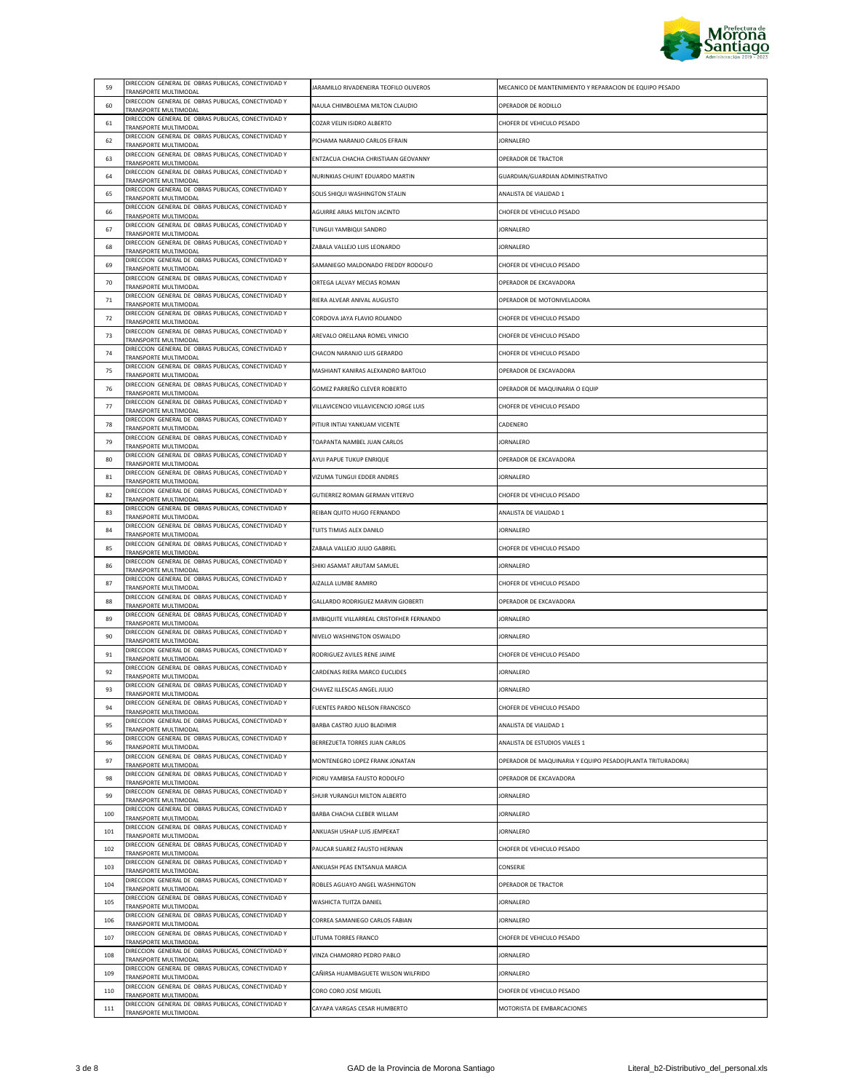

| 59  | DIRECCION GENERAL DE OBRAS PUBLICAS, CONECTIVIDAD Y                                 | JARAMILLO RIVADENEIRA TEOFILO OLIVEROS    | MECANICO DE MANTENIMIENTO Y REPARACION DE EQUIPO PESADO    |
|-----|-------------------------------------------------------------------------------------|-------------------------------------------|------------------------------------------------------------|
| 60  | TRANSPORTE MULTIMODAL<br>DIRECCION GENERAL DE OBRAS PUBLICAS, CONECTIVIDAD Y        | NAULA CHIMBOLEMA MILTON CLAUDIO           | OPERADOR DE RODILLO                                        |
|     | TRANSPORTE MULTIMODAL<br>DIRECCION GENERAL DE OBRAS PUBLICAS, CONECTIVIDAD Y        |                                           | CHOFER DE VEHICULO PESADO                                  |
| 61  | TRANSPORTE MULTIMODAL<br>DIRECCION GENERAL DE OBRAS PUBLICAS, CONECTIVIDAD Y        | COZAR VELIN ISIDRO ALBERTO                |                                                            |
| 62  | TRANSPORTE MULTIMODAL<br>DIRECCION GENERAL DE OBRAS PUBLICAS, CONECTIVIDAD Y        | PICHAMA NARANJO CARLOS EFRAIN             | <b>JORNALERO</b>                                           |
| 63  | TRANSPORTE MULTIMODAL<br>DIRECCION GENERAL DE OBRAS PUBLICAS, CONECTIVIDAD Y        | ENTZACUA CHACHA CHRISTIAAN GEOVANNY       | OPERADOR DE TRACTOR                                        |
| 64  | TRANSPORTE MULTIMODAL<br>DIRECCION GENERAL DE OBRAS PUBLICAS, CONECTIVIDAD Y        | NURINKIAS CHUINT EDUARDO MARTIN           | GUARDIAN/GUARDIAN ADMINISTRATIVO                           |
| 65  | TRANSPORTE MULTIMODAL                                                               | SOLIS SHIQUI WASHINGTON STALIN            | ANALISTA DE VIALIDAD 1                                     |
| 66  | DIRECCION GENERAL DE OBRAS PUBLICAS, CONECTIVIDAD Y<br>TRANSPORTE MULTIMODAL        | AGUIRRE ARIAS MILTON JACINTO              | CHOFER DE VEHICULO PESADO                                  |
| 67  | DIRECCION GENERAL DE OBRAS PUBLICAS, CONECTIVIDAD Y<br>TRANSPORTE MULTIMODAL        | TUNGUI YAMBIQUI SANDRO                    | <b>JORNALERO</b>                                           |
| 68  | DIRECCION GENERAL DE OBRAS PUBLICAS, CONECTIVIDAD Y<br>TRANSPORTE MULTIMODAL        | ZABALA VALLEJO LUIS LEONARDO              | JORNALERO                                                  |
| 69  | DIRECCION GENERAL DE OBRAS PUBLICAS, CONECTIVIDAD Y<br>TRANSPORTE MULTIMODAL        | SAMANIEGO MALDONADO FREDDY RODOLFO        | CHOFER DE VEHICULO PESADO                                  |
| 70  | DIRECCION GENERAL DE OBRAS PUBLICAS, CONECTIVIDAD Y<br>TRANSPORTE MULTIMODAL        | ORTEGA LALVAY MECIAS ROMAN                | OPERADOR DE EXCAVADORA                                     |
| 71  | DIRECCION GENERAL DE OBRAS PUBLICAS, CONECTIVIDAD Y<br>TRANSPORTE MULTIMODAL        | RIERA ALVEAR ANIVAL AUGUSTO               | OPERADOR DE MOTONIVELADORA                                 |
| 72  | DIRECCION GENERAL DE OBRAS PUBLICAS, CONECTIVIDAD Y<br>TRANSPORTE MULTIMODAL        | CORDOVA JAYA FLAVIO ROLANDO               | CHOFER DE VEHICULO PESADO                                  |
| 73  | DIRECCION GENERAL DE OBRAS PUBLICAS, CONECTIVIDAD Y<br>TRANSPORTE MULTIMODAL        | AREVALO ORELLANA ROMEL VINICIO            | CHOFER DE VEHICULO PESADO                                  |
| 74  | DIRECCION GENERAL DE OBRAS PUBLICAS, CONECTIVIDAD Y<br>TRANSPORTE MULTIMODAL        | CHACON NARANJO LUIS GERARDO               | CHOFER DE VEHICULO PESADO                                  |
| 75  | DIRECCION GENERAL DE OBRAS PUBLICAS, CONECTIVIDAD Y<br>TRANSPORTE MULTIMODAL        | MASHIANT KANIRAS ALEXANDRO BARTOLO        | OPERADOR DE EXCAVADORA                                     |
| 76  | DIRECCION GENERAL DE OBRAS PUBLICAS, CONECTIVIDAD Y<br>TRANSPORTE MULTIMODAL        | GOMEZ PARREÑO CLEVER ROBERTO              | OPERADOR DE MAQUINARIA O EQUIP                             |
| 77  | DIRECCION GENERAL DE OBRAS PUBLICAS, CONECTIVIDAD Y<br>TRANSPORTE MULTIMODAL        | VILLAVICENCIO VILLAVICENCIO JORGE LUIS    | CHOFER DE VEHICULO PESADO                                  |
| 78  | DIRECCION GENERAL DE OBRAS PUBLICAS, CONECTIVIDAD Y<br>TRANSPORTE MULTIMODAL        | PITIUR INTIAI YANKUAM VICENTE             | CADENERO                                                   |
| 79  | DIRECCION GENERAL DE OBRAS PUBLICAS, CONECTIVIDAD Y<br>TRANSPORTE MULTIMODAL        | TOAPANTA NAMBEL JUAN CARLOS               | JORNALERO                                                  |
| 80  | DIRECCION GENERAL DE OBRAS PUBLICAS, CONECTIVIDAD Y<br>TRANSPORTE MULTIMODAL        | AYUI PAPUE TUKUP ENRIQUE                  | OPERADOR DE EXCAVADORA                                     |
| 81  | DIRECCION GENERAL DE OBRAS PUBLICAS, CONECTIVIDAD Y<br>TRANSPORTE MULTIMODAL        | VIZUMA TUNGUI EDDER ANDRES                | <b>JORNALERO</b>                                           |
| 82  | DIRECCION GENERAL DE OBRAS PUBLICAS, CONECTIVIDAD Y<br>TRANSPORTE MULTIMODAL        | GUTIERREZ ROMAN GERMAN VITERVO            | CHOFER DE VEHICULO PESADO                                  |
| 83  | DIRECCION GENERAL DE OBRAS PUBLICAS, CONECTIVIDAD Y<br>TRANSPORTE MULTIMODAL        | REIBAN QUITO HUGO FERNANDO                | ANALISTA DE VIALIDAD 1                                     |
| 84  | DIRECCION GENERAL DE OBRAS PUBLICAS, CONECTIVIDAD Y<br>TRANSPORTE MULTIMODAL        | TUITS TIMIAS ALEX DANILO                  | <b>JORNALERO</b>                                           |
| 85  | DIRECCION GENERAL DE OBRAS PUBLICAS, CONECTIVIDAD Y<br>TRANSPORTE MULTIMODAL        | ZABALA VALLEJO JULIO GABRIEL              | CHOFER DE VEHICULO PESADO                                  |
| 86  | DIRECCION GENERAL DE OBRAS PUBLICAS, CONECTIVIDAD Y<br>TRANSPORTE MULTIMODAL        | SHIKI ASAMAT ARUTAM SAMUEL                | JORNALERO                                                  |
| 87  | DIRECCION GENERAL DE OBRAS PUBLICAS, CONECTIVIDAD Y<br>TRANSPORTE MULTIMODAL        | AIZALLA LUMBE RAMIRO                      | CHOFER DE VEHICULO PESADO                                  |
| 88  | DIRECCION GENERAL DE OBRAS PUBLICAS, CONECTIVIDAD Y<br>TRANSPORTE MULTIMODAL        | GALLARDO RODRIGUEZ MARVIN GIOBERTI        | OPERADOR DE EXCAVADORA                                     |
| 89  | DIRECCION GENERAL DE OBRAS PUBLICAS, CONECTIVIDAD Y<br>TRANSPORTE MULTIMODAL        | JIMBIQUITE VILLARREAL CRISTOFHER FERNANDO | <b>JORNALERO</b>                                           |
| 90  | DIRECCION GENERAL DE OBRAS PUBLICAS, CONECTIVIDAD Y<br>TRANSPORTE MULTIMODAL        | NIVELO WASHINGTON OSWALDO                 | <b>JORNALERO</b>                                           |
| 91  | DIRECCION GENERAL DE OBRAS PUBLICAS, CONECTIVIDAD Y<br>TRANSPORTE MULTIMODAL        | RODRIGUEZ AVILES RENE JAIME               | CHOFER DE VEHICULO PESADO                                  |
| 92  | DIRECCION GENERAL DE OBRAS PUBLICAS, CONECTIVIDAD Y<br>TRANSPORTE MULTIMODAL        | CARDENAS RIERA MARCO EUCLIDES             | <b>JORNALERO</b>                                           |
| 93  | DIRECCION GENERAL DE OBRAS PUBLICAS, CONECTIVIDAD Y<br>TRANSPORTE MULTIMODAL        | CHAVEZ ILLESCAS ANGEL JULIO               | <b>JORNALERO</b>                                           |
| 94  | DIRECCION GENERAL DE OBRAS PUBLICAS, CONECTIVIDAD Y<br>TRANSPORTE MULTIMODAL        | FUENTES PARDO NELSON FRANCISCO            | CHOFER DE VEHICULO PESADO                                  |
| 95  | DIRECCION GENERAL DE OBRAS PUBLICAS, CONECTIVIDAD Y<br>TRANSPORTE MULTIMODAL        | BARBA CASTRO JULIO BLADIMIR               | ANALISTA DE VIALIDAD 1                                     |
| 96  | DIRECCION GENERAL DE OBRAS PUBLICAS, CONECTIVIDAD Y<br>TRANSPORTE MULTIMODAL        | BERREZUETA TORRES JUAN CARLOS             | ANALISTA DE ESTUDIOS VIALES 1                              |
| 97  | DIRECCION GENERAL DE OBRAS PUBLICAS, CONECTIVIDAD Y<br>TRANSPORTE MULTIMODAL        | MONTENEGRO LOPEZ FRANK JONATAN            | OPERADOR DE MAQUINARIA Y EQUIPO PESADO(PLANTA TRITURADORA) |
| 98  | DIRECCION GENERAL DE OBRAS PUBLICAS, CONECTIVIDAD Y<br>TRANSPORTE MULTIMODAL        | PIDRU YAMBISA FAUSTO RODOLFO              | OPERADOR DE EXCAVADORA                                     |
| 99  | DIRECCION GENERAL DE OBRAS PUBLICAS, CONECTIVIDAD Y<br>TRANSPORTE MULTIMODAL        | SHUIR YURANGUI MILTON ALBERTO             | <b>JORNALERO</b>                                           |
| 100 | DIRECCION GENERAL DE OBRAS PUBLICAS, CONECTIVIDAD Y<br>TRANSPORTE MULTIMODAL        | BARBA CHACHA CLEBER WILLAM                | JORNALERO                                                  |
| 101 | DIRECCION GENERAL DE OBRAS PUBLICAS, CONECTIVIDAD Y<br><b>FRANSPORTE MULTIMODAL</b> | ANKUASH USHAP LUIS JEMPEKAT               | <b>JORNALERO</b>                                           |
| 102 | DIRECCION GENERAL DE OBRAS PUBLICAS, CONECTIVIDAD Y<br>TRANSPORTE MULTIMODAL        | PAUCAR SUAREZ FAUSTO HERNAN               | CHOFER DE VEHICULO PESADO                                  |
| 103 | DIRECCION GENERAL DE OBRAS PUBLICAS, CONECTIVIDAD Y                                 | ANKUASH PEAS ENTSANUA MARCIA              | CONSERJE                                                   |
| 104 | TRANSPORTE MULTIMODAL<br>DIRECCION GENERAL DE OBRAS PUBLICAS, CONECTIVIDAD Y        | ROBLES AGUAYO ANGEL WASHINGTON            | OPERADOR DE TRACTOR                                        |
| 105 | TRANSPORTE MULTIMODAL<br>DIRECCION GENERAL DE OBRAS PUBLICAS, CONECTIVIDAD Y        | WASHICTA TUITZA DANIEL                    | <b>JORNALERO</b>                                           |
| 106 | TRANSPORTE MULTIMODAL<br>DIRECCION GENERAL DE OBRAS PUBLICAS, CONECTIVIDAD Y        | CORREA SAMANIEGO CARLOS FABIAN            | <b>JORNALERO</b>                                           |
| 107 | TRANSPORTE MULTIMODAL<br>DIRECCION GENERAL DE OBRAS PUBLICAS, CONECTIVIDAD Y        | LITUMA TORRES FRANCO                      | CHOFER DE VEHICULO PESADO                                  |
| 108 | TRANSPORTE MULTIMODAL<br>DIRECCION GENERAL DE OBRAS PUBLICAS, CONECTIVIDAD Y        | VINZA CHAMORRO PEDRO PABLO                | <b>JORNALERO</b>                                           |
| 109 | TRANSPORTE MULTIMODAL<br>DIRECCION GENERAL DE OBRAS PUBLICAS, CONECTIVIDAD Y        | CAÑIRSA HUAMBAGUETE WILSON WILFRIDO       | JORNALERO                                                  |
| 110 | TRANSPORTE MULTIMODAL<br>DIRECCION GENERAL DE OBRAS PUBLICAS, CONECTIVIDAD Y        | CORO CORO JOSE MIGUEL                     | CHOFER DE VEHICULO PESADO                                  |
| 111 | TRANSPORTE MULTIMODAL<br>DIRECCION GENERAL DE OBRAS PUBLICAS, CONECTIVIDAD Y        | CAYAPA VARGAS CESAR HUMBERTO              | MOTORISTA DE EMBARCACIONES                                 |
|     | TRANSPORTE MULTIMODAL                                                               |                                           |                                                            |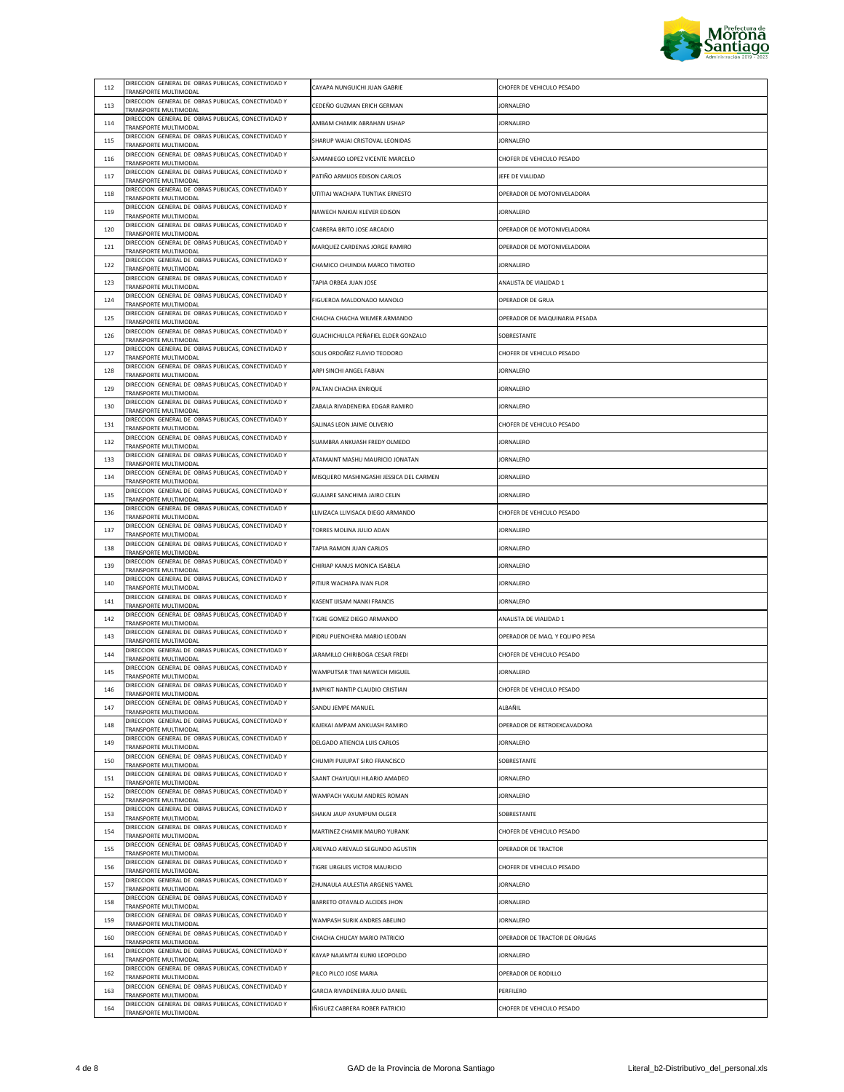

| 112 | DIRECCION GENERAL DE OBRAS PUBLICAS, CONECTIVIDAD Y                                 | CAYAPA NUNGUICHI JUAN GABRIE            | CHOFER DE VEHICULO PESADO      |
|-----|-------------------------------------------------------------------------------------|-----------------------------------------|--------------------------------|
|     | TRANSPORTE MULTIMODAL<br>DIRECCION GENERAL DE OBRAS PUBLICAS, CONECTIVIDAD Y        | CEDEÑO GUZMAN ERICH GERMAN              | <b>JORNALERO</b>               |
| 113 | TRANSPORTE MULTIMODAL<br>DIRECCION GENERAL DE OBRAS PUBLICAS, CONECTIVIDAD Y        |                                         |                                |
| 114 | TRANSPORTE MULTIMODAL<br>DIRECCION GENERAL DE OBRAS PUBLICAS, CONECTIVIDAD Y        | AMBAM CHAMIK ABRAHAN USHAP              | <b>JORNALERO</b>               |
| 115 | TRANSPORTE MULTIMODAL<br>DIRECCION GENERAL DE OBRAS PUBLICAS, CONECTIVIDAD Y        | SHARUP WAJAI CRISTOVAL LEONIDAS         | <b>JORNALERO</b>               |
| 116 | TRANSPORTE MULTIMODAL                                                               | SAMANIEGO LOPEZ VICENTE MARCELO         | CHOFER DE VEHICULO PESADO      |
| 117 | DIRECCION GENERAL DE OBRAS PUBLICAS, CONECTIVIDAD Y<br>TRANSPORTE MULTIMODAL        | PATIÑO ARMIJOS EDISON CARLOS            | JEFE DE VIALIDAD               |
| 118 | DIRECCION GENERAL DE OBRAS PUBLICAS, CONECTIVIDAD Y<br>TRANSPORTE MULTIMODAL        | UTITIAJ WACHAPA TUNTIAK ERNESTO         | OPERADOR DE MOTONIVELADORA     |
| 119 | DIRECCION GENERAL DE OBRAS PUBLICAS, CONECTIVIDAD Y<br>TRANSPORTE MULTIMODAL        | NAWECH NAIKIAI KLEVER EDISON            | JORNALERO                      |
| 120 | DIRECCION GENERAL DE OBRAS PUBLICAS, CONECTIVIDAD Y<br>TRANSPORTE MULTIMODAL        | CABRERA BRITO JOSE ARCADIO              | OPERADOR DE MOTONIVELADORA     |
| 121 | DIRECCION GENERAL DE OBRAS PUBLICAS, CONECTIVIDAD Y<br>TRANSPORTE MULTIMODAL        | MARQUEZ CARDENAS JORGE RAMIRO           | OPERADOR DE MOTONIVELADORA     |
| 122 | DIRECCION GENERAL DE OBRAS PUBLICAS, CONECTIVIDAD Y<br>TRANSPORTE MULTIMODAL        | CHAMICO CHUINDIA MARCO TIMOTEO          | <b>JORNALERO</b>               |
| 123 | DIRECCION GENERAL DE OBRAS PUBLICAS, CONECTIVIDAD Y                                 | TAPIA ORBEA JUAN JOSE                   | ANALISTA DE VIALIDAD 1         |
| 124 | TRANSPORTE MULTIMODAL<br>DIRECCION GENERAL DE OBRAS PUBLICAS, CONECTIVIDAD Y        | FIGUEROA MALDONADO MANOLO               | OPERADOR DE GRUA               |
| 125 | TRANSPORTE MULTIMODAL<br>DIRECCION GENERAL DE OBRAS PUBLICAS, CONECTIVIDAD Y        | CHACHA CHACHA WILMER ARMANDO            | OPERADOR DE MAQUINARIA PESADA  |
|     | <b>FRANSPORTE MULTIMODAL</b><br>DIRECCION GENERAL DE OBRAS PUBLICAS, CONECTIVIDAD Y |                                         |                                |
| 126 | TRANSPORTE MULTIMODAL<br>DIRECCION GENERAL DE OBRAS PUBLICAS, CONECTIVIDAD Y        | GUACHICHULCA PEÑAFIEL ELDER GONZALO     | SOBRESTANTE                    |
| 127 | TRANSPORTE MULTIMODAL<br>DIRECCION GENERAL DE OBRAS PUBLICAS, CONECTIVIDAD Y        | SOLIS ORDOÑEZ FLAVIO TEODORO            | CHOFER DE VEHICULO PESADO      |
| 128 | TRANSPORTE MULTIMODAL<br>DIRECCION GENERAL DE OBRAS PUBLICAS, CONECTIVIDAD Y        | ARPI SINCHI ANGEL FABIAN                | JORNALERO                      |
| 129 | TRANSPORTE MULTIMODAL<br>DIRECCION GENERAL DE OBRAS PUBLICAS, CONECTIVIDAD Y        | PALTAN CHACHA ENRIQUE                   | <b>JORNALERO</b>               |
| 130 | TRANSPORTE MULTIMODAL                                                               | ZABALA RIVADENEIRA EDGAR RAMIRO         | <b>JORNALERO</b>               |
| 131 | DIRECCION GENERAL DE OBRAS PUBLICAS, CONECTIVIDAD Y<br>TRANSPORTE MULTIMODAL        | SALINAS LEON JAIME OLIVERIO             | CHOFER DE VEHICULO PESADO      |
| 132 | DIRECCION GENERAL DE OBRAS PUBLICAS, CONECTIVIDAD Y<br>TRANSPORTE MULTIMODAL        | SUAMBRA ANKUASH FREDY OLMEDO            | JORNALERO                      |
| 133 | DIRECCION GENERAL DE OBRAS PUBLICAS, CONECTIVIDAD Y<br>TRANSPORTE MULTIMODAL        | ATAMAINT MASHU MAURICIO JONATAN         | JORNALERO                      |
| 134 | DIRECCION GENERAL DE OBRAS PUBLICAS, CONECTIVIDAD Y<br>TRANSPORTE MULTIMODAL        | MISQUERO MASHINGASHI JESSICA DEL CARMEN | <b>JORNALERO</b>               |
| 135 | DIRECCION GENERAL DE OBRAS PUBLICAS, CONECTIVIDAD Y<br>TRANSPORTE MULTIMODAL        | GUAJARE SANCHIMA JAIRO CELIN            | JORNALERO                      |
| 136 | DIRECCION GENERAL DE OBRAS PUBLICAS, CONECTIVIDAD Y<br>TRANSPORTE MULTIMODAL        | LLIVIZACA LLIVISACA DIEGO ARMANDO       | CHOFER DE VEHICULO PESADO      |
| 137 | DIRECCION GENERAL DE OBRAS PUBLICAS, CONECTIVIDAD Y<br>TRANSPORTE MULTIMODAL        | TORRES MOLINA JULIO ADAN                | <b>JORNALERO</b>               |
| 138 | DIRECCION GENERAL DE OBRAS PUBLICAS, CONECTIVIDAD Y<br>TRANSPORTE MULTIMODAL        | TAPIA RAMON JUAN CARLOS                 | JORNALERO                      |
| 139 | DIRECCION GENERAL DE OBRAS PUBLICAS, CONECTIVIDAD Y<br><b>FRANSPORTE MULTIMODAL</b> | CHIRIAP KANUS MONICA ISABELA            | JORNALERO                      |
| 140 | DIRECCION GENERAL DE OBRAS PUBLICAS, CONECTIVIDAD Y<br>TRANSPORTE MULTIMODAL        | PITIUR WACHAPA IVAN FLOR                | <b>JORNALERO</b>               |
| 141 | DIRECCION GENERAL DE OBRAS PUBLICAS, CONECTIVIDAD Y<br>TRANSPORTE MULTIMODAL        | KASENT IJISAM NANKI FRANCIS             | <b>JORNALERO</b>               |
| 142 | DIRECCION GENERAL DE OBRAS PUBLICAS, CONECTIVIDAD Y<br>TRANSPORTE MULTIMODAL        | TIGRE GOMEZ DIEGO ARMANDO               | ANALISTA DE VIALIDAD 1         |
| 143 | DIRECCION GENERAL DE OBRAS PUBLICAS, CONECTIVIDAD Y<br>TRANSPORTE MULTIMODAL        | PIDRU PUENCHERA MARIO LEODAN            | OPERADOR DE MAQ. Y EQUIPO PESA |
| 144 | DIRECCION GENERAL DE OBRAS PUBLICAS, CONECTIVIDAD Y<br>TRANSPORTE MULTIMODAL        | JARAMILLO CHIRIBOGA CESAR FREDI         | CHOFER DE VEHICULO PESADO      |
| 145 | DIRECCION GENERAL DE OBRAS PUBLICAS, CONECTIVIDAD Y                                 | WAMPUTSAR TIWI NAWECH MIGUEL            | <b>JORNALERO</b>               |
| 146 | TRANSPORTE MULTIMODAL<br>DIRECCION GENERAL DE OBRAS PUBLICAS, CONECTIVIDAD Y        | JIMPIKIT NANTIP CLAUDIO CRISTIAN        | CHOFER DE VEHICULO PESADO      |
| 147 | <b>FRANSPORTE MULTIMODAL</b><br>DIRECCION GENERAL DE OBRAS PUBLICAS, CONECTIVIDAD Y | SANDU JEMPE MANUEL                      | ALBAÑIL                        |
| 148 | TRANSPORTE MULTIMODAL<br>DIRECCION GENERAL DE OBRAS PUBLICAS, CONECTIVIDAD Y        |                                         | OPERADOR DE RETROEXCAVADORA    |
|     | TRANSPORTE MULTIMODAL<br>DIRECCION GENERAL DE OBRAS PUBLICAS, CONECTIVIDAD Y        | KAJEKAI AMPAM ANKUASH RAMIRO            |                                |
| 149 | TRANSPORTE MULTIMODAL<br>DIRECCION GENERAL DE OBRAS PUBLICAS, CONECTIVIDAD Y        | DELGADO ATIENCIA LUIS CARLOS            | <b>JORNALERO</b>               |
| 150 | TRANSPORTE MULTIMODAL<br>DIRECCION GENERAL DE OBRAS PUBLICAS, CONECTIVIDAD Y        | CHUMPI PUJUPAT SIRO FRANCISCO           | SOBRESTANTE                    |
| 151 | TRANSPORTE MULTIMODAL<br>DIRECCION GENERAL DE OBRAS PUBLICAS, CONECTIVIDAD Y        | SAANT CHAYUQUI HILARIO AMADEO           | JORNALERO                      |
| 152 | TRANSPORTE MULTIMODAL<br>DIRECCION GENERAL DE OBRAS PUBLICAS, CONECTIVIDAD Y        | WAMPACH YAKUM ANDRES ROMAN              | <b>JORNALERO</b>               |
| 153 | <b>FRANSPORTE MULTIMODAL</b>                                                        | SHAKAI JAUP AYUMPUM OLGER               | SOBRESTANTE                    |
| 154 | DIRECCION GENERAL DE OBRAS PUBLICAS, CONECTIVIDAD Y<br>TRANSPORTE MULTIMODAL        | MARTINEZ CHAMIK MAURO YURANK            | CHOFER DE VEHICULO PESADO      |
| 155 | DIRECCION GENERAL DE OBRAS PUBLICAS, CONECTIVIDAD Y<br>TRANSPORTE MULTIMODAL        | AREVALO AREVALO SEGUNDO AGUSTIN         | OPERADOR DE TRACTOR            |
| 156 | DIRECCION GENERAL DE OBRAS PUBLICAS, CONECTIVIDAD Y<br>TRANSPORTE MULTIMODAL        | TIGRE URGILES VICTOR MAURICIO           | CHOFER DE VEHICULO PESADO      |
| 157 | DIRECCION GENERAL DE OBRAS PUBLICAS, CONECTIVIDAD Y<br>TRANSPORTE MULTIMODAL        | ZHUNAULA AULESTIA ARGENIS YAMEL         | JORNALERO                      |
| 158 | DIRECCION GENERAL DE OBRAS PUBLICAS, CONECTIVIDAD Y<br>TRANSPORTE MULTIMODAL        | BARRETO OTAVALO ALCIDES JHON            | JORNALERO                      |
| 159 | DIRECCION GENERAL DE OBRAS PUBLICAS, CONECTIVIDAD Y<br>TRANSPORTE MULTIMODAL        | WAMPASH SURIK ANDRES ABELINO            | <b>JORNALERO</b>               |
| 160 | DIRECCION GENERAL DE OBRAS PUBLICAS, CONECTIVIDAD Y<br><b>FRANSPORTE MULTIMODAL</b> | CHACHA CHUCAY MARIO PATRICIO            | OPERADOR DE TRACTOR DE ORUGAS  |
| 161 | DIRECCION GENERAL DE OBRAS PUBLICAS, CONECTIVIDAD Y<br>TRANSPORTE MULTIMODAL        | KAYAP NAJAMTAI KUNKI LEOPOLDO           | <b>JORNALERO</b>               |
| 162 | DIRECCION GENERAL DE OBRAS PUBLICAS, CONECTIVIDAD Y<br>TRANSPORTE MULTIMODAL        | PILCO PILCO JOSE MARIA                  | OPERADOR DE RODILLO            |
| 163 | DIRECCION GENERAL DE OBRAS PUBLICAS, CONECTIVIDAD Y<br>TRANSPORTE MULTIMODAL        | GARCIA RIVADENEIRA JULIO DANIEL         | PERFILERO                      |
| 164 | DIRECCION GENERAL DE OBRAS PUBLICAS, CONECTIVIDAD Y<br>TRANSPORTE MULTIMODAL        | IÑIGUEZ CABRERA ROBER PATRICIO          | CHOFER DE VEHICULO PESADO      |
|     |                                                                                     |                                         |                                |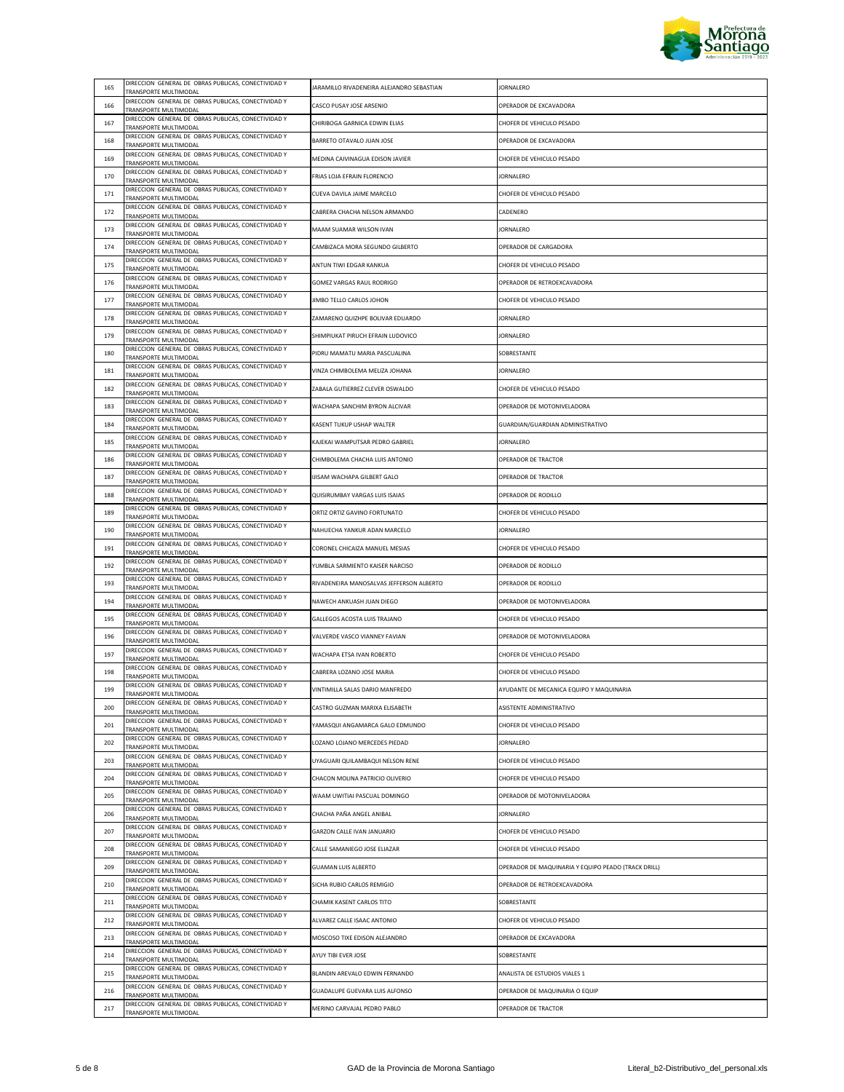

|     | DIRECCION GENERAL DE OBRAS PUBLICAS, CONECTIVIDAD Y                                                           |                                           |                                                     |
|-----|---------------------------------------------------------------------------------------------------------------|-------------------------------------------|-----------------------------------------------------|
| 165 | TRANSPORTE MULTIMODAL<br>DIRECCION GENERAL DE OBRAS PUBLICAS, CONECTIVIDAD Y                                  | JARAMILLO RIVADENEIRA ALEJANDRO SEBASTIAN | <b>JORNALERO</b>                                    |
| 166 | TRANSPORTE MULTIMODAL                                                                                         | CASCO PUSAY JOSE ARSENIO                  | OPERADOR DE EXCAVADORA                              |
| 167 | DIRECCION GENERAL DE OBRAS PUBLICAS, CONECTIVIDAD Y<br>TRANSPORTE MULTIMODAL                                  | CHIRIBOGA GARNICA EDWIN ELIAS             | CHOFER DE VEHICULO PESADO                           |
| 168 | DIRECCION GENERAL DE OBRAS PUBLICAS, CONECTIVIDAD Y<br>TRANSPORTE MULTIMODAL                                  | BARRETO OTAVALO JUAN JOSE                 | OPERADOR DE EXCAVADORA                              |
| 169 | DIRECCION GENERAL DE OBRAS PUBLICAS, CONECTIVIDAD Y<br>TRANSPORTE MULTIMODAL                                  | MEDINA CAIVINAGUA EDISON JAVIER           | CHOFER DE VEHICULO PESADO                           |
| 170 | DIRECCION GENERAL DE OBRAS PUBLICAS, CONECTIVIDAD Y<br>TRANSPORTE MULTIMODAL                                  | FRIAS LOJA EFRAIN FLORENCIO               | <b>JORNALERO</b>                                    |
| 171 | DIRECCION GENERAL DE OBRAS PUBLICAS, CONECTIVIDAD Y<br>TRANSPORTE MULTIMODAL                                  | CUEVA DAVILA JAIME MARCELO                | CHOFER DE VEHICULO PESADO                           |
| 172 | DIRECCION GENERAL DE OBRAS PUBLICAS, CONECTIVIDAD Y<br>TRANSPORTE MULTIMODAL                                  | CABRERA CHACHA NELSON ARMANDO             | CADENERO                                            |
| 173 | DIRECCION GENERAL DE OBRAS PUBLICAS, CONECTIVIDAD Y<br>TRANSPORTE MULTIMODAL                                  | MAAM SUAMAR WILSON IVAN                   | <b>JORNALERO</b>                                    |
| 174 | DIRECCION GENERAL DE OBRAS PUBLICAS, CONECTIVIDAD Y<br>TRANSPORTE MULTIMODAL                                  | CAMBIZACA MORA SEGUNDO GILBERTO           | OPERADOR DE CARGADORA                               |
| 175 | DIRECCION GENERAL DE OBRAS PUBLICAS, CONECTIVIDAD Y<br>TRANSPORTE MULTIMODAL                                  | ANTUN TIWI EDGAR KANKUA                   | CHOFER DE VEHICULO PESADO                           |
| 176 | DIRECCION GENERAL DE OBRAS PUBLICAS, CONECTIVIDAD Y<br>TRANSPORTE MULTIMODAL                                  | GOMEZ VARGAS RAUL RODRIGO                 | OPERADOR DE RETROEXCAVADORA                         |
| 177 | DIRECCION GENERAL DE OBRAS PUBLICAS, CONECTIVIDAD Y<br>TRANSPORTE MULTIMODAL                                  | JIMBO TELLO CARLOS JOHON                  | CHOFER DE VEHICULO PESADO                           |
| 178 | DIRECCION GENERAL DE OBRAS PUBLICAS, CONECTIVIDAD Y                                                           | ZAMARENO QUIZHPE BOLIVAR EDUARDO          | JORNALERO                                           |
| 179 | TRANSPORTE MULTIMODAL<br>DIRECCION GENERAL DE OBRAS PUBLICAS, CONECTIVIDAD Y                                  | SHIMPIUKAT PIRUCH EFRAIN LUDOVICO         | <b>JORNALERO</b>                                    |
| 180 | TRANSPORTE MULTIMODAL<br>DIRECCION GENERAL DE OBRAS PUBLICAS, CONECTIVIDAD Y                                  | PIDRU MAMATU MARIA PASCUALINA             | SOBRESTANTE                                         |
| 181 | TRANSPORTE MULTIMODAL<br>DIRECCION GENERAL DE OBRAS PUBLICAS, CONECTIVIDAD Y                                  | VINZA CHIMBOLEMA MELIZA JOHANA            | <b>JORNALERO</b>                                    |
| 182 | TRANSPORTE MULTIMODAL<br>DIRECCION GENERAL DE OBRAS PUBLICAS, CONECTIVIDAD Y                                  |                                           |                                                     |
|     | TRANSPORTE MULTIMODAL<br>DIRECCION GENERAL DE OBRAS PUBLICAS, CONECTIVIDAD Y                                  | ZABALA GUTIERREZ CLEVER OSWALDO           | CHOFER DE VEHICULO PESADO                           |
| 183 | TRANSPORTE MULTIMODAL<br>DIRECCION GENERAL DE OBRAS PUBLICAS, CONECTIVIDAD Y                                  | WACHAPA SANCHIM BYRON ALCIVAR             | OPERADOR DE MOTONIVELADORA                          |
| 184 | TRANSPORTE MULTIMODAL<br>DIRECCION GENERAL DE OBRAS PUBLICAS, CONECTIVIDAD Y                                  | KASENT TUKUP USHAP WALTER                 | GUARDIAN/GUARDIAN ADMINISTRATIVO                    |
| 185 | TRANSPORTE MULTIMODAL<br>DIRECCION GENERAL DE OBRAS PUBLICAS, CONECTIVIDAD Y                                  | KAJEKAI WAMPUTSAR PEDRO GABRIEL           | JORNALERO                                           |
| 186 | TRANSPORTE MULTIMODAL<br>DIRECCION GENERAL DE OBRAS PUBLICAS, CONECTIVIDAD Y                                  | CHIMBOLEMA CHACHA LUIS ANTONIO            | OPERADOR DE TRACTOR                                 |
| 187 | TRANSPORTE MULTIMODAL                                                                                         | IJISAM WACHAPA GILBERT GALO               | OPERADOR DE TRACTOR                                 |
| 188 | DIRECCION GENERAL DE OBRAS PUBLICAS, CONECTIVIDAD Y<br>TRANSPORTE MULTIMODAL                                  | QUISIRUMBAY VARGAS LUIS ISAIAS            | OPERADOR DE RODILLO                                 |
| 189 | DIRECCION GENERAL DE OBRAS PUBLICAS, CONECTIVIDAD Y<br>TRANSPORTE MULTIMODAL                                  | ORTIZ ORTIZ GAVINO FORTUNATO              | CHOFER DE VEHICULO PESADO                           |
| 190 | DIRECCION GENERAL DE OBRAS PUBLICAS, CONECTIVIDAD Y<br>TRANSPORTE MULTIMODAL                                  | NAHUECHA YANKUR ADAN MARCELO              | <b>JORNALERO</b>                                    |
| 191 | DIRECCION GENERAL DE OBRAS PUBLICAS, CONECTIVIDAD Y<br>TRANSPORTE MULTIMODAL                                  | CORONEL CHICAIZA MANUEL MESIAS            | CHOFER DE VEHICULO PESADO                           |
| 192 | DIRECCION GENERAL DE OBRAS PUBLICAS, CONECTIVIDAD Y<br>TRANSPORTE MULTIMODAL                                  | YUMBLA SARMIENTO KAISER NARCISO           | OPERADOR DE RODILLO                                 |
| 193 | DIRECCION GENERAL DE OBRAS PUBLICAS, CONECTIVIDAD Y<br>TRANSPORTE MULTIMODAL                                  | RIVADENEIRA MANOSALVAS JEFFERSON ALBERTO  | OPERADOR DE RODILLO                                 |
| 194 | DIRECCION GENERAL DE OBRAS PUBLICAS, CONECTIVIDAD Y<br>TRANSPORTE MULTIMODAL                                  | NAWECH ANKUASH JUAN DIEGO                 | OPERADOR DE MOTONIVELADORA                          |
| 195 | DIRECCION GENERAL DE OBRAS PUBLICAS, CONECTIVIDAD Y<br>TRANSPORTE MULTIMODAL                                  | GALLEGOS ACOSTA LUIS TRAJANO              | CHOFER DE VEHICULO PESADO                           |
| 196 | DIRECCION GENERAL DE OBRAS PUBLICAS, CONECTIVIDAD Y<br>TRANSPORTE MULTIMODAL                                  | VALVERDE VASCO VIANNEY FAVIAN             | OPERADOR DE MOTONIVELADORA                          |
| 197 | DIRECCION GENERAL DE OBRAS PUBLICAS, CONECTIVIDAD Y<br>TRANSPORTE MULTIMODAL                                  | WACHAPA ETSA IVAN ROBERTO                 | CHOFER DE VEHICULO PESADO                           |
| 198 | DIRECCION GENERAL DE OBRAS PUBLICAS, CONECTIVIDAD Y                                                           | CABRERA LOZANO JOSE MARIA                 | CHOFER DE VEHICULO PESADO                           |
| 199 | TRANSPORTE MULTIMODAL<br>DIRECCION GENERAL DE OBRAS PUBLICAS, CONECTIVIDAD Y<br><b>TRANSPORTE MILITIMODAL</b> | VINTIMILLA SALAS DARIO MANFREDO           | AYUDANTE DE MECANICA EQUIPO Y MAQUINARIA            |
| 200 | DIRECCION GENERAL DE OBRAS PUBLICAS, CONECTIVIDAD Y                                                           | CASTRO GUZMAN MARIXA ELISABETH            | ASISTENTE ADMINISTRATIVO                            |
| 201 | TRANSPORTE MULTIMODAL<br>DIRECCION GENERAL DE OBRAS PUBLICAS, CONECTIVIDAD Y                                  | YAMASQUI ANGAMARCA GALO EDMUNDO           | CHOFER DE VEHICULO PESADO                           |
| 202 | TRANSPORTE MULTIMODAL<br>DIRECCION GENERAL DE OBRAS PUBLICAS, CONECTIVIDAD Y                                  | LOZANO LOJANO MERCEDES PIEDAD             | <b>JORNALERO</b>                                    |
| 203 | TRANSPORTE MULTIMODAL<br>DIRECCION GENERAL DE OBRAS PUBLICAS, CONECTIVIDAD Y                                  | UYAGUARI QUILAMBAQUI NELSON RENE          | CHOFER DE VEHICULO PESADO                           |
| 204 | TRANSPORTE MULTIMODAL<br>DIRECCION GENERAL DE OBRAS PUBLICAS, CONECTIVIDAD Y                                  | CHACON MOLINA PATRICIO OLIVERIO           | CHOFER DE VEHICULO PESADO                           |
|     | TRANSPORTE MULTIMODAL<br>DIRECCION GENERAL DE OBRAS PUBLICAS, CONECTIVIDAD Y                                  | WAAM UWITIAI PASCUAL DOMINGO              |                                                     |
| 205 | TRANSPORTE MULTIMODAL<br>DIRECCION GENERAL DE OBRAS PUBLICAS, CONECTIVIDAD Y                                  |                                           | OPERADOR DE MOTONIVELADORA                          |
| 206 | TRANSPORTE MULTIMODAL<br>DIRECCION GENERAL DE OBRAS PUBLICAS, CONECTIVIDAD Y                                  | CHACHA PAÑA ANGEL ANIBAL                  | <b>IORNALFRO</b>                                    |
| 207 | TRANSPORTE MULTIMODAL<br>DIRECCION GENERAL DE OBRAS PUBLICAS, CONECTIVIDAD Y                                  | GARZON CALLE IVAN JANUARIO                | CHOFER DE VEHICULO PESADO                           |
| 208 | TRANSPORTE MULTIMODAL<br>DIRECCION GENERAL DE OBRAS PUBLICAS, CONECTIVIDAD Y                                  | CALLE SAMANIEGO JOSE ELIAZAR              | CHOFER DE VEHICULO PESADO                           |
| 209 | TRANSPORTE MULTIMODAL<br>DIRECCION GENERAL DE OBRAS PUBLICAS, CONECTIVIDAD Y                                  | <b>GUAMAN LUIS ALBERTO</b>                | OPERADOR DE MAQUINARIA Y EQUIPO PEADO (TRACK DRILL) |
| 210 | TRANSPORTE MULTIMODAL                                                                                         | SICHA RUBIO CARLOS REMIGIO                | OPERADOR DE RETROEXCAVADORA                         |
| 211 | DIRECCION GENERAL DE OBRAS PUBLICAS, CONECTIVIDAD Y<br>TRANSPORTE MULTIMODAL                                  | CHAMIK KASENT CARLOS TITO                 | SOBRESTANTE                                         |
| 212 | DIRECCION GENERAL DE OBRAS PUBLICAS, CONECTIVIDAD Y<br>TRANSPORTE MULTIMODAL                                  | ALVAREZ CALLE ISAAC ANTONIO               | CHOFER DE VEHICULO PESADO                           |
| 213 | DIRECCION GENERAL DE OBRAS PUBLICAS, CONECTIVIDAD Y<br>TRANSPORTE MULTIMODAL                                  | MOSCOSO TIXE EDISON ALEJANDRO             | OPERADOR DE EXCAVADORA                              |
| 214 | DIRECCION GENERAL DE OBRAS PUBLICAS, CONECTIVIDAD Y<br>TRANSPORTE MULTIMODAL                                  | AYUY TIBI EVER JOSE                       | SOBRESTANTE                                         |
| 215 | DIRECCION GENERAL DE OBRAS PUBLICAS, CONECTIVIDAD Y<br><b>FRANSPORTE MULTIMODAL</b>                           | BLANDIN AREVALO EDWIN FERNANDO            | ANALISTA DE ESTUDIOS VIALES 1                       |
| 216 | DIRECCION GENERAL DE OBRAS PUBLICAS, CONECTIVIDAD Y<br>TRANSPORTE MULTIMODAL                                  | GUADALUPE GUEVARA LUIS ALFONSO            | OPERADOR DE MAQUINARIA O EQUIP                      |
| 217 | DIRECCION GENERAL DE OBRAS PUBLICAS, CONECTIVIDAD Y<br>TRANSPORTE MULTIMODAL                                  | MERINO CARVAJAL PEDRO PABLO               | OPERADOR DE TRACTOR                                 |
|     |                                                                                                               |                                           |                                                     |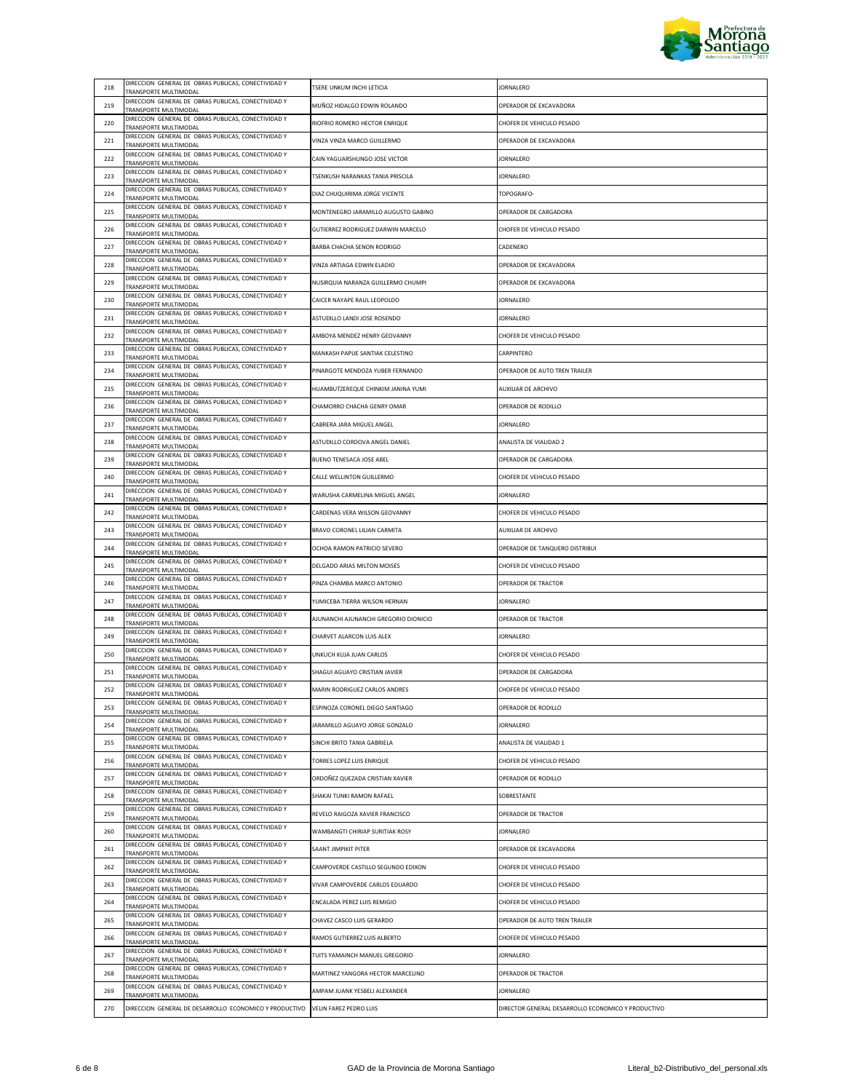

|     | DIRECCION GENERAL DE OBRAS PUBLICAS, CONECTIVIDAD Y                                                   |                                                                        |                                                    |
|-----|-------------------------------------------------------------------------------------------------------|------------------------------------------------------------------------|----------------------------------------------------|
| 218 | TRANSPORTE MULTIMODAL                                                                                 | TSERE UNKUM INCHI LETICIA                                              | <b>JORNALERO</b>                                   |
| 219 | DIRECCION GENERAL DE OBRAS PUBLICAS, CONECTIVIDAD Y<br>TRANSPORTE MULTIMODAL                          | MUÑOZ HIDALGO EDWIN ROLANDO                                            | OPERADOR DE EXCAVADORA                             |
| 220 | DIRECCION GENERAL DE OBRAS PUBLICAS, CONECTIVIDAD Y<br>TRANSPORTE MULTIMODAL                          | RIOFRIO ROMERO HECTOR ENRIQUE                                          | CHOFER DE VEHICULO PESADO                          |
| 221 | DIRECCION GENERAL DE OBRAS PUBLICAS, CONECTIVIDAD Y<br>TRANSPORTE MULTIMODAL                          | VINZA VINZA MARCO GUILLERMO                                            | OPERADOR DE EXCAVADORA                             |
| 222 | DIRECCION GENERAL DE OBRAS PUBLICAS, CONECTIVIDAD Y<br>TRANSPORTE MULTIMODAL                          | CAIN YAGUARSHUNGO JOSE VICTOR                                          | JORNALERO                                          |
| 223 | DIRECCION GENERAL DE OBRAS PUBLICAS, CONECTIVIDAD Y<br>TRANSPORTE MULTIMODAL                          | <b>TSENKUSH NARANKAS TANIA PRISCILA</b>                                | <b>JORNALERO</b>                                   |
| 224 | DIRECCION GENERAL DE OBRAS PUBLICAS, CONECTIVIDAD Y<br>TRANSPORTE MULTIMODAL                          | DIAZ CHUQUIRIMA JORGE VICENTE                                          | TOPOGRAFO-                                         |
| 225 | DIRECCION GENERAL DE OBRAS PUBLICAS, CONECTIVIDAD Y<br>TRANSPORTE MULTIMODAL                          | MONTENEGRO JARAMILLO AUGUSTO GABINO                                    | OPERADOR DE CARGADORA                              |
| 226 | DIRECCION GENERAL DE OBRAS PUBLICAS, CONECTIVIDAD Y<br>TRANSPORTE MULTIMODAL                          | GUTIERREZ RODRIGUEZ DARWIN MARCELO                                     | CHOFER DE VEHICULO PESADO                          |
| 227 | DIRECCION GENERAL DE OBRAS PUBLICAS, CONECTIVIDAD Y<br>TRANSPORTE MULTIMODAL                          | <b>BARBA CHACHA SENON RODRIGO</b>                                      | CADENERO                                           |
| 228 | DIRECCION GENERAL DE OBRAS PUBLICAS, CONECTIVIDAD Y<br>TRANSPORTE MULTIMODAL                          | VINZA ARTIAGA EDWIN ELADIO                                             | OPERADOR DE EXCAVADORA                             |
| 229 | DIRECCION GENERAL DE OBRAS PUBLICAS, CONECTIVIDAD Y<br>TRANSPORTE MULTIMODAL                          | NUSIRQUIA NARANZA GUILLERMO CHUMPI                                     | OPERADOR DE EXCAVADORA                             |
| 230 | DIRECCION GENERAL DE OBRAS PUBLICAS, CONECTIVIDAD Y<br>TRANSPORTE MULTIMODAL                          | CAICER NAYAPE RAUL LEOPOLDO                                            | <b>JORNALERO</b>                                   |
| 231 | DIRECCION GENERAL DE OBRAS PUBLICAS, CONECTIVIDAD Y                                                   | ASTUDILLO LANDI JOSE ROSENDO                                           | JORNALERO                                          |
| 232 | TRANSPORTE MULTIMODAL<br>DIRECCION GENERAL DE OBRAS PUBLICAS, CONECTIVIDAD Y<br>TRANSPORTE MULTIMODAL | AMBOYA MENDEZ HENRY GEOVANNY                                           | CHOFER DE VEHICULO PESADO                          |
| 233 | DIRECCION GENERAL DE OBRAS PUBLICAS, CONECTIVIDAD Y                                                   | MANKASH PAPUE SANTIAK CELESTINO                                        | CARPINTERO                                         |
| 234 | TRANSPORTE MULTIMODAL<br>DIRECCION GENERAL DE OBRAS PUBLICAS, CONECTIVIDAD Y                          | PINARGOTE MENDOZA YUBER FERNANDO                                       | OPERADOR DE AUTO TREN TRAILER                      |
| 235 | TRANSPORTE MULTIMODAL<br>DIRECCION GENERAL DE OBRAS PUBLICAS, CONECTIVIDAD Y                          | HUAMBUTZEREQUE CHINKIM JANINA YUMI                                     | AUXILIAR DE ARCHIVO                                |
| 236 | TRANSPORTE MULTIMODAL<br>DIRECCION GENERAL DE OBRAS PUBLICAS, CONECTIVIDAD Y                          | CHAMORRO CHACHA GENRY OMAR                                             | OPERADOR DE RODILLO                                |
| 237 | TRANSPORTE MULTIMODAL<br>DIRECCION GENERAL DE OBRAS PUBLICAS, CONECTIVIDAD Y                          | CABRERA JARA MIGUEL ANGEL                                              | <b>JORNALERO</b>                                   |
| 238 | TRANSPORTE MULTIMODAL<br>DIRECCION GENERAL DE OBRAS PUBLICAS, CONECTIVIDAD Y                          | ASTUDILLO CORDOVA ANGEL DANIFI                                         | ANALISTA DE VIALIDAD 2                             |
| 239 | TRANSPORTE MULTIMODAL<br>DIRECCION GENERAL DE OBRAS PUBLICAS, CONECTIVIDAD Y                          | BUENO TENESACA JOSE ABEL                                               | OPERADOR DE CARGADORA                              |
| 240 | TRANSPORTE MULTIMODAL<br>DIRECCION GENERAL DE OBRAS PUBLICAS, CONECTIVIDAD Y                          | CALLE WELLINTON GUILLERMO                                              | CHOFER DE VEHICULO PESADO                          |
| 241 | TRANSPORTE MULTIMODAL<br>DIRECCION GENERAL DE OBRAS PUBLICAS, CONECTIVIDAD Y                          | WARUSHA CARMELINA MIGUEL ANGEL                                         | <b>JORNALERO</b>                                   |
| 242 | TRANSPORTE MULTIMODAL<br>DIRECCION GENERAL DE OBRAS PUBLICAS, CONECTIVIDAD Y                          | CARDENAS VERA WILSON GEOVANNY                                          | CHOFER DE VEHICULO PESADO                          |
| 243 | TRANSPORTE MULTIMODAL<br>DIRECCION GENERAL DE OBRAS PUBLICAS, CONECTIVIDAD Y                          | BRAVO CORONEL LILIAN CARMITA                                           | AUXILIAR DE ARCHIVO                                |
| 244 | TRANSPORTE MULTIMODAL<br>DIRECCION GENERAL DE OBRAS PUBLICAS, CONECTIVIDAD Y                          | OCHOA RAMON PATRICIO SEVERO                                            | OPERADOR DE TANQUERO DISTRIBUI                     |
| 245 | TRANSPORTE MULTIMODAL<br>DIRECCION GENERAL DE OBRAS PUBLICAS, CONECTIVIDAD Y                          | DELGADO ARIAS MILTON MOISES                                            | CHOFER DE VEHICULO PESADO                          |
| 246 | TRANSPORTE MULTIMODAL<br>DIRECCION GENERAL DE OBRAS PUBLICAS, CONECTIVIDAD Y                          | PINZA CHAMBA MARCO ANTONIO                                             | OPERADOR DE TRACTOR                                |
| 247 | TRANSPORTE MULTIMODAL<br>DIRECCION GENERAL DE OBRAS PUBLICAS, CONECTIVIDAD Y                          |                                                                        |                                                    |
| 248 | TRANSPORTE MULTIMODAL<br>DIRECCION GENERAL DE OBRAS PUBLICAS, CONECTIVIDAD Y                          | YUMICEBA TIERRA WILSON HERNAN<br>AJUNANCHI AJUNANCHI GREGORIO DIONICIO | JORNALERO<br>OPERADOR DE TRACTOR                   |
| 249 | TRANSPORTE MULTIMODAL<br>DIRECCION GENERAL DE OBRAS PUBLICAS, CONECTIVIDAD Y                          |                                                                        |                                                    |
| 250 | TRANSPORTE MULTIMODAL<br>DIRECCION GENERAL DE OBRAS PUBLICAS, CONECTIVIDAD Y                          | CHARVET ALARCON LUIS ALEX<br>UNKUCH KUJA JUAN CARLOS                   | JORNALERO<br>CHOFER DE VEHICULO PESADO             |
|     | TRANSPORTE MULTIMODAL<br>DIRECCION GENERAL DE OBRAS PUBLICAS, CONECTIVIDAD Y                          |                                                                        |                                                    |
| 251 | TRANSPORTE MULTIMODAL<br>DIRECCION GENERAL DE OBRAS PUBLICAS, CONECTIVIDAD Y                          | SHAGUI AGUAYO CRISTIAN JAVIER                                          | OPERADOR DE CARGADORA                              |
| 252 | <b>TRANSPORTE MILITIMODAL</b><br>DIRECCION GENERAL DE OBRAS PUBLICAS, CONECTIVIDAD Y                  | MARIN RODRIGUEZ CARLOS ANDRES                                          | CHOFER DE VEHICULO PESADO                          |
| 253 | TRANSPORTE MULTIMODAL<br>DIRECCION GENERAL DE OBRAS PUBLICAS, CONECTIVIDAD Y                          | ESPINOZA CORONEL DIEGO SANTIAGO                                        | OPERADOR DE RODILLO                                |
| 254 | TRANSPORTE MULTIMODAL<br>DIRECCION GENERAL DE OBRAS PUBLICAS, CONECTIVIDAD Y                          | JARAMILLO AGUAYO JORGE GONZALO                                         | <b>JORNALERO</b>                                   |
| 255 | TRANSPORTE MULTIMODAL<br>DIRECCION GENERAL DE OBRAS PUBLICAS, CONECTIVIDAD Y                          | SINCHI BRITO TANIA GABRIELA                                            | ANALISTA DE VIALIDAD 1                             |
| 256 | TRANSPORTE MULTIMODAL<br>DIRECCION GENERAL DE OBRAS PUBLICAS, CONECTIVIDAD Y                          | TORRES LOPEZ LUIS ENRIQUE<br>ORDOÑEZ QUEZADA CRISTIAN XAVIER           | CHOFER DE VEHICULO PESADO                          |
| 257 | TRANSPORTE MULTIMODAL<br>DIRECCION GENERAL DE OBRAS PUBLICAS, CONECTIVIDAD Y                          |                                                                        | OPERADOR DE RODILLO                                |
| 258 | TRANSPORTE MULTIMODAL<br>DIRECCION GENERAL DE OBRAS PUBLICAS, CONECTIVIDAD Y                          | SHAKAI TUNKI RAMON RAFAEL                                              | SOBRESTANTE                                        |
| 259 | TRANSPORTE MULTIMODAL<br>DIRECCION GENERAL DE OBRAS PUBLICAS, CONECTIVIDAD Y                          | REVELO RAIGOZA XAVIER FRANCISCO                                        | OPERADOR DE TRACTOR                                |
| 260 | TRANSPORTE MULTIMODAL<br>DIRECCION GENERAL DE OBRAS PUBLICAS, CONECTIVIDAD Y                          | WAMBANGTI CHIRIAP SURITIAK ROSY                                        | JORNALERO                                          |
| 261 | TRANSPORTE MULTIMODAL<br>DIRECCION GENERAL DE OBRAS PUBLICAS, CONECTIVIDAD Y                          | SAANT JIMPIKIT PITER                                                   | OPERADOR DE EXCAVADORA                             |
| 262 | TRANSPORTE MULTIMODAL<br>DIRECCION GENERAL DE OBRAS PUBLICAS, CONECTIVIDAD Y                          | CAMPOVERDE CASTILLO SEGUNDO EDIXON                                     | CHOFER DE VEHICULO PESADO                          |
| 263 | TRANSPORTE MULTIMODAL<br>DIRECCION GENERAL DE OBRAS PUBLICAS, CONECTIVIDAD Y                          | VIVAR CAMPOVERDE CARLOS EDUARDO                                        | CHOFER DE VEHICULO PESADO                          |
| 264 | TRANSPORTE MULTIMODAL<br>DIRECCION GENERAL DE OBRAS PUBLICAS, CONECTIVIDAD Y                          | ENCALADA PEREZ LUIS REMIGIO                                            | CHOFER DE VEHICULO PESADO                          |
| 265 | TRANSPORTE MULTIMODAL<br>DIRECCION GENERAL DE OBRAS PUBLICAS, CONECTIVIDAD Y                          | CHAVEZ CASCO LUIS GERARDO                                              | OPERADOR DE AUTO TREN TRAILER                      |
| 266 | TRANSPORTE MULTIMODAL<br>DIRECCION GENERAL DE OBRAS PUBLICAS, CONECTIVIDAD Y                          | RAMOS GUTIERREZ LUIS ALBERTO                                           | CHOFER DE VEHICULO PESADO                          |
| 267 | TRANSPORTE MULTIMODAL<br>DIRECCION GENERAL DE OBRAS PUBLICAS, CONECTIVIDAD Y                          | TUITS YAMAINCH MANUEL GREGORIO                                         | JORNALERO                                          |
| 268 | <b>FRANSPORTE MULTIMODAL</b><br>DIRECCION GENERAL DE OBRAS PUBLICAS, CONECTIVIDAD Y                   | MARTINEZ YANGORA HECTOR MARCELINO                                      | OPERADOR DE TRACTOR                                |
| 269 | TRANSPORTE MULTIMODAL                                                                                 | AMPAM JUANK YESBELI ALEXANDER                                          | <b>JORNALERO</b>                                   |
| 270 | DIRECCION GENERAL DE DESARROLLO ECONOMICO Y PRODUCTIVO VELIN FAREZ PEDRO LUIS                         |                                                                        | DIRECTOR GENERAL DESARROLLO ECONOMICO Y PRODUCTIVO |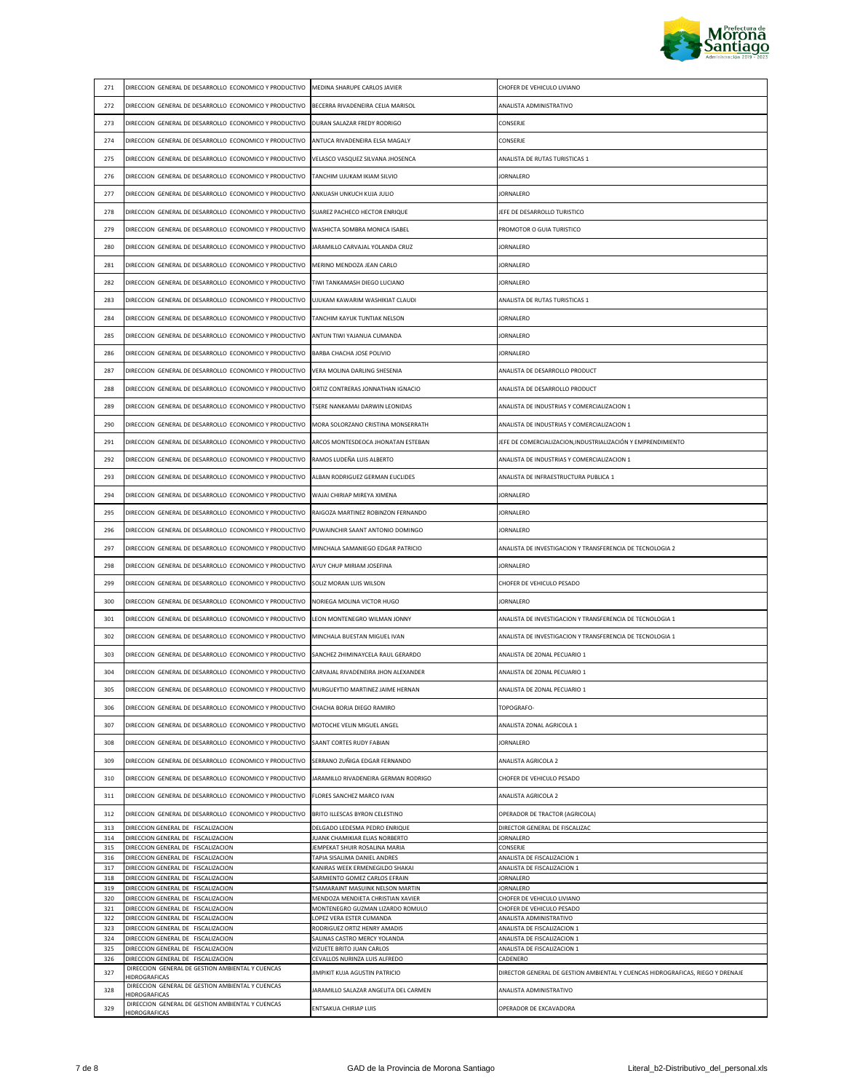

| 271        | DIRECCION GENERAL DE DESARROLLO ECONOMICO Y PRODUCTIVO                                  | MEDINA SHARUPE CARLOS JAVIER                                      | CHOFER DE VEHICULO LIVIANO                                                     |
|------------|-----------------------------------------------------------------------------------------|-------------------------------------------------------------------|--------------------------------------------------------------------------------|
| 272        | DIRECCION GENERAL DE DESARROLLO ECONOMICO Y PRODUCTIVO                                  | BECERRA RIVADENEIRA CELIA MARISOL                                 | ANALISTA ADMINISTRATIVO                                                        |
| 273        | DIRECCION GENERAL DE DESARROLLO ECONOMICO Y PRODUCTIVO                                  | DURAN SALAZAR FREDY RODRIGO                                       | CONSERJE                                                                       |
| 274        | DIRECCION GENERAL DE DESARROLLO ECONOMICO Y PRODUCTIVO                                  | ANTUCA RIVADENEIRA ELSA MAGALY                                    | CONSERJE                                                                       |
| 275        | DIRECCION GENERAL DE DESARROLLO ECONOMICO Y PRODUCTIVO                                  | VELASCO VASQUEZ SILVANA JHOSENCA                                  | ANALISTA DE RUTAS TURISTICAS 1                                                 |
| 276        | DIRECCION GENERAL DE DESARROLLO ECONOMICO Y PRODUCTIVO                                  | TANCHIM UJUKAM IKIAM SILVIO                                       | JORNALERO                                                                      |
| 277        | DIRECCION GENERAL DE DESARROLLO ECONOMICO Y PRODUCTIVO                                  | ANKUASH UNKUCH KUJA JULIO                                         | <b>JORNALERO</b>                                                               |
|            |                                                                                         |                                                                   | JEFE DE DESARROLLO TURISTICO                                                   |
| 278        | DIRECCION GENERAL DE DESARROLLO ECONOMICO Y PRODUCTIVO                                  | SUAREZ PACHECO HECTOR ENRIQUE                                     |                                                                                |
| 279        | DIRECCION GENERAL DE DESARROLLO ECONOMICO Y PRODUCTIVO                                  | WASHICTA SOMBRA MONICA ISABEL                                     | PROMOTOR O GUIA TURISTICO                                                      |
| 280        | DIRECCION GENERAL DE DESARROLLO ECONOMICO Y PRODUCTIVO                                  | JARAMILLO CARVAJAL YOLANDA CRUZ                                   | <b>JORNALERO</b>                                                               |
| 281        | DIRECCION GENERAL DE DESARROLLO ECONOMICO Y PRODUCTIVO                                  | MERINO MENDOZA JEAN CARLO                                         | <b>JORNALERO</b>                                                               |
| 282        | DIRECCION GENERAL DE DESARROLLO ECONOMICO Y PRODUCTIVO                                  | TIWI TANKAMASH DIEGO LUCIANO                                      | <b>JORNALERO</b>                                                               |
| 283        | DIRECCION GENERAL DE DESARROLLO ECONOMICO Y PRODUCTIVO                                  | UJUKAM KAWARIM WASHIKIAT CLAUDI                                   | ANALISTA DE RUTAS TURISTICAS 1                                                 |
| 284        | DIRECCION GENERAL DE DESARROLLO ECONOMICO Y PRODUCTIVO                                  | TANCHIM KAYUK TUNTIAK NELSON                                      | <b>JORNALERO</b>                                                               |
| 285        | DIRECCION GENERAL DE DESARROLLO ECONOMICO Y PRODUCTIVO                                  | ANTUN TIWI YAJANUA CUMANDA                                        | JORNALERO                                                                      |
| 286        | DIRECCION GENERAL DE DESARROLLO ECONOMICO Y PRODUCTIVO                                  | <b>BARBA CHACHA JOSE POLIVIO</b>                                  | <b>JORNALERO</b>                                                               |
| 287        | DIRECCION GENERAL DE DESARROLLO ECONOMICO Y PRODUCTIVO                                  | VERA MOLINA DARLING SHESENIA                                      | ANALISTA DE DESARROLLO PRODUCT                                                 |
| 288        | DIRECCION GENERAL DE DESARROLLO ECONOMICO Y PRODUCTIVO                                  | ORTIZ CONTRERAS JONNATHAN IGNACIO                                 | ANALISTA DE DESARROLLO PRODUCT                                                 |
| 289        | DIRECCION GENERAL DE DESARROLLO ECONOMICO Y PRODUCTIVO                                  | TSERE NANKAMAI DARWIN LEONIDAS                                    | ANALISTA DE INDUSTRIAS Y COMERCIALIZACION 1                                    |
| 290        | DIRECCION GENERAL DE DESARROLLO ECONOMICO Y PRODUCTIVO                                  | MORA SOLORZANO CRISTINA MONSERRATH                                | ANALISTA DE INDUSTRIAS Y COMERCIALIZACION 1                                    |
| 291        | DIRECCION GENERAL DE DESARROLLO ECONOMICO Y PRODUCTIVO                                  | ARCOS MONTESDEOCA JHONATAN ESTEBAN                                | JEFE DE COMERCIALIZACION, INDUSTRIALIZACIÓN Y EMPRENDIMIENTO                   |
| 292        | DIRECCION GENERAL DE DESARROLLO ECONOMICO Y PRODUCTIVO                                  | RAMOS LUDEÑA LUIS ALBERTO                                         | ANALISTA DE INDUSTRIAS Y COMERCIALIZACION 1                                    |
| 293        | DIRECCION GENERAL DE DESARROLLO ECONOMICO Y PRODUCTIVO                                  | ALBAN RODRIGUEZ GERMAN EUCLIDES                                   | ANALISTA DE INFRAESTRUCTURA PUBLICA 1                                          |
| 294        | DIRECCION GENERAL DE DESARROLLO ECONOMICO Y PRODUCTIVO                                  | WAJAI CHIRIAP MIREYA XIMENA                                       | JORNALERO                                                                      |
| 295        | DIRECCION GENERAL DE DESARROLLO ECONOMICO Y PRODUCTIVO                                  | RAIGOZA MARTINEZ ROBINZON FERNANDO                                | <b>JORNALERO</b>                                                               |
| 296        | DIRECCION GENERAL DE DESARROLLO ECONOMICO Y PRODUCTIVO                                  | PUWAINCHIR SAANT ANTONIO DOMINGO                                  | <b>JORNALERO</b>                                                               |
| 297        | DIRECCION GENERAL DE DESARROLLO ECONOMICO Y PRODUCTIVO                                  |                                                                   |                                                                                |
|            |                                                                                         | MINCHALA SAMANIEGO EDGAR PATRICIO                                 | ANALISTA DE INVESTIGACION Y TRANSFERENCIA DE TECNOLOGIA 2                      |
| 298        | DIRECCION GENERAL DE DESARROLLO ECONOMICO Y PRODUCTIVO                                  | AYUY CHUP MIRIAM JOSEFINA                                         | <b>JORNALERO</b>                                                               |
| 299        | DIRECCION GENERAL DE DESARROLLO ECONOMICO Y PRODUCTIVO                                  | SOLIZ MORAN LUIS WILSON                                           | CHOFER DE VEHICULO PESADO                                                      |
| 300        | DIRECCION GENERAL DE DESARROLLO ECONOMICO Y PRODUCTIVO                                  | NORIEGA MOLINA VICTOR HUGO                                        | <b>JORNALERO</b>                                                               |
| 301        | DIRECCION GENERAL DE DESARROLLO ECONOMICO Y PRODUCTIVO                                  | LEON MONTENEGRO WILMAN JONNY                                      | ANALISTA DE INVESTIGACION Y TRANSFERENCIA DE TECNOLOGIA 1                      |
| 302        | DIRECCION GENERAL DE DESARROLLO ECONOMICO Y PRODUCTIVO                                  | MINCHALA BUESTAN MIGUEL IVAN                                      | ANALISTA DE INVESTIGACION Y TRANSFERENCIA DE TECNOLOGIA 1                      |
| 303        | DIRECCION GENERAL DE DESARROLLO ECONOMICO Y PRODUCTIVO                                  | SANCHEZ ZHIMINAYCELA RAUL GERARDO                                 | ANALISTA DE ZONAL PECUARIO 1                                                   |
| 304        | DIRECCION GENERAL DE DESARROLLO ECONOMICO Y PRODUCTIVO                                  | CARVAJAL RIVADENEIRA JHON ALEXANDER                               | ANALISTA DE ZONAL PECUARIO 1                                                   |
| 305        | DIRECCION GENERAL DE DESARROLLO ECONOMICO Y PRODUCTIVO MURGUEYTIO MARTINEZ JAIME HERNAN |                                                                   | ANALISTA DE ZONAL PECUARIO 1                                                   |
| 306        | DIRECCION GENERAL DE DESARROLLO ECONOMICO Y PRODUCTIVO                                  | CHACHA BORJA DIEGO RAMIRO                                         | TOPOGRAFO-                                                                     |
| 307        | DIRECCION GENERAL DE DESARROLLO ECONOMICO Y PRODUCTIVO                                  | MOTOCHE VELIN MIGUEL ANGEL                                        | ANALISTA ZONAL AGRICOLA 1                                                      |
| 308        | DIRECCION GENERAL DE DESARROLLO ECONOMICO Y PRODUCTIVO                                  | SAANT CORTES RUDY FABIAN                                          | <b>JORNALERO</b>                                                               |
| 309        | DIRECCION GENERAL DE DESARROLLO ECONOMICO Y PRODUCTIVO                                  | SERRANO ZUÑIGA EDGAR FERNANDO                                     | ANALISTA AGRICOLA 2                                                            |
| 310        | DIRECCION GENERAL DE DESARROLLO ECONOMICO Y PRODUCTIVO                                  | JARAMILLO RIVADENEIRA GERMAN RODRIGO                              | CHOFER DE VEHICULO PESADO                                                      |
| 311        | DIRECCION GENERAL DE DESARROLLO ECONOMICO Y PRODUCTIVO                                  | FLORES SANCHEZ MARCO IVAN                                         | <b>ANALISTA AGRICOLA 2</b>                                                     |
| 312        | DIRECCION GENERAL DE DESARROLLO ECONOMICO Y PRODUCTIVO                                  | BRITO ILLESCAS BYRON CELESTINO                                    | OPERADOR DE TRACTOR (AGRICOLA)                                                 |
| 313        | DIRECCION GENERAL DE FISCALIZACION                                                      | DELGADO LEDESMA PEDRO ENRIQUE                                     | DIRECTOR GENERAL DE FISCALIZAC                                                 |
| 314<br>315 | DIRECCION GENERAL DE FISCALIZACION<br>DIRECCION GENERAL DE FISCALIZACION                | JUANK CHAMIKIAR ELIAS NORBERTO<br>JEMPEKAT SHUIR ROSALINA MARIA   | <b>JORNALERO</b><br>CONSERJE                                                   |
| 316        | DIRECCION GENERAL DE FISCALIZACION                                                      | TAPIA SISALIMA DANIEL ANDRES                                      | ANALISTA DE FISCALIZACION 1                                                    |
| 317        | DIRECCION GENERAL DE FISCALIZACION                                                      | KANIRAS WEEK ERMENEGILDO SHAKAI                                   | ANALISTA DE FISCALIZACION 1                                                    |
| 318<br>319 | DIRECCION GENERAL DE FISCALIZACION<br>DIRECCION GENERAL DE FISCALIZACION                | SARMIENTO GOMEZ CARLOS EFRAIN<br>TSAMARAINT MASUINK NELSON MARTIN | <b>JORNALERO</b><br><b>JORNALERO</b>                                           |
| 320        | DIRECCION GENERAL DE FISCALIZACION                                                      | MENDOZA MENDIETA CHRISTIAN XAVIER                                 | CHOFER DE VEHICULO LIVIANO                                                     |
| 321        | DIRECCION GENERAL DE FISCALIZACION                                                      | MONTENEGRO GUZMAN LIZARDO ROMULO                                  | CHOFER DE VEHICULO PESADO                                                      |
| 322        | DIRECCION GENERAL DE FISCALIZACION                                                      | LOPEZ VERA ESTER CUMANDA                                          | ANALISTA ADMINISTRATIVO                                                        |
| 323<br>324 | DIRECCION GENERAL DE FISCALIZACION<br>DIRECCION GENERAL DE FISCALIZACION                | RODRIGUEZ ORTIZ HENRY AMADIS<br>SALINAS CASTRO MERCY YOLANDA      | ANALISTA DE FISCALIZACION 1<br>ANALISTA DE FISCALIZACION 1                     |
| 325        | DIRECCION GENERAL DE FISCALIZACION                                                      | VIZUETE BRITO JUAN CARLOS                                         | ANALISTA DE FISCALIZACION 1                                                    |
| 326        | DIRECCION GENERAL DE FISCALIZACION                                                      | CEVALLOS NURINZA LUIS ALFREDO                                     | CADENERO                                                                       |
| 327        | DIRECCION GENERAL DE GESTION AMBIENTAL Y CUENCAS<br><b>HIDROGRAFICAS</b>                | JIMPIKIT KUJA AGUSTIN PATRICIO                                    | DIRECTOR GENERAL DE GESTION AMBIENTAL Y CUENCAS HIDROGRAFICAS, RIEGO Y DRENAJE |
| 328        | DIRECCION GENERAL DE GESTION AMBIENTAL Y CUENCAS<br><b>HIDROGRAFICAS</b>                | JARAMILLO SALAZAR ANGELITA DEL CARMEN                             | ANALISTA ADMINISTRATIVO                                                        |
| 329        | DIRECCION GENERAL DE GESTION AMBIENTAL Y CUENCAS<br><b>HIDROGRAFICAS</b>                | ENTSAKUA CHIRIAP LUIS                                             | OPERADOR DE EXCAVADORA                                                         |